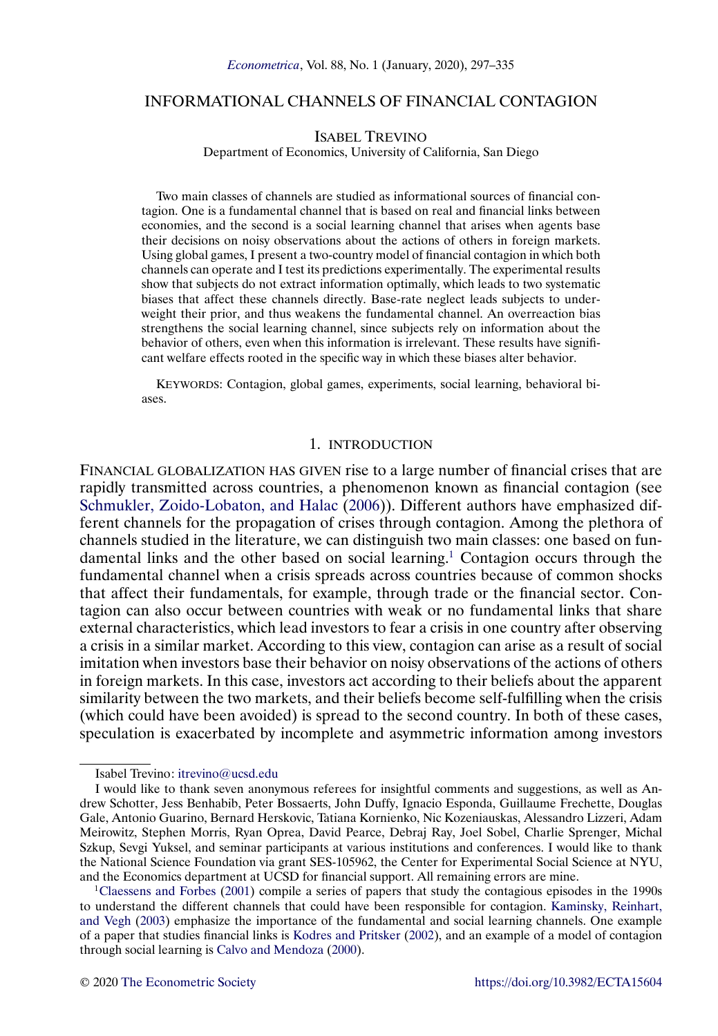# <span id="page-0-0"></span>INFORMATIONAL CHANNELS OF FINANCIAL CONTAGION

ISABEL TREVINO

Department of Economics, University of California, San Diego

Two main classes of channels are studied as informational sources of financial contagion. One is a fundamental channel that is based on real and financial links between economies, and the second is a social learning channel that arises when agents base their decisions on noisy observations about the actions of others in foreign markets. Using global games, I present a two-country model of financial contagion in which both channels can operate and I test its predictions experimentally. The experimental results show that subjects do not extract information optimally, which leads to two systematic biases that affect these channels directly. Base-rate neglect leads subjects to underweight their prior, and thus weakens the fundamental channel. An overreaction bias strengthens the social learning channel, since subjects rely on information about the behavior of others, even when this information is irrelevant. These results have significant welfare effects rooted in the specific way in which these biases alter behavior.

KEYWORDS: Contagion, global games, experiments, social learning, behavioral biases.

#### 1. INTRODUCTION

FINANCIAL GLOBALIZATION HAS GIVEN rise to a large number of financial crises that are rapidly transmitted across countries, a phenomenon known as financial contagion (see [Schmukler, Zoido-Lobaton, and Halac](#page-38-0) [\(2006\)](#page-38-0)). Different authors have emphasized different channels for the propagation of crises through contagion. Among the plethora of channels studied in the literature, we can distinguish two main classes: one based on fundamental links and the other based on social learning.<sup>1</sup> Contagion occurs through the fundamental channel when a crisis spreads across countries because of common shocks that affect their fundamentals, for example, through trade or the financial sector. Contagion can also occur between countries with weak or no fundamental links that share external characteristics, which lead investors to fear a crisis in one country after observing a crisis in a similar market. According to this view, contagion can arise as a result of social imitation when investors base their behavior on noisy observations of the actions of others in foreign markets. In this case, investors act according to their beliefs about the apparent similarity between the two markets, and their beliefs become self-fulfilling when the crisis (which could have been avoided) is spread to the second country. In both of these cases, speculation is exacerbated by incomplete and asymmetric information among investors

Isabel Trevino: [itrevino@ucsd.edu](mailto:itrevino@ucsd.edu)

I would like to thank seven anonymous referees for insightful comments and suggestions, as well as Andrew Schotter, Jess Benhabib, Peter Bossaerts, John Duffy, Ignacio Esponda, Guillaume Frechette, Douglas Gale, Antonio Guarino, Bernard Herskovic, Tatiana Kornienko, Nic Kozeniauskas, Alessandro Lizzeri, Adam Meirowitz, Stephen Morris, Ryan Oprea, David Pearce, Debraj Ray, Joel Sobel, Charlie Sprenger, Michal Szkup, Sevgi Yuksel, and seminar participants at various institutions and conferences. I would like to thank the National Science Foundation via grant SES-105962, the Center for Experimental Social Science at NYU, and the Economics department at UCSD for financial support. All remaining errors are mine.

[<sup>1</sup>Claessens and Forbes](#page-37-0) [\(2001\)](#page-37-0) compile a series of papers that study the contagious episodes in the 1990s to understand the different channels that could have been responsible for contagion. [Kaminsky, Reinhart,](#page-38-0) [and Vegh](#page-38-0) [\(2003\)](#page-38-0) emphasize the importance of the fundamental and social learning channels. One example of a paper that studies financial links is [Kodres and Pritsker](#page-38-0) [\(2002\)](#page-38-0), and an example of a model of contagion through social learning is [Calvo and Mendoza](#page-37-0) [\(2000\)](#page-37-0).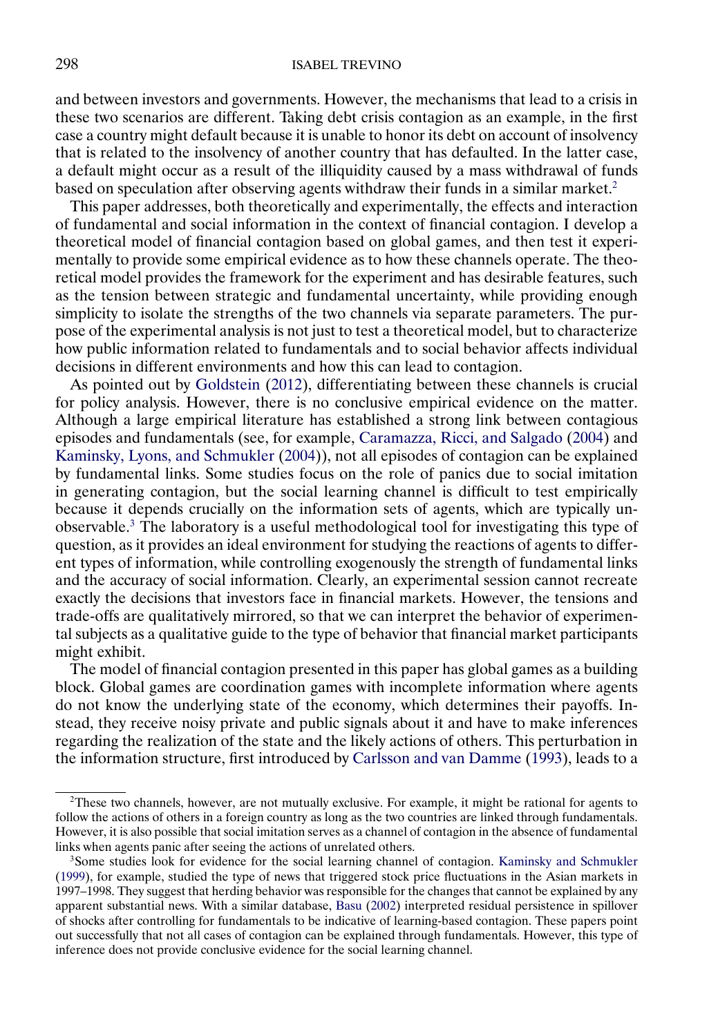<span id="page-1-0"></span>and between investors and governments. However, the mechanisms that lead to a crisis in these two scenarios are different. Taking debt crisis contagion as an example, in the first case a country might default because it is unable to honor its debt on account of insolvency that is related to the insolvency of another country that has defaulted. In the latter case, a default might occur as a result of the illiquidity caused by a mass withdrawal of funds based on speculation after observing agents withdraw their funds in a similar market.<sup>2</sup>

This paper addresses, both theoretically and experimentally, the effects and interaction of fundamental and social information in the context of financial contagion. I develop a theoretical model of financial contagion based on global games, and then test it experimentally to provide some empirical evidence as to how these channels operate. The theoretical model provides the framework for the experiment and has desirable features, such as the tension between strategic and fundamental uncertainty, while providing enough simplicity to isolate the strengths of the two channels via separate parameters. The purpose of the experimental analysis is not just to test a theoretical model, but to characterize how public information related to fundamentals and to social behavior affects individual decisions in different environments and how this can lead to contagion.

As pointed out by [Goldstein](#page-37-0) [\(2012\)](#page-37-0), differentiating between these channels is crucial for policy analysis. However, there is no conclusive empirical evidence on the matter. Although a large empirical literature has established a strong link between contagious episodes and fundamentals (see, for example, [Caramazza, Ricci, and Salgado](#page-37-0) [\(2004\)](#page-37-0) and [Kaminsky, Lyons, and Schmukler](#page-38-0) [\(2004\)](#page-38-0)), not all episodes of contagion can be explained by fundamental links. Some studies focus on the role of panics due to social imitation in generating contagion, but the social learning channel is difficult to test empirically because it depends crucially on the information sets of agents, which are typically unobservable.3 The laboratory is a useful methodological tool for investigating this type of question, as it provides an ideal environment for studying the reactions of agents to different types of information, while controlling exogenously the strength of fundamental links and the accuracy of social information. Clearly, an experimental session cannot recreate exactly the decisions that investors face in financial markets. However, the tensions and trade-offs are qualitatively mirrored, so that we can interpret the behavior of experimental subjects as a qualitative guide to the type of behavior that financial market participants might exhibit.

The model of financial contagion presented in this paper has global games as a building block. Global games are coordination games with incomplete information where agents do not know the underlying state of the economy, which determines their payoffs. Instead, they receive noisy private and public signals about it and have to make inferences regarding the realization of the state and the likely actions of others. This perturbation in the information structure, first introduced by [Carlsson and van Damme](#page-37-0) [\(1993\)](#page-37-0), leads to a

<sup>2</sup>These two channels, however, are not mutually exclusive. For example, it might be rational for agents to follow the actions of others in a foreign country as long as the two countries are linked through fundamentals. However, it is also possible that social imitation serves as a channel of contagion in the absence of fundamental links when agents panic after seeing the actions of unrelated others.

<sup>&</sup>lt;sup>3</sup>Some studies look for evidence for the social learning channel of contagion. [Kaminsky and Schmukler](#page-38-0) [\(1999\)](#page-38-0), for example, studied the type of news that triggered stock price fluctuations in the Asian markets in 1997–1998. They suggest that herding behavior was responsible for the changes that cannot be explained by any apparent substantial news. With a similar database, [Basu](#page-36-0) [\(2002\)](#page-36-0) interpreted residual persistence in spillover of shocks after controlling for fundamentals to be indicative of learning-based contagion. These papers point out successfully that not all cases of contagion can be explained through fundamentals. However, this type of inference does not provide conclusive evidence for the social learning channel.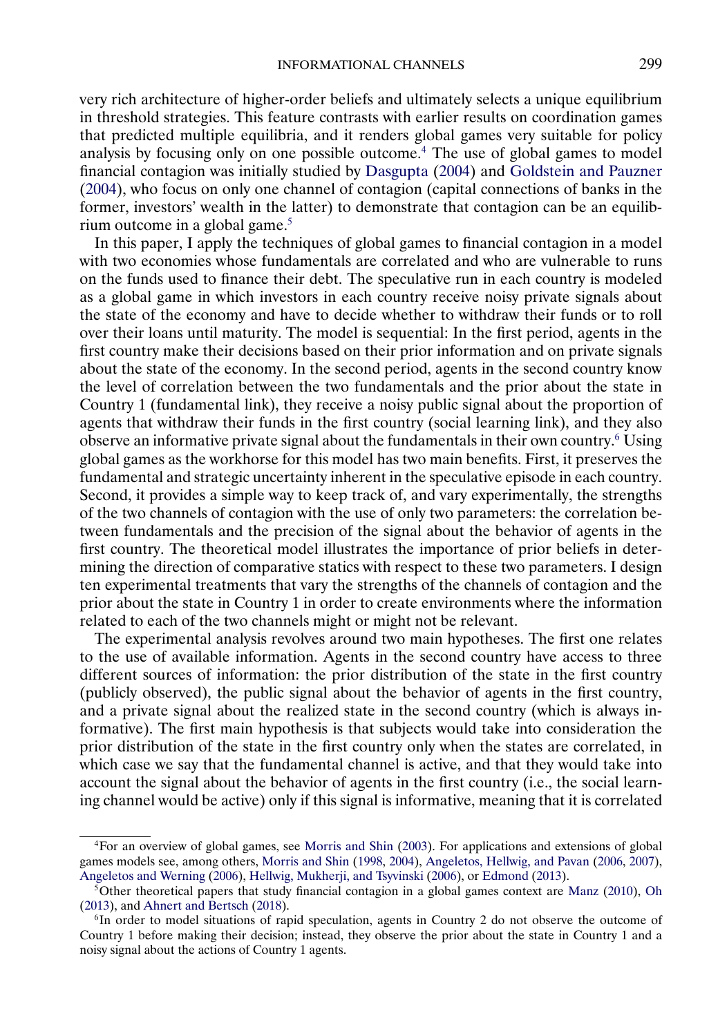very rich architecture of higher-order beliefs and ultimately selects a unique equilibrium in threshold strategies. This feature contrasts with earlier results on coordination games that predicted multiple equilibria, and it renders global games very suitable for policy analysis by focusing only on one possible outcome.<sup>4</sup> The use of global games to model financial contagion was initially studied by [Dasgupta](#page-37-0) [\(2004\)](#page-37-0) and [Goldstein and Pauzner](#page-37-0) [\(2004\)](#page-37-0), who focus on only one channel of contagion (capital connections of banks in the former, investors' wealth in the latter) to demonstrate that contagion can be an equilibrium outcome in a global game.<sup>5</sup>

In this paper, I apply the techniques of global games to financial contagion in a model with two economies whose fundamentals are correlated and who are vulnerable to runs on the funds used to finance their debt. The speculative run in each country is modeled as a global game in which investors in each country receive noisy private signals about the state of the economy and have to decide whether to withdraw their funds or to roll over their loans until maturity. The model is sequential: In the first period, agents in the first country make their decisions based on their prior information and on private signals about the state of the economy. In the second period, agents in the second country know the level of correlation between the two fundamentals and the prior about the state in Country 1 (fundamental link), they receive a noisy public signal about the proportion of agents that withdraw their funds in the first country (social learning link), and they also observe an informative private signal about the fundamentals in their own country.6 Using global games as the workhorse for this model has two main benefits. First, it preserves the fundamental and strategic uncertainty inherent in the speculative episode in each country. Second, it provides a simple way to keep track of, and vary experimentally, the strengths of the two channels of contagion with the use of only two parameters: the correlation between fundamentals and the precision of the signal about the behavior of agents in the first country. The theoretical model illustrates the importance of prior beliefs in determining the direction of comparative statics with respect to these two parameters. I design ten experimental treatments that vary the strengths of the channels of contagion and the prior about the state in Country 1 in order to create environments where the information related to each of the two channels might or might not be relevant.

The experimental analysis revolves around two main hypotheses. The first one relates to the use of available information. Agents in the second country have access to three different sources of information: the prior distribution of the state in the first country (publicly observed), the public signal about the behavior of agents in the first country, and a private signal about the realized state in the second country (which is always informative). The first main hypothesis is that subjects would take into consideration the prior distribution of the state in the first country only when the states are correlated, in which case we say that the fundamental channel is active, and that they would take into account the signal about the behavior of agents in the first country (i.e., the social learning channel would be active) only if this signal is informative, meaning that it is correlated

<sup>4</sup>For an overview of global games, see [Morris and Shin](#page-38-0) [\(2003\)](#page-38-0). For applications and extensions of global games models see, among others, [Morris and Shin](#page-38-0) [\(1998,](#page-38-0) [2004\)](#page-38-0), [Angeletos, Hellwig, and Pavan](#page-36-0) [\(2006,](#page-36-0) [2007\)](#page-36-0), [Angeletos and Werning](#page-36-0) [\(2006\)](#page-36-0), [Hellwig, Mukherji, and Tsyvinski](#page-38-0) [\(2006\)](#page-38-0), or [Edmond](#page-37-0) [\(2013\)](#page-37-0).

 $5$ Other theoretical papers that study financial contagion in a global games context are [Manz](#page-38-0) [\(2010\)](#page-38-0), [Oh](#page-38-0) [\(2013\)](#page-38-0), and [Ahnert and Bertsch](#page-36-0) [\(2018\)](#page-36-0).

 $6$ In order to model situations of rapid speculation, agents in Country 2 do not observe the outcome of Country 1 before making their decision; instead, they observe the prior about the state in Country 1 and a noisy signal about the actions of Country 1 agents.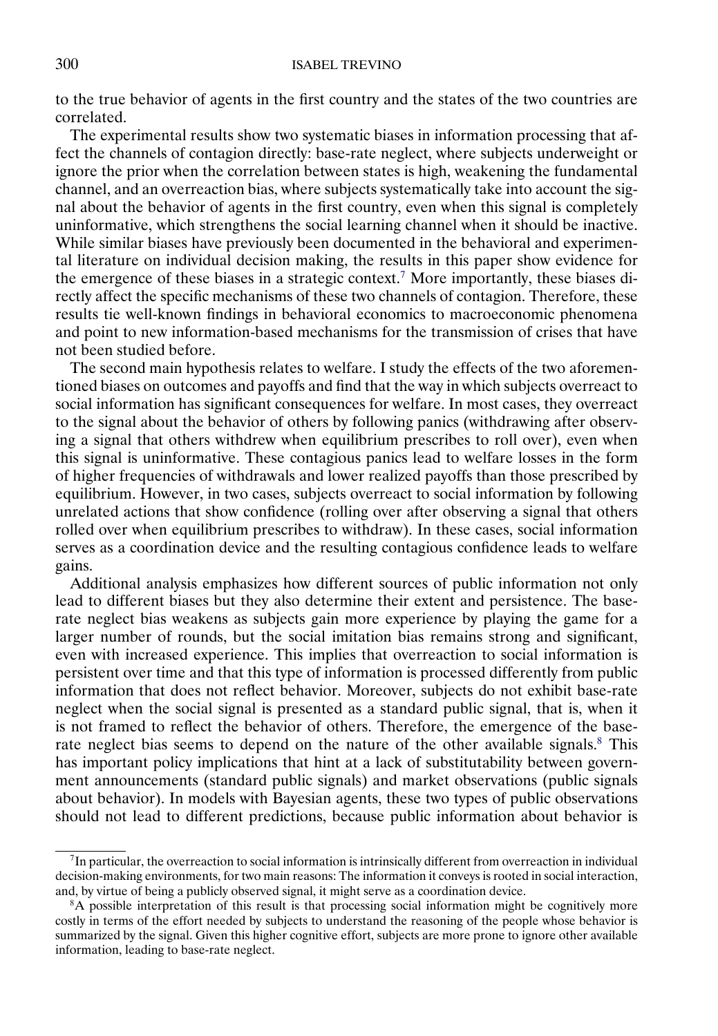to the true behavior of agents in the first country and the states of the two countries are correlated.

The experimental results show two systematic biases in information processing that affect the channels of contagion directly: base-rate neglect, where subjects underweight or ignore the prior when the correlation between states is high, weakening the fundamental channel, and an overreaction bias, where subjects systematically take into account the signal about the behavior of agents in the first country, even when this signal is completely uninformative, which strengthens the social learning channel when it should be inactive. While similar biases have previously been documented in the behavioral and experimental literature on individual decision making, the results in this paper show evidence for the emergence of these biases in a strategic context.7 More importantly, these biases directly affect the specific mechanisms of these two channels of contagion. Therefore, these results tie well-known findings in behavioral economics to macroeconomic phenomena and point to new information-based mechanisms for the transmission of crises that have not been studied before.

The second main hypothesis relates to welfare. I study the effects of the two aforementioned biases on outcomes and payoffs and find that the way in which subjects overreact to social information has significant consequences for welfare. In most cases, they overreact to the signal about the behavior of others by following panics (withdrawing after observing a signal that others withdrew when equilibrium prescribes to roll over), even when this signal is uninformative. These contagious panics lead to welfare losses in the form of higher frequencies of withdrawals and lower realized payoffs than those prescribed by equilibrium. However, in two cases, subjects overreact to social information by following unrelated actions that show confidence (rolling over after observing a signal that others rolled over when equilibrium prescribes to withdraw). In these cases, social information serves as a coordination device and the resulting contagious confidence leads to welfare gains.

Additional analysis emphasizes how different sources of public information not only lead to different biases but they also determine their extent and persistence. The baserate neglect bias weakens as subjects gain more experience by playing the game for a larger number of rounds, but the social imitation bias remains strong and significant, even with increased experience. This implies that overreaction to social information is persistent over time and that this type of information is processed differently from public information that does not reflect behavior. Moreover, subjects do not exhibit base-rate neglect when the social signal is presented as a standard public signal, that is, when it is not framed to reflect the behavior of others. Therefore, the emergence of the baserate neglect bias seems to depend on the nature of the other available signals.<sup>8</sup> This has important policy implications that hint at a lack of substitutability between government announcements (standard public signals) and market observations (public signals about behavior). In models with Bayesian agents, these two types of public observations should not lead to different predictions, because public information about behavior is

 $<sup>7</sup>$ In particular, the overreaction to social information is intrinsically different from overreaction in individual</sup> decision-making environments, for two main reasons: The information it conveys is rooted in social interaction, and, by virtue of being a publicly observed signal, it might serve as a coordination device.

<sup>&</sup>lt;sup>8</sup>A possible interpretation of this result is that processing social information might be cognitively more costly in terms of the effort needed by subjects to understand the reasoning of the people whose behavior is summarized by the signal. Given this higher cognitive effort, subjects are more prone to ignore other available information, leading to base-rate neglect.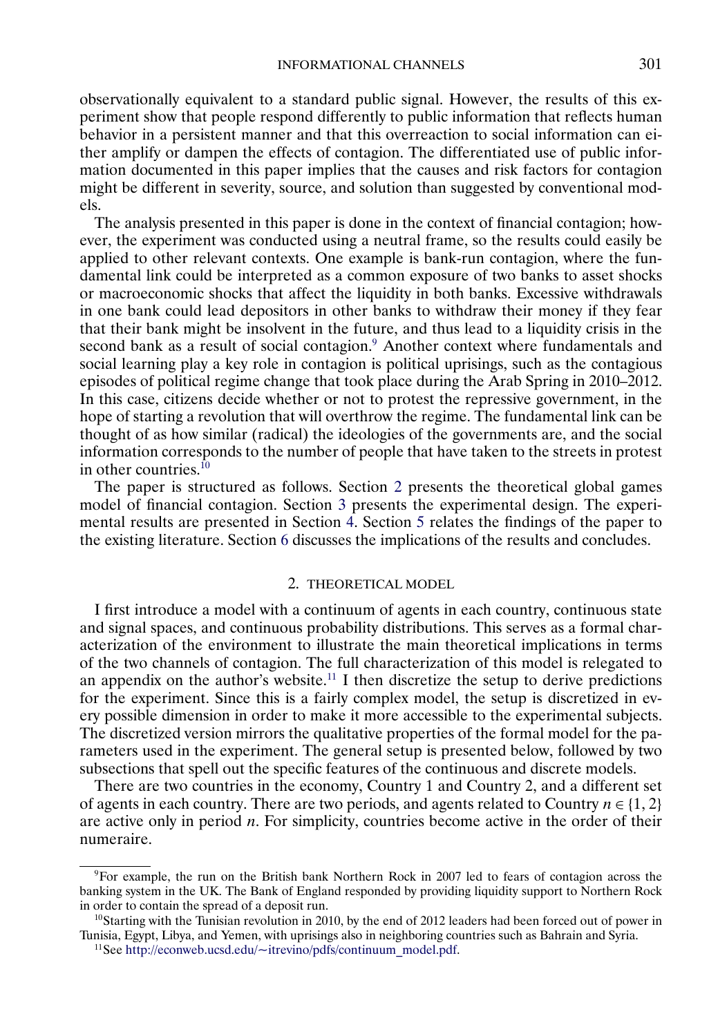<span id="page-4-0"></span>observationally equivalent to a standard public signal. However, the results of this experiment show that people respond differently to public information that reflects human behavior in a persistent manner and that this overreaction to social information can either amplify or dampen the effects of contagion. The differentiated use of public information documented in this paper implies that the causes and risk factors for contagion might be different in severity, source, and solution than suggested by conventional models.

The analysis presented in this paper is done in the context of financial contagion; however, the experiment was conducted using a neutral frame, so the results could easily be applied to other relevant contexts. One example is bank-run contagion, where the fundamental link could be interpreted as a common exposure of two banks to asset shocks or macroeconomic shocks that affect the liquidity in both banks. Excessive withdrawals in one bank could lead depositors in other banks to withdraw their money if they fear that their bank might be insolvent in the future, and thus lead to a liquidity crisis in the second bank as a result of social contagion.<sup>9</sup> Another context where fundamentals and social learning play a key role in contagion is political uprisings, such as the contagious episodes of political regime change that took place during the Arab Spring in 2010–2012. In this case, citizens decide whether or not to protest the repressive government, in the hope of starting a revolution that will overthrow the regime. The fundamental link can be thought of as how similar (radical) the ideologies of the governments are, and the social information corresponds to the number of people that have taken to the streets in protest in other countries.10

The paper is structured as follows. Section 2 presents the theoretical global games model of financial contagion. Section [3](#page-12-0) presents the experimental design. The experimental results are presented in Section [4.](#page-17-0) Section [5](#page-28-0) relates the findings of the paper to the existing literature. Section [6](#page-30-0) discusses the implications of the results and concludes.

### 2. THEORETICAL MODEL

I first introduce a model with a continuum of agents in each country, continuous state and signal spaces, and continuous probability distributions. This serves as a formal characterization of the environment to illustrate the main theoretical implications in terms of the two channels of contagion. The full characterization of this model is relegated to an appendix on the author's website.<sup>11</sup> I then discretize the setup to derive predictions for the experiment. Since this is a fairly complex model, the setup is discretized in every possible dimension in order to make it more accessible to the experimental subjects. The discretized version mirrors the qualitative properties of the formal model for the parameters used in the experiment. The general setup is presented below, followed by two subsections that spell out the specific features of the continuous and discrete models.

There are two countries in the economy, Country 1 and Country 2, and a different set of agents in each country. There are two periods, and agents related to Country  $n \in \{1, 2\}$ are active only in period  $n$ . For simplicity, countries become active in the order of their numeraire.

<sup>9</sup>For example, the run on the British bank Northern Rock in 2007 led to fears of contagion across the banking system in the UK. The Bank of England responded by providing liquidity support to Northern Rock in order to contain the spread of a deposit run.

 $10$ Starting with the Tunisian revolution in 2010, by the end of 2012 leaders had been forced out of power in Tunisia, Egypt, Libya, and Yemen, with uprisings also in neighboring countries such as Bahrain and Syria.

<sup>&</sup>lt;sup>11</sup>See [http://econweb.ucsd.edu/~itrevino/pdfs/continuum\\_model.pdf](http://econweb.ucsd.edu/~itrevino/pdfs/continuum_model.pdf).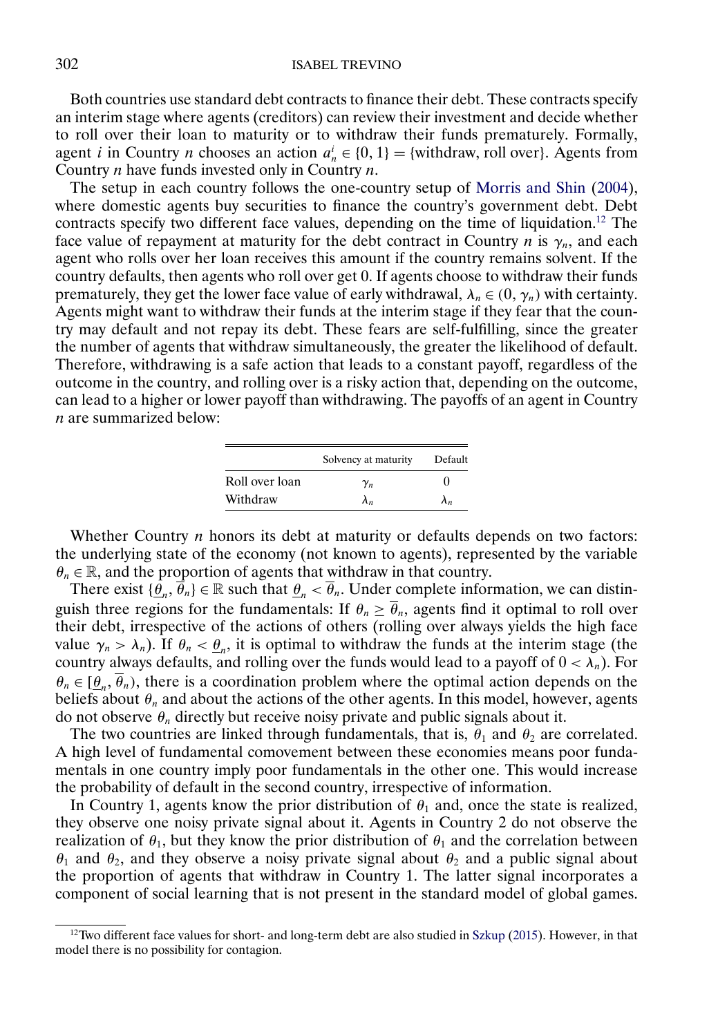Both countries use standard debt contracts to finance their debt. These contracts specify an interim stage where agents (creditors) can review their investment and decide whether to roll over their loan to maturity or to withdraw their funds prematurely. Formally, agent *i* in Country *n* chooses an action  $a_n^i \in \{0, 1\} = \{\text{withdraw}, \text{roll over}\}\.$  Agents from Country *n* have funds invested only in Country *n*.

The setup in each country follows the one-country setup of [Morris and Shin](#page-38-0) [\(2004\)](#page-38-0), where domestic agents buy securities to finance the country's government debt. Debt contracts specify two different face values, depending on the time of liquidation.<sup>12</sup> The face value of repayment at maturity for the debt contract in Country n is  $\gamma_n$ , and each agent who rolls over her loan receives this amount if the country remains solvent. If the country defaults, then agents who roll over get 0. If agents choose to withdraw their funds prematurely, they get the lower face value of early withdrawal,  $\lambda_n \in (0, \gamma_n)$  with certainty. Agents might want to withdraw their funds at the interim stage if they fear that the country may default and not repay its debt. These fears are self-fulfilling, since the greater the number of agents that withdraw simultaneously, the greater the likelihood of default. Therefore, withdrawing is a safe action that leads to a constant payoff, regardless of the outcome in the country, and rolling over is a risky action that, depending on the outcome, can lead to a higher or lower payoff than withdrawing. The payoffs of an agent in Country n are summarized below:

|                | Solvency at maturity | Default                |
|----------------|----------------------|------------------------|
| Roll over loan | $\gamma_n$           |                        |
| Withdraw       | $\lambda_n$          | $\lambda$ <sub>n</sub> |

Whether Country  $n$  honors its debt at maturity or defaults depends on two factors: the underlying state of the economy (not known to agents), represented by the variable  $\theta_n \in \mathbb{R}$ , and the proportion of agents that withdraw in that country.

There exist  $\{\hat{\theta}_n, \vec{\theta}_n\} \in \mathbb{R}$  such that  $\underline{\theta}_n < \overline{\theta}_n$ . Under complete information, we can distinguish three regions for the fundamentals: If  $\theta_n \geq \overline{\theta}_n$ , agents find it optimal to roll over their debt, irrespective of the actions of others (rolling over always yields the high face value  $\gamma_n > \lambda_n$ ). If  $\theta_n < \underline{\theta}_n$ , it is optimal to withdraw the funds at the interim stage (the country always defaults, and rolling over the funds would lead to a payoff of  $0 < \lambda_n$ ). For  $\theta_n \in [\underline{\theta}_n, \overline{\theta}_n)$ , there is a coordination problem where the optimal action depends on the beliefs about  $\theta_n$  and about the actions of the other agents. In this model, however, agents do not observe  $\theta_n$  directly but receive noisy private and public signals about it.

The two countries are linked through fundamentals, that is,  $\theta_1$  and  $\theta_2$  are correlated. A high level of fundamental comovement between these economies means poor fundamentals in one country imply poor fundamentals in the other one. This would increase the probability of default in the second country, irrespective of information.

In Country 1, agents know the prior distribution of  $\theta_1$  and, once the state is realized, they observe one noisy private signal about it. Agents in Country 2 do not observe the realization of  $\theta_1$ , but they know the prior distribution of  $\theta_1$  and the correlation between  $\theta_1$  and  $\theta_2$ , and they observe a noisy private signal about  $\theta_2$  and a public signal about the proportion of agents that withdraw in Country 1. The latter signal incorporates a component of social learning that is not present in the standard model of global games.

 $12$ Two different face values for short- and long-term debt are also studied in [Szkup](#page-38-0) [\(2015\)](#page-38-0). However, in that model there is no possibility for contagion.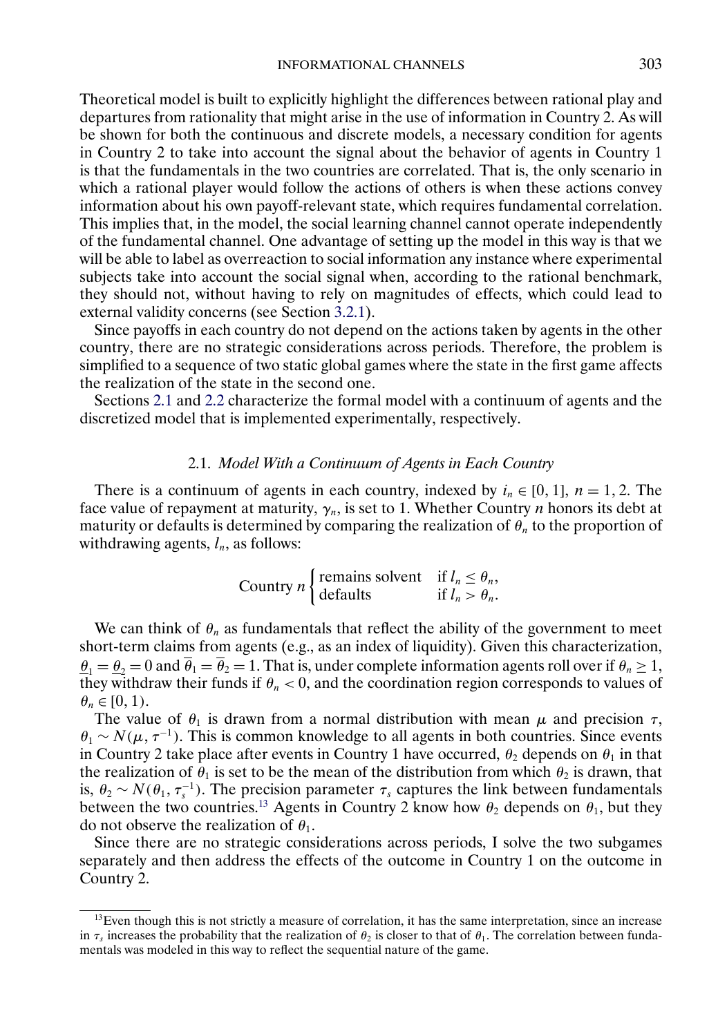<span id="page-6-0"></span>Theoretical model is built to explicitly highlight the differences between rational play and departures from rationality that might arise in the use of information in Country 2. As will be shown for both the continuous and discrete models, a necessary condition for agents in Country 2 to take into account the signal about the behavior of agents in Country 1 is that the fundamentals in the two countries are correlated. That is, the only scenario in which a rational player would follow the actions of others is when these actions convey information about his own payoff-relevant state, which requires fundamental correlation. This implies that, in the model, the social learning channel cannot operate independently of the fundamental channel. One advantage of setting up the model in this way is that we will be able to label as overreaction to social information any instance where experimental subjects take into account the social signal when, according to the rational benchmark, they should not, without having to rely on magnitudes of effects, which could lead to external validity concerns (see Section [3.2.1\)](#page-14-0).

Since payoffs in each country do not depend on the actions taken by agents in the other country, there are no strategic considerations across periods. Therefore, the problem is simplified to a sequence of two static global games where the state in the first game affects the realization of the state in the second one.

Sections 2.1 and [2.2](#page-9-0) characterize the formal model with a continuum of agents and the discretized model that is implemented experimentally, respectively.

# 2.1. *Model With a Continuum of Agents in Each Country*

There is a continuum of agents in each country, indexed by  $i_n \in [0, 1]$ ,  $n = 1, 2$ . The face value of repayment at maturity,  $\gamma_n$ , is set to 1. Whether Country *n* honors its debt at maturity or defaults is determined by comparing the realization of  $\theta_n$  to the proportion of withdrawing agents,  $l_n$ , as follows:

Country *n* {remains solvent if 
$$
l_n \le \theta_n
$$
,  
defaults if  $l_n > \theta_n$ .

We can think of  $\theta_n$  as fundamentals that reflect the ability of the government to meet short-term claims from agents (e.g., as an index of liquidity). Given this characterization,  $\underline{\theta}_1 = \underline{\theta}_2 = 0$  and  $\overline{\theta}_1 = \overline{\theta}_2 = 1$ . That is, under complete information agents roll over if  $\theta_n \ge 1$ , they withdraw their funds if  $\theta_n < 0$ , and the coordination region corresponds to values of  $\theta_n \in [0, 1)$ .

The value of  $\theta_1$  is drawn from a normal distribution with mean  $\mu$  and precision  $\tau$ ,  $\theta_1 \sim N(\mu, \tau^{-1})$ . This is common knowledge to all agents in both countries. Since events in Country 2 take place after events in Country 1 have occurred,  $\theta_2$  depends on  $\theta_1$  in that the realization of  $\hat{\theta}_1$  is set to be the mean of the distribution from which  $\theta_2$  is drawn, that is,  $\theta_2 \sim N(\theta_1, \tau_s^{-1})$ . The precision parameter  $\tau_s$  captures the link between fundamentals between the two countries.<sup>13</sup> Agents in Country 2 know how  $\theta_2$  depends on  $\theta_1$ , but they do not observe the realization of  $\theta_1$ .

Since there are no strategic considerations across periods, I solve the two subgames separately and then address the effects of the outcome in Country 1 on the outcome in Country 2.

<sup>&</sup>lt;sup>13</sup>Even though this is not strictly a measure of correlation, it has the same interpretation, since an increase in  $\tau_s$  increases the probability that the realization of  $\theta_2$  is closer to that of  $\theta_1$ . The correlation between fundamentals was modeled in this way to reflect the sequential nature of the game.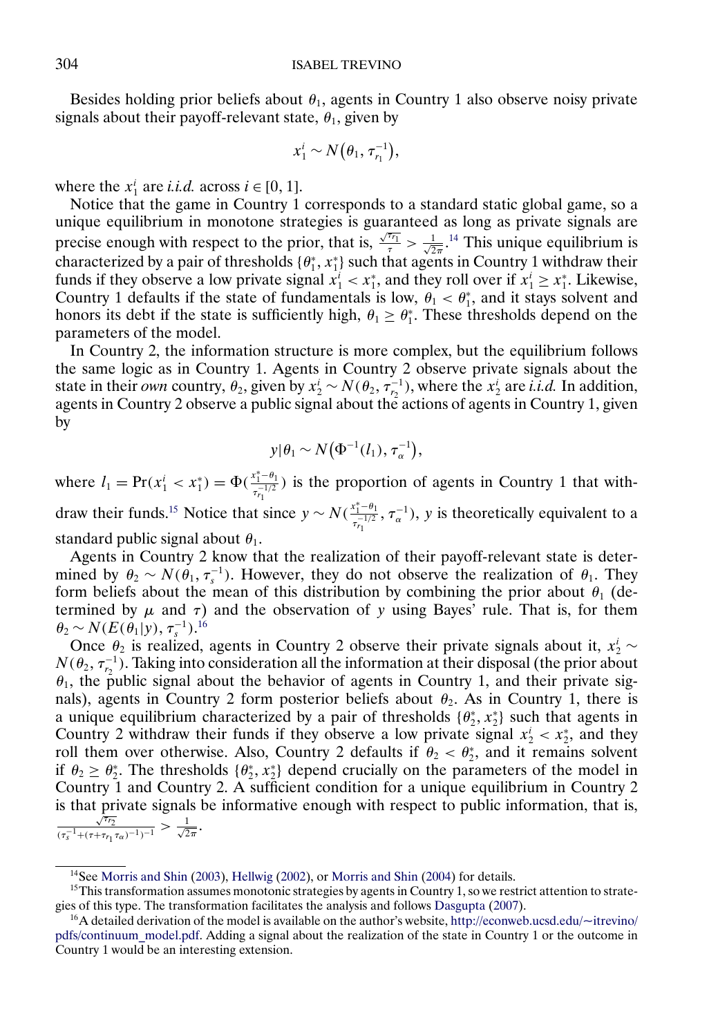<span id="page-7-0"></span>Besides holding prior beliefs about  $\theta_1$ , agents in Country 1 also observe noisy private signals about their payoff-relevant state,  $\theta_1$ , given by

$$
x_1^i \sim N(\theta_1, \tau_{r_1}^{-1}),
$$

where the  $x_1^i$  are *i.i.d.* across  $i \in [0, 1]$ .

Notice that the game in Country 1 corresponds to a standard static global game, so a unique equilibrium in monotone strategies is guaranteed as long as private signals are precise enough with respect to the prior, that is,  $\frac{\sqrt{\tau_1}}{\tau_1} > \frac{1}{\sqrt{2\pi}}$ .<sup>14</sup> This unique equilibrium is characterized by a pair of thresholds  $\{\theta_1^*, x_1^*\}$  such that agents in Country 1 withdraw their funds if they observe a low private signal  $x_1^i < x_1^*$ , and they roll over if  $x_1^i \geq x_1^*$ . Likewise, Country 1 defaults if the state of fundamentals is low,  $\theta_1 < \theta_1^*$ , and it stays solvent and honors its debt if the state is sufficiently high,  $\theta_1 \ge \theta_1^*$ . These thresholds depend on the parameters of the model.

In Country 2, the information structure is more complex, but the equilibrium follows the same logic as in Country 1. Agents in Country 2 observe private signals about the state in their *own* country,  $\theta_2$ , given by  $x_2^i \sim N(\theta_2, \tau_{r_2}^{-1})$ , where the  $x_2^i$  are *i.i.d.* In addition, agents in Country 2 observe a public signal about the actions of agents in Country 1, given by

$$
y|\theta_1 \sim N(\Phi^{-1}(l_1), \tau_\alpha^{-1}),
$$

where  $l_1 = \Pr(x_1^i < x_1^*) = \Phi(\frac{x_1^* - \theta_1}{\pi^{-1/2}})$  $\frac{\tau_1 - \sigma_1}{\tau_1^{1/2}}$ ) is the proportion of agents in Country 1 that withdraw their funds.<sup>15</sup> Notice that since  $y \sim N(\frac{x_1^* - \theta_1}{-1/2})$  $\tau_{\tau_1}^{\frac{\gamma_1-\theta_1}{\tau_1/2}}$ ,  $\tau_{\alpha}^{-1}$ ), y is theoretically equivalent to a standard public signal about  $\theta_1$ .

Agents in Country 2 know that the realization of their payoff-relevant state is determined by  $\theta_2 \sim N(\theta_1, \tau_s^{-1})$ . However, they do not observe the realization of  $\theta_1$ . They form beliefs about the mean of this distribution by combining the prior about  $\theta_1$  (determined by  $\mu$  and  $\tau$ ) and the observation of y using Bayes' rule. That is, for them  $\theta_2 \sim N(E(\theta_1|y), \tau_s^{-1}).^{16}$ 

Once  $\theta_2$  is realized, agents in Country 2 observe their private signals about it,  $x_2^i$  ~  $N(\theta_2, \tau_{r_2}^{-1})$ . Taking into consideration all the information at their disposal (the prior about  $\theta_1$ , the public signal about the behavior of agents in Country 1, and their private signals), agents in Country 2 form posterior beliefs about  $\theta_2$ . As in Country 1, there is a unique equilibrium characterized by a pair of thresholds  $\{\theta_2^*, x_2^*\}$  such that agents in Country 2 withdraw their funds if they observe a low private signal  $x_2^i < x_2^*$ , and they roll them over otherwise. Also, Country 2 defaults if  $\theta_2 < \theta_2^*$ , and it remains solvent if  $\theta_2 \geq \theta_2^*$ . The thresholds  $\{\theta_2^*, x_2^*\}$  depend crucially on the parameters of the model in Country 1 and Country 2. A sufficient condition for a unique equilibrium in Country 2 is that private signals be informative enough with respect to public information, that is,  $\frac{\sqrt{\tau_{r_2}}}{(\tau_s^{-1}+(\tau+\tau_{r_1}\tau_\alpha)^{-1})^{-1}} > \frac{1}{\sqrt{2\pi}}.$ 

<sup>14</sup>See [Morris and Shin](#page-38-0) [\(2003\)](#page-38-0), [Hellwig](#page-38-0) [\(2002\)](#page-38-0), or [Morris and Shin](#page-38-0) [\(2004\)](#page-38-0) for details.

<sup>&</sup>lt;sup>15</sup>This transformation assumes monotonic strategies by agents in Country 1, so we restrict attention to strategies of this type. The transformation facilitates the analysis and follows [Dasgupta](#page-37-0) [\(2007\)](#page-37-0).

<sup>&</sup>lt;sup>16</sup>A detailed derivation of the model is available on the author's website, [http://econweb.ucsd.edu/~itrevino/](http://econweb.ucsd.edu/~itrevino/pdfs/continuum_model.pdf) [pdfs/continuum\\_model.pdf](http://econweb.ucsd.edu/~itrevino/pdfs/continuum_model.pdf). Adding a signal about the realization of the state in Country 1 or the outcome in Country 1 would be an interesting extension.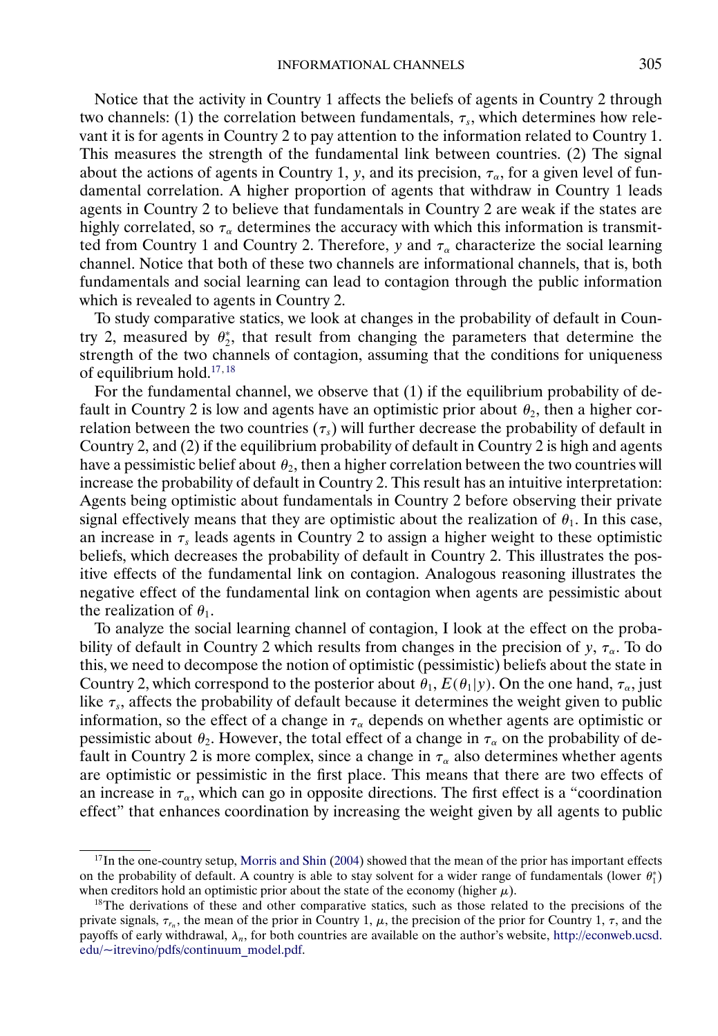<span id="page-8-0"></span>Notice that the activity in Country 1 affects the beliefs of agents in Country 2 through two channels: (1) the correlation between fundamentals,  $\tau_s$ , which determines how relevant it is for agents in Country 2 to pay attention to the information related to Country 1. This measures the strength of the fundamental link between countries. (2) The signal about the actions of agents in Country 1, y, and its precision,  $\tau_{\alpha}$ , for a given level of fundamental correlation. A higher proportion of agents that withdraw in Country 1 leads agents in Country 2 to believe that fundamentals in Country 2 are weak if the states are highly correlated, so  $\tau_{\alpha}$  determines the accuracy with which this information is transmitted from Country 1 and Country 2. Therefore, y and  $\tau_{\alpha}$  characterize the social learning channel. Notice that both of these two channels are informational channels, that is, both fundamentals and social learning can lead to contagion through the public information which is revealed to agents in Country 2.

To study comparative statics, we look at changes in the probability of default in Country 2, measured by  $\theta_2^*$ , that result from changing the parameters that determine the strength of the two channels of contagion, assuming that the conditions for uniqueness of equilibrium hold.<sup>17,18</sup>

For the fundamental channel, we observe that (1) if the equilibrium probability of default in Country 2 is low and agents have an optimistic prior about  $\theta_2$ , then a higher correlation between the two countries  $(\tau_s)$  will further decrease the probability of default in Country 2, and (2) if the equilibrium probability of default in Country 2 is high and agents have a pessimistic belief about  $\theta_2$ , then a higher correlation between the two countries will increase the probability of default in Country 2. This result has an intuitive interpretation: Agents being optimistic about fundamentals in Country 2 before observing their private signal effectively means that they are optimistic about the realization of  $\theta_1$ . In this case, an increase in  $\tau_s$  leads agents in Country 2 to assign a higher weight to these optimistic beliefs, which decreases the probability of default in Country 2. This illustrates the positive effects of the fundamental link on contagion. Analogous reasoning illustrates the negative effect of the fundamental link on contagion when agents are pessimistic about the realization of  $\theta_1$ .

To analyze the social learning channel of contagion, I look at the effect on the probability of default in Country 2 which results from changes in the precision of y,  $\tau_{\alpha}$ . To do this, we need to decompose the notion of optimistic (pessimistic) beliefs about the state in Country 2, which correspond to the posterior about  $\theta_1$ ,  $E(\theta_1|y)$ . On the one hand,  $\tau_\alpha$ , just like  $\tau_s$ , affects the probability of default because it determines the weight given to public information, so the effect of a change in  $\tau_{\alpha}$  depends on whether agents are optimistic or pessimistic about  $\theta_2$ . However, the total effect of a change in  $\tau_\alpha$  on the probability of default in Country 2 is more complex, since a change in  $\tau_{\alpha}$  also determines whether agents are optimistic or pessimistic in the first place. This means that there are two effects of an increase in  $\tau_a$ , which can go in opposite directions. The first effect is a "coordination" effect" that enhances coordination by increasing the weight given by all agents to public

 $17$ In the one-country setup, [Morris and Shin](#page-38-0) [\(2004\)](#page-38-0) showed that the mean of the prior has important effects on the probability of default. A country is able to stay solvent for a wider range of fundamentals (lower  $\theta_1^*$ ) when creditors hold an optimistic prior about the state of the economy (higher  $\mu$ ).

<sup>&</sup>lt;sup>18</sup>The derivations of these and other comparative statics, such as those related to the precisions of the private signals,  $\tau_{r_n}$ , the mean of the prior in Country 1,  $\mu$ , the precision of the prior for Country 1,  $\tau$ , and the payoffs of early withdrawal,  $\lambda_n$ , for both countries are available on the author's website, [http://econweb.ucsd.](http://econweb.ucsd.edu/~itrevino/pdfs/continuum_model.pdf) [edu/~itrevino/pdfs/continuum\\_model.pdf.](http://econweb.ucsd.edu/~itrevino/pdfs/continuum_model.pdf)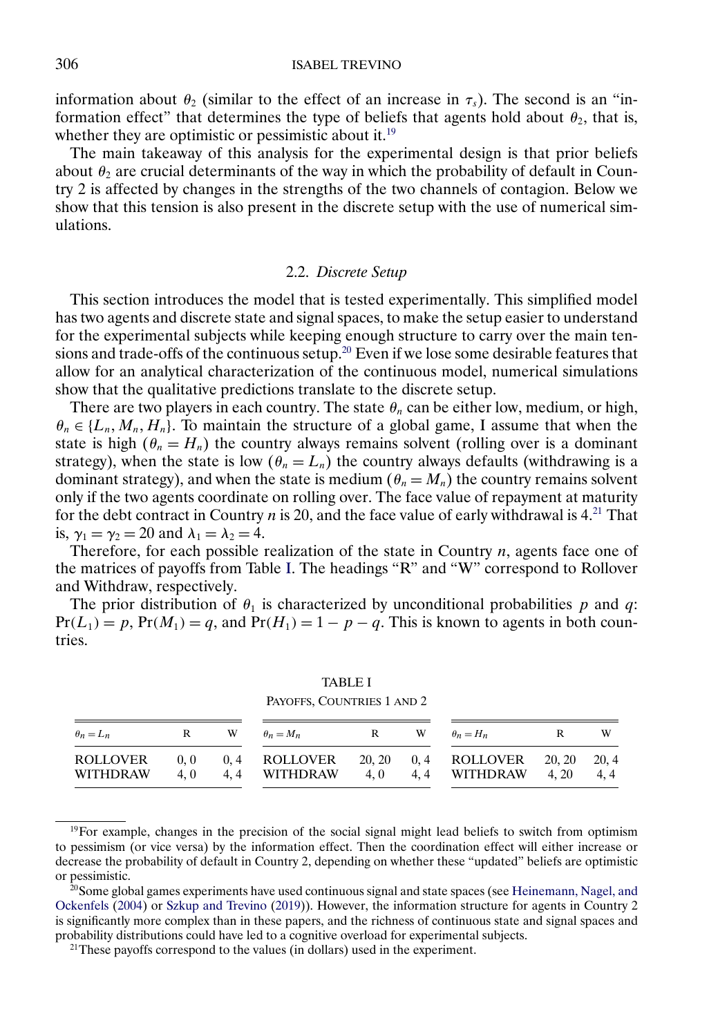<span id="page-9-0"></span>information about  $\theta_2$  (similar to the effect of an increase in  $\tau_s$ ). The second is an "information effect" that determines the type of beliefs that agents hold about  $\theta_2$ , that is, whether they are optimistic or pessimistic about it.<sup>19</sup>

The main takeaway of this analysis for the experimental design is that prior beliefs about  $\theta_2$  are crucial determinants of the way in which the probability of default in Country 2 is affected by changes in the strengths of the two channels of contagion. Below we show that this tension is also present in the discrete setup with the use of numerical simulations.

### 2.2. *Discrete Setup*

This section introduces the model that is tested experimentally. This simplified model has two agents and discrete state and signal spaces, to make the setup easier to understand for the experimental subjects while keeping enough structure to carry over the main tensions and trade-offs of the continuous setup.<sup>20</sup> Even if we lose some desirable features that allow for an analytical characterization of the continuous model, numerical simulations show that the qualitative predictions translate to the discrete setup.

There are two players in each country. The state  $\theta_n$  can be either low, medium, or high,  $\theta_n \in \{L_n, M_n, H_n\}$ . To maintain the structure of a global game, I assume that when the state is high  $(\theta_n = H_n)$  the country always remains solvent (rolling over is a dominant strategy), when the state is low  $(\theta_n = L_n)$  the country always defaults (withdrawing is a dominant strategy), and when the state is medium ( $\theta_n = M_n$ ) the country remains solvent only if the two agents coordinate on rolling over. The face value of repayment at maturity for the debt contract in Country  $n$  is 20, and the face value of early withdrawal is 4.<sup>21</sup> That is,  $\gamma_1 = \gamma_2 = 20$  and  $\lambda_1 = \lambda_2 = 4$ .

Therefore, for each possible realization of the state in Country  $n$ , agents face one of the matrices of payoffs from Table I. The headings "R" and "W" correspond to Rollover and Withdraw, respectively.

The prior distribution of  $\theta_1$  is characterized by unconditional probabilities p and q:  $Pr(L_1) = p$ ,  $Pr(M_1) = q$ , and  $Pr(H_1) = 1 - p - q$ . This is known to agents in both countries.

TABLE I PAYOFFS, COUNTRIES 1 AND 2

| $\theta_n = L_n$            | R   | W | $\theta_n = M_n$                                            | R W | $\theta_n = H_n$ | R              |              |
|-----------------------------|-----|---|-------------------------------------------------------------|-----|------------------|----------------|--------------|
| ROLLOVER<br><b>WITHDRAW</b> | 4.0 |   | $0,0$ $0,4$ ROLLOVER $20,20$ $0,4$ ROLLOVER<br>4.4 WITHDRAW | 4.0 | 4.4 WITHDRAW     | 20, 20<br>4.20 | 20, 4<br>4.4 |

 $19$ For example, changes in the precision of the social signal might lead beliefs to switch from optimism to pessimism (or vice versa) by the information effect. Then the coordination effect will either increase or decrease the probability of default in Country 2, depending on whether these "updated" beliefs are optimistic or pessimistic.

 $^{20}$ Some global games experiments have used continuous signal and state spaces (see [Heinemann, Nagel, and](#page-38-0) [Ockenfels](#page-38-0) [\(2004\)](#page-38-0) or [Szkup and Trevino](#page-38-0) [\(2019\)](#page-38-0)). However, the information structure for agents in Country 2 is significantly more complex than in these papers, and the richness of continuous state and signal spaces and probability distributions could have led to a cognitive overload for experimental subjects.

 $21$ <sup>21</sup>These payoffs correspond to the values (in dollars) used in the experiment.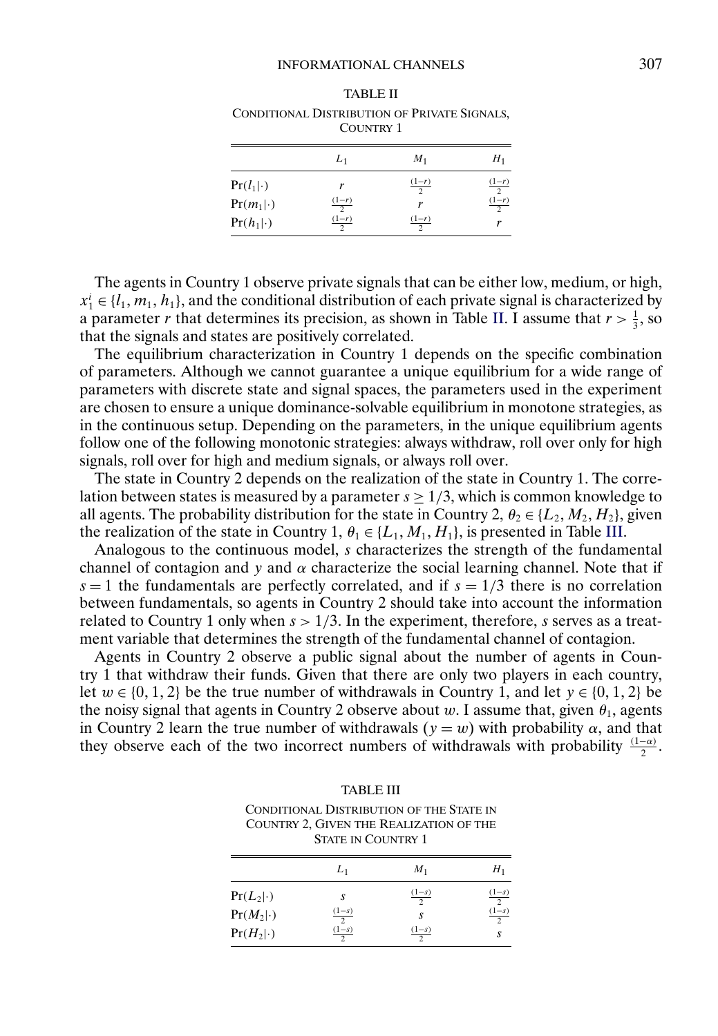#### INFORMATIONAL CHANNELS 307

<span id="page-10-0"></span>

| <b>TABLE II</b>  |                                              |  |
|------------------|----------------------------------------------|--|
|                  | CONDITIONAL DISTRIBUTION OF PRIVATE SIGNALS, |  |
| <b>COUNTRY 1</b> |                                              |  |
|                  | $\bm{M}$                                     |  |

|                 | $L_1$             | $M_1$          | $H_1$             |
|-----------------|-------------------|----------------|-------------------|
| $Pr(l_1 \cdot)$ | r                 | $(1 - r)$      | $(1 - r)$         |
| $Pr(m_1 \cdot)$ | $\frac{(1-r)}{2}$ | $\overline{2}$ | $\overline{2}$    |
| $Pr(h_1 \cdot)$ | $(1-r)$           | $(1-r)$        | $\frac{(1-r)}{2}$ |

The agents in Country 1 observe private signals that can be either low, medium, or high,  $x_1^i \in \{l_1, m_1, h_1\}$ , and the conditional distribution of each private signal is characterized by a parameter r that determines its precision, as shown in Table II. I assume that  $r > \frac{1}{3}$ , so that the signals and states are positively correlated.

The equilibrium characterization in Country 1 depends on the specific combination of parameters. Although we cannot guarantee a unique equilibrium for a wide range of parameters with discrete state and signal spaces, the parameters used in the experiment are chosen to ensure a unique dominance-solvable equilibrium in monotone strategies, as in the continuous setup. Depending on the parameters, in the unique equilibrium agents follow one of the following monotonic strategies: always withdraw, roll over only for high signals, roll over for high and medium signals, or always roll over.

The state in Country 2 depends on the realization of the state in Country 1. The correlation between states is measured by a parameter  $s \geq 1/3$ , which is common knowledge to all agents. The probability distribution for the state in Country 2,  $\theta_2 \in \{L_2, M_2, H_2\}$ , given the realization of the state in Country 1,  $\theta_1 \in \{L_1, M_1, H_1\}$ , is presented in Table III.

Analogous to the continuous model, s characterizes the strength of the fundamental channel of contagion and y and  $\alpha$  characterize the social learning channel. Note that if  $s = 1$  the fundamentals are perfectly correlated, and if  $s = 1/3$  there is no correlation between fundamentals, so agents in Country 2 should take into account the information related to Country 1 only when  $s > 1/3$ . In the experiment, therefore, s serves as a treatment variable that determines the strength of the fundamental channel of contagion.

Agents in Country 2 observe a public signal about the number of agents in Country 1 that withdraw their funds. Given that there are only two players in each country, let  $w \in \{0, 1, 2\}$  be the true number of withdrawals in Country 1, and let  $y \in \{0, 1, 2\}$  be the noisy signal that agents in Country 2 observe about w. I assume that, given  $\theta_1$ , agents in Country 2 learn the true number of withdrawals ( $y = w$ ) with probability  $\alpha$ , and that they observe each of the two incorrect numbers of withdrawals with probability  $\frac{(1-\alpha)}{2}$ .

| CONDITIONAL DISTRIBUTION OF THE STATE IN<br>COUNTRY 2, GIVEN THE REALIZATION OF THE | <b>TABLE III</b>          |
|-------------------------------------------------------------------------------------|---------------------------|
|                                                                                     | <b>STATE IN COUNTRY 1</b> |

|                                                       | $L_1$                                       | $M_1$                             | $H_1$                                  |
|-------------------------------------------------------|---------------------------------------------|-----------------------------------|----------------------------------------|
| $Pr(L_2 \cdot)$<br>$Pr(M_2 \cdot)$<br>$Pr(H_2 \cdot)$ | S<br>$\frac{(1-s)}{2}$<br>$\frac{(1-s)}{2}$ | $\frac{(1-s)}{2}$<br>S<br>$(1-s)$ | $\frac{(1-s)}{2}$<br>$\frac{(1-s)}{2}$ |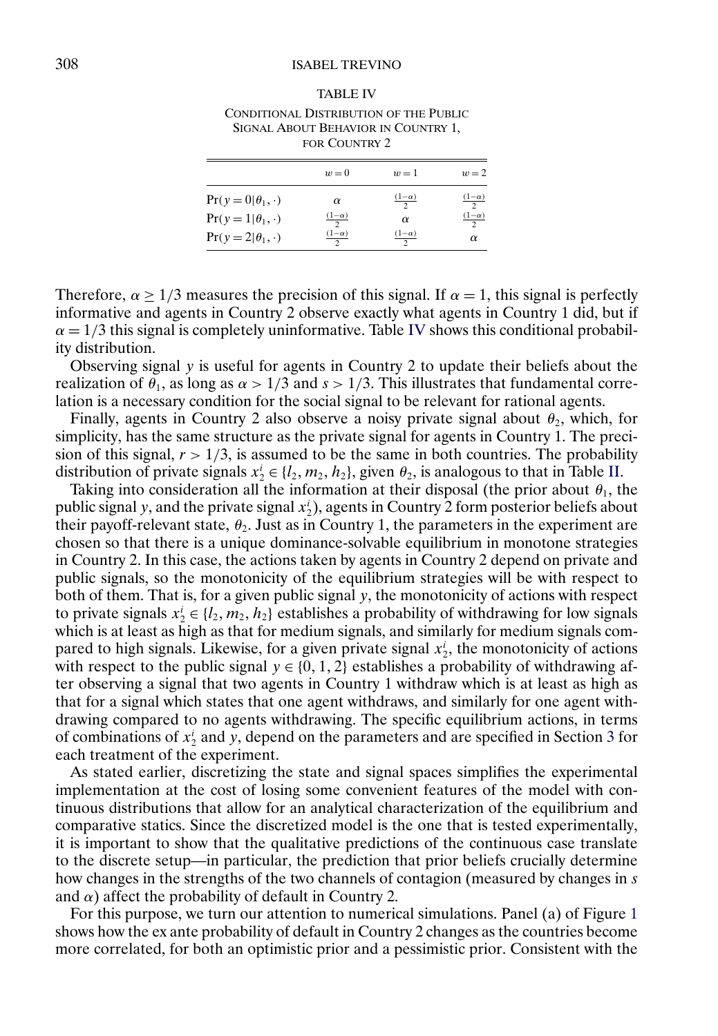| <b>TABLE IV</b>                        |
|----------------------------------------|
| CONDITIONAL DISTRIBUTION OF THE PUBLIC |
| SIGNAL ABOUT BEHAVIOR IN COUNTRY 1.    |
| FOR COUNTRY 2                          |

|                                                                                     | $w=0$                                              | $w=1$                                              | $w=2$                                                                |
|-------------------------------------------------------------------------------------|----------------------------------------------------|----------------------------------------------------|----------------------------------------------------------------------|
| $Pr(y=0 \theta_1, \cdot)$<br>$Pr(y=1 \theta_1, \cdot)$<br>$Pr(y=2 \theta_1, \cdot)$ | $\alpha$<br>$\frac{(1-\alpha)}{2}$<br>$(1-\alpha)$ | $\frac{(1-\alpha)}{2}$<br>$\alpha$<br>$(1-\alpha)$ | $\frac{(1-\alpha)}{2}$<br>$(1-\alpha)$<br>$\overline{2}$<br>$\alpha$ |

Therefore,  $\alpha \geq 1/3$  measures the precision of this signal. If  $\alpha = 1$ , this signal is perfectly informative and agents in Country 2 observe exactly what agents in Country 1 did, but if  $\alpha = 1/3$  this signal is completely uninformative. Table IV shows this conditional probability distribution.

Observing signal  $y$  is useful for agents in Country 2 to update their beliefs about the realization of  $\theta_1$ , as long as  $\alpha > 1/3$  and  $s > 1/3$ . This illustrates that fundamental correlation is a necessary condition for the social signal to be relevant for rational agents.

Finally, agents in Country 2 also observe a noisy private signal about  $\theta_2$ , which, for simplicity, has the same structure as the private signal for agents in Country 1. The precision of this signal,  $r > 1/3$ , is assumed to be the same in both countries. The probability distribution of private signals  $x_2^i \in \{l_2, m_2, h_2\}$ , given  $\theta_2$ , is analogous to that in Table [II.](#page-10-0)

Taking into consideration all the information at their disposal (the prior about  $\theta_1$ , the public signal y, and the private signal  $x_2^i$ ), agents in Country 2 form posterior beliefs about their payoff-relevant state,  $\theta_2$ . Just as in Country 1, the parameters in the experiment are chosen so that there is a unique dominance-solvable equilibrium in monotone strategies in Country 2. In this case, the actions taken by agents in Country 2 depend on private and public signals, so the monotonicity of the equilibrium strategies will be with respect to both of them. That is, for a given public signal y, the monotonicity of actions with respect to private signals  $x_2^i \in \{l_2, m_2, h_2\}$  establishes a probability of withdrawing for low signals which is at least as high as that for medium signals, and similarly for medium signals compared to high signals. Likewise, for a given private signal  $x_2^i$ , the monotonicity of actions with respect to the public signal  $y \in \{0, 1, 2\}$  establishes a probability of withdrawing after observing a signal that two agents in Country 1 withdraw which is at least as high as that for a signal which states that one agent withdraws, and similarly for one agent withdrawing compared to no agents withdrawing. The specific equilibrium actions, in terms of combinations of  $x_2^i$  and y, depend on the parameters and are specified in Section [3](#page-12-0) for each treatment of the experiment.

As stated earlier, discretizing the state and signal spaces simplifies the experimental implementation at the cost of losing some convenient features of the model with continuous distributions that allow for an analytical characterization of the equilibrium and comparative statics. Since the discretized model is the one that is tested experimentally, it is important to show that the qualitative predictions of the continuous case translate to the discrete setup—in particular, the prediction that prior beliefs crucially determine how changes in the strengths of the two channels of contagion (measured by changes in s and  $\alpha$ ) affect the probability of default in Country 2.

For this purpose, we turn our attention to numerical simulations. Panel (a) of Figure [1](#page-12-0) shows how the ex ante probability of default in Country 2 changes as the countries become more correlated, for both an optimistic prior and a pessimistic prior. Consistent with the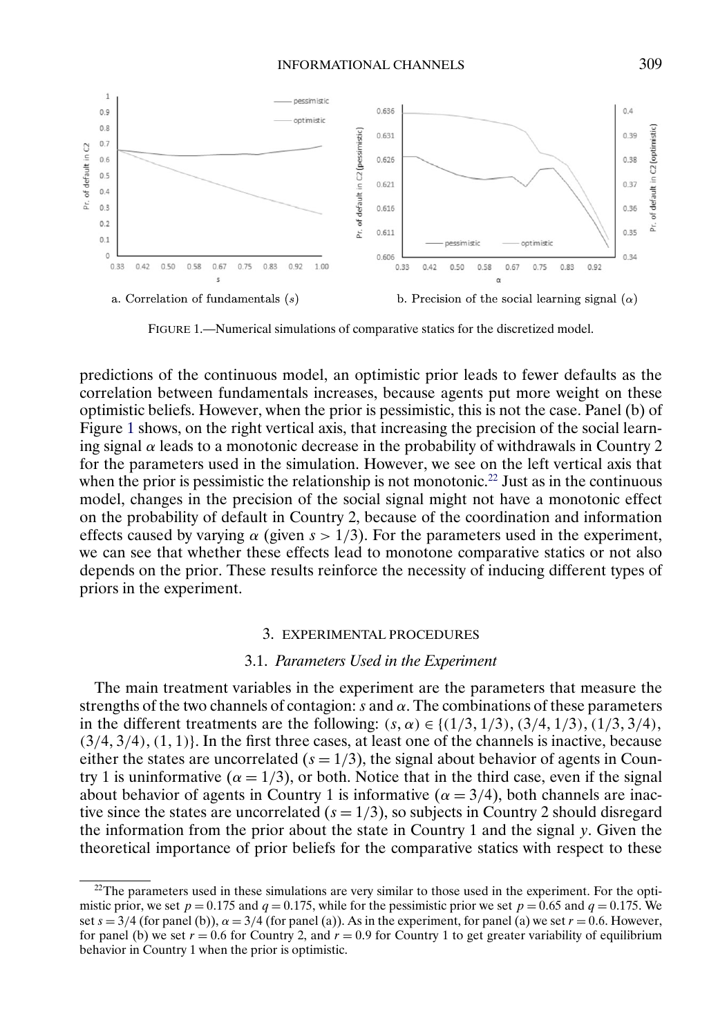<span id="page-12-0"></span>

FIGURE 1.—Numerical simulations of comparative statics for the discretized model.

predictions of the continuous model, an optimistic prior leads to fewer defaults as the correlation between fundamentals increases, because agents put more weight on these optimistic beliefs. However, when the prior is pessimistic, this is not the case. Panel (b) of Figure 1 shows, on the right vertical axis, that increasing the precision of the social learning signal  $\alpha$  leads to a monotonic decrease in the probability of withdrawals in Country 2 for the parameters used in the simulation. However, we see on the left vertical axis that when the prior is pessimistic the relationship is not monotonic.<sup>22</sup> Just as in the continuous model, changes in the precision of the social signal might not have a monotonic effect on the probability of default in Country 2, because of the coordination and information effects caused by varying  $\alpha$  (given  $s > 1/3$ ). For the parameters used in the experiment, we can see that whether these effects lead to monotone comparative statics or not also depends on the prior. These results reinforce the necessity of inducing different types of priors in the experiment.

### 3. EXPERIMENTAL PROCEDURES

#### 3.1. *Parameters Used in the Experiment*

The main treatment variables in the experiment are the parameters that measure the strengths of the two channels of contagion: s and  $\alpha$ . The combinations of these parameters in the different treatments are the following:  $(s, \alpha) \in \{(1/3, 1/3), (3/4, 1/3), (1/3, 3/4),$  $(3/4, 3/4)$ ,  $(1, 1)$ . In the first three cases, at least one of the channels is inactive, because either the states are uncorrelated  $(s = 1/3)$ , the signal about behavior of agents in Country 1 is uninformative ( $\alpha = 1/3$ ), or both. Notice that in the third case, even if the signal about behavior of agents in Country 1 is informative ( $\alpha = 3/4$ ), both channels are inactive since the states are uncorrelated  $(s = 1/3)$ , so subjects in Country 2 should disregard the information from the prior about the state in Country 1 and the signal y. Given the theoretical importance of prior beliefs for the comparative statics with respect to these

 $22$ The parameters used in these simulations are very similar to those used in the experiment. For the optimistic prior, we set  $p = 0.175$  and  $q = 0.175$ , while for the pessimistic prior we set  $p = 0.65$  and  $q = 0.175$ . We set  $s = 3/4$  (for panel (b)),  $\alpha = 3/4$  (for panel (a)). As in the experiment, for panel (a) we set  $r = 0.6$ . However, for panel (b) we set  $r = 0.6$  for Country 2, and  $r = 0.9$  for Country 1 to get greater variability of equilibrium behavior in Country 1 when the prior is optimistic.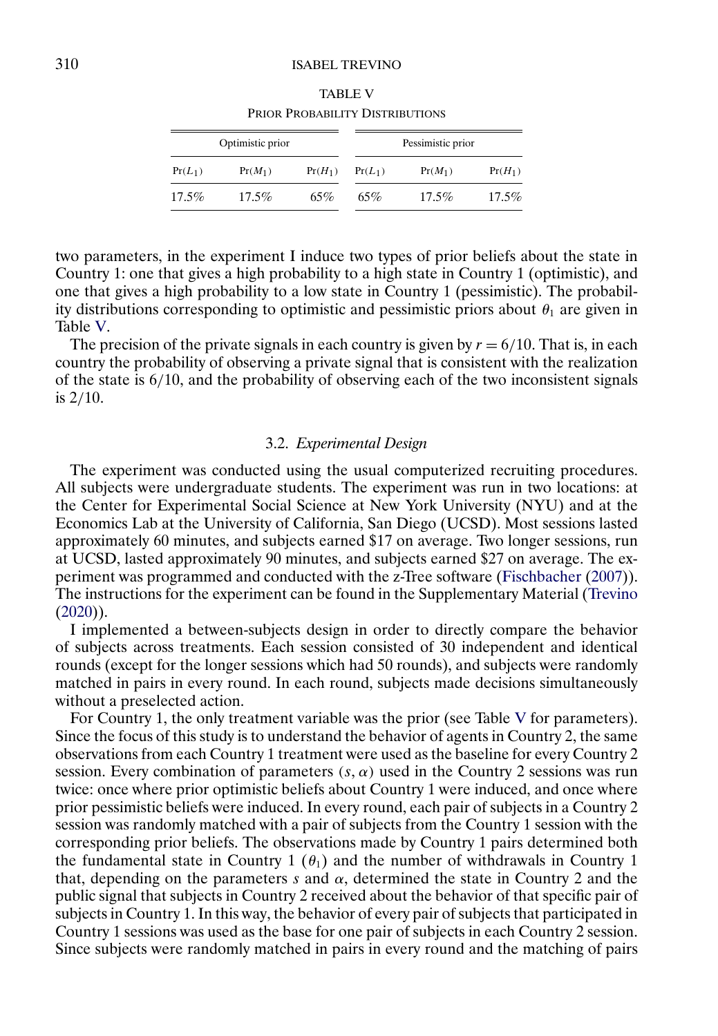TABLE V PRIOR PROBABILITY DISTRIBUTIONS

|           | Optimistic prior |           |           | Pessimistic prior |           |
|-----------|------------------|-----------|-----------|-------------------|-----------|
| $Pr(L_1)$ | $Pr(M_1)$        | $Pr(H_1)$ | $Pr(L_1)$ | $Pr(M_1)$         | $Pr(H_1)$ |
| $17.5\%$  | $17.5\%$         | 65%       | 65%       | $17.5\%$          | 17.5%     |

two parameters, in the experiment I induce two types of prior beliefs about the state in Country 1: one that gives a high probability to a high state in Country 1 (optimistic), and one that gives a high probability to a low state in Country 1 (pessimistic). The probability distributions corresponding to optimistic and pessimistic priors about  $\theta_1$  are given in Table V.

The precision of the private signals in each country is given by  $r = 6/10$ . That is, in each country the probability of observing a private signal that is consistent with the realization of the state is 6/10, and the probability of observing each of the two inconsistent signals is 2/10.

# 3.2. *Experimental Design*

The experiment was conducted using the usual computerized recruiting procedures. All subjects were undergraduate students. The experiment was run in two locations: at the Center for Experimental Social Science at New York University (NYU) and at the Economics Lab at the University of California, San Diego (UCSD). Most sessions lasted approximately 60 minutes, and subjects earned \$17 on average. Two longer sessions, run at UCSD, lasted approximately 90 minutes, and subjects earned \$27 on average. The experiment was programmed and conducted with the z-Tree software [\(Fischbacher](#page-37-0) [\(2007\)](#page-37-0)). The instructions for the experiment can be found in the Supplementary Material [\(Trevino](#page-38-0)  $(2020)$ ).

I implemented a between-subjects design in order to directly compare the behavior of subjects across treatments. Each session consisted of 30 independent and identical rounds (except for the longer sessions which had 50 rounds), and subjects were randomly matched in pairs in every round. In each round, subjects made decisions simultaneously without a preselected action.

For Country 1, the only treatment variable was the prior (see Table V for parameters). Since the focus of this study is to understand the behavior of agents in Country 2, the same observations from each Country 1 treatment were used as the baseline for every Country 2 session. Every combination of parameters  $(s, \alpha)$  used in the Country 2 sessions was run twice: once where prior optimistic beliefs about Country 1 were induced, and once where prior pessimistic beliefs were induced. In every round, each pair of subjects in a Country 2 session was randomly matched with a pair of subjects from the Country 1 session with the corresponding prior beliefs. The observations made by Country 1 pairs determined both the fundamental state in Country 1 ( $\theta_1$ ) and the number of withdrawals in Country 1 that, depending on the parameters s and  $\alpha$ , determined the state in Country 2 and the public signal that subjects in Country 2 received about the behavior of that specific pair of subjects in Country 1. In this way, the behavior of every pair of subjects that participated in Country 1 sessions was used as the base for one pair of subjects in each Country 2 session. Since subjects were randomly matched in pairs in every round and the matching of pairs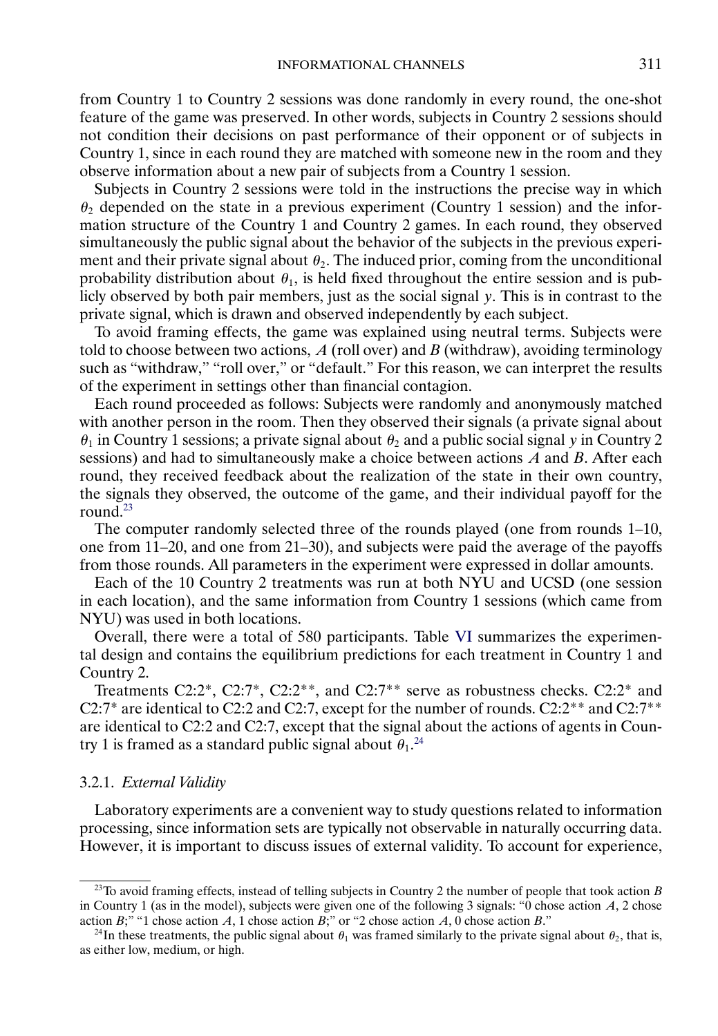<span id="page-14-0"></span>from Country 1 to Country 2 sessions was done randomly in every round, the one-shot feature of the game was preserved. In other words, subjects in Country 2 sessions should not condition their decisions on past performance of their opponent or of subjects in Country 1, since in each round they are matched with someone new in the room and they observe information about a new pair of subjects from a Country 1 session.

Subjects in Country 2 sessions were told in the instructions the precise way in which  $\theta_2$  depended on the state in a previous experiment (Country 1 session) and the information structure of the Country 1 and Country 2 games. In each round, they observed simultaneously the public signal about the behavior of the subjects in the previous experiment and their private signal about  $\theta_2$ . The induced prior, coming from the unconditional probability distribution about  $\theta_1$ , is held fixed throughout the entire session and is publicly observed by both pair members, just as the social signal y. This is in contrast to the private signal, which is drawn and observed independently by each subject.

To avoid framing effects, the game was explained using neutral terms. Subjects were told to choose between two actions,  $A$  (roll over) and B (withdraw), avoiding terminology such as "withdraw," "roll over," or "default." For this reason, we can interpret the results of the experiment in settings other than financial contagion.

Each round proceeded as follows: Subjects were randomly and anonymously matched with another person in the room. Then they observed their signals (a private signal about  $\theta_1$  in Country 1 sessions; a private signal about  $\theta_2$  and a public social signal y in Country 2 sessions) and had to simultaneously make a choice between actions  $A$  and  $B$ . After each round, they received feedback about the realization of the state in their own country, the signals they observed, the outcome of the game, and their individual payoff for the round. $^{23}$ 

The computer randomly selected three of the rounds played (one from rounds 1–10, one from 11–20, and one from 21–30), and subjects were paid the average of the payoffs from those rounds. All parameters in the experiment were expressed in dollar amounts.

Each of the 10 Country 2 treatments was run at both NYU and UCSD (one session in each location), and the same information from Country 1 sessions (which came from NYU) was used in both locations.

Overall, there were a total of 580 participants. Table [VI](#page-15-0) summarizes the experimental design and contains the equilibrium predictions for each treatment in Country 1 and Country 2.

Treatments C2:2\*, C2:7\*, C2:2\*\*, and C2:7\*\* serve as robustness checks. C2:2\* and C2:7\* are identical to C2:2 and C2:7, except for the number of rounds. C2:2\*\* and C2:7\*\* are identical to C2:2 and C2:7, except that the signal about the actions of agents in Country 1 is framed as a standard public signal about  $\theta_1$ .<sup>24</sup>

## 3.2.1. *External Validity*

Laboratory experiments are a convenient way to study questions related to information processing, since information sets are typically not observable in naturally occurring data. However, it is important to discuss issues of external validity. To account for experience,

 $^{23}$ To avoid framing effects, instead of telling subjects in Country 2 the number of people that took action B in Country 1 (as in the model), subjects were given one of the following 3 signals: "0 chose action A, 2 chose action  $B$ ;" "1 chose action A, 1 chose action  $B$ ;" or "2 chose action A, 0 chose action B."

<sup>&</sup>lt;sup>24</sup>In these treatments, the public signal about  $\theta_1$  was framed similarly to the private signal about  $\theta_2$ , that is, as either low, medium, or high.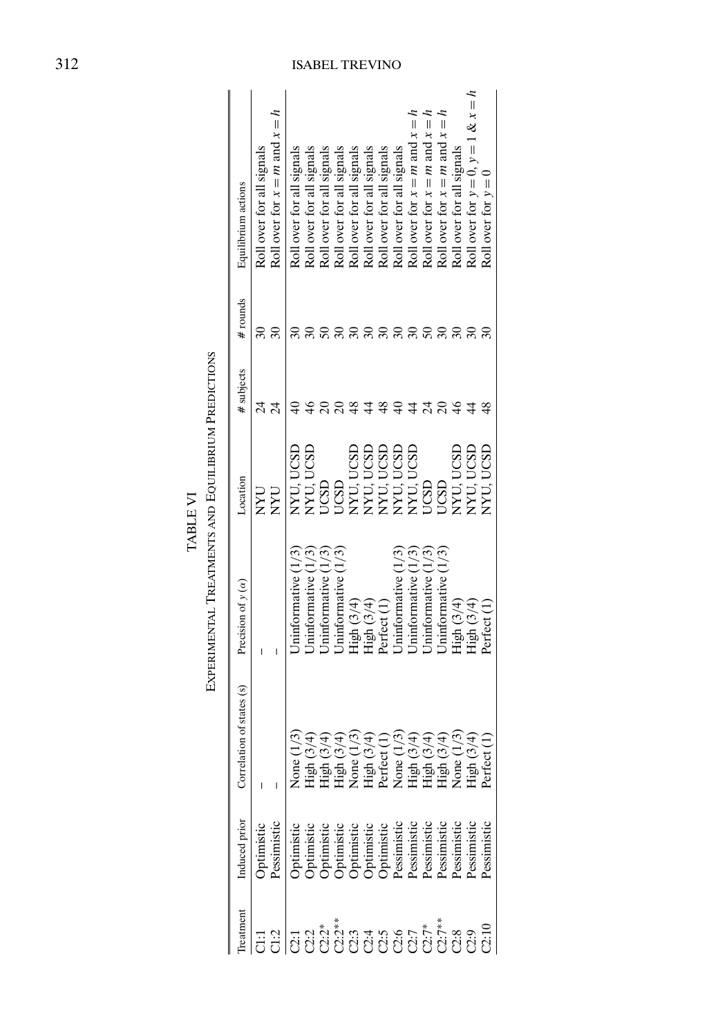| TARI E VI | ĺ<br>י רויית (<br>L TREATMENTS AND EQUILIBRIU<br>. ENT.<br>$\mathbf{m}$<br>.<br>.<br>. |
|-----------|----------------------------------------------------------------------------------------|
|-----------|----------------------------------------------------------------------------------------|

<span id="page-15-0"></span>

| eatment | Induced prior                                                                                                                                                                                                                                                                                                                                                                                                                                                                                                                                                        | tion of states (s)<br>Correla                                                                                                                 | Precision of $y(\alpha)$        | Location         | $#$ subjects | $#$ rounds | Equilibrium actions                       |
|---------|----------------------------------------------------------------------------------------------------------------------------------------------------------------------------------------------------------------------------------------------------------------------------------------------------------------------------------------------------------------------------------------------------------------------------------------------------------------------------------------------------------------------------------------------------------------------|-----------------------------------------------------------------------------------------------------------------------------------------------|---------------------------------|------------------|--------------|------------|-------------------------------------------|
|         | <b>Dotimistic</b>                                                                                                                                                                                                                                                                                                                                                                                                                                                                                                                                                    |                                                                                                                                               |                                 | LIXN             |              |            | Roll over for all signals                 |
|         | <b>Pessimistic</b>                                                                                                                                                                                                                                                                                                                                                                                                                                                                                                                                                   |                                                                                                                                               |                                 | NYU              | र्द          |            | Roll over for $x = m$ and $x = h$         |
|         | <b>Primistic</b>                                                                                                                                                                                                                                                                                                                                                                                                                                                                                                                                                     | None                                                                                                                                          | Jninformative (                 | NYU, UCSE        |              |            | Roll over for all signals                 |
|         |                                                                                                                                                                                                                                                                                                                                                                                                                                                                                                                                                                      | $\frac{3}{4}$                                                                                                                                 | Jninformative                   | NYU, UCSD        |              |            | Roll over for all signals                 |
|         |                                                                                                                                                                                                                                                                                                                                                                                                                                                                                                                                                                      | $\frac{3}{4}$                                                                                                                                 | Jninformative (                 | JCSD             |              |            | Roll over for all signals                 |
|         |                                                                                                                                                                                                                                                                                                                                                                                                                                                                                                                                                                      | $\frac{3}{4}$                                                                                                                                 | 1/3<br>1<br>Jninformative       | JCSI             |              |            | Roll over for all signals                 |
|         |                                                                                                                                                                                                                                                                                                                                                                                                                                                                                                                                                                      |                                                                                                                                               | $\mathrm{Iigh}\left(3/4\right)$ | VYU, UCSI        |              |            | Roll over for all signals                 |
|         |                                                                                                                                                                                                                                                                                                                                                                                                                                                                                                                                                                      | 3/4                                                                                                                                           | $\text{Iigh}(3/4)$              | VYU, UCSE        |              |            | Roll over for all signals                 |
|         | $\begin{array}{l} \mbox{Optimistic}\\ \mbox{Optimistic}\\ \mbox{Optimistic}\\ \mbox{Optimistic}\\ \mbox{Optimistic}\\ \mbox{Optimistic}\\ \mbox{Resimistic}\\ \mbox{Resimistic}\\ \mbox{Resimistic}\\ \mbox{Resimistic}\\ \mbox{Resimistic}\\ \mbox{Resimistic}\\ \mbox{Resimistic}\\ \mbox{Resimistic}\\ \mbox{Resimistic}\\ \mbox{Resimistic}\\ \mbox{Resimistic}\\ \mbox{Resimistic}\\ \mbox{Resimistic}\\ \mbox{Resimistic}\\ \mbox{Resimistic}\\ \mbox{Resimistic}\\ \mbox{Resimistic}\\ \mbox{Resimistic}\\ \mbox{Resimistic}\\ \mbox{Resimistic}\\ \mbox{Res$ |                                                                                                                                               | Perfect (1                      | VYU, UCSI        |              |            | Roll over for all signals                 |
|         |                                                                                                                                                                                                                                                                                                                                                                                                                                                                                                                                                                      | 1/3                                                                                                                                           | Uninformative (                 | NYU, UCSE        |              |            | Roll over for all signals                 |
|         |                                                                                                                                                                                                                                                                                                                                                                                                                                                                                                                                                                      | $\frac{3}{4}$                                                                                                                                 | Jninformative                   | <b>AYU, UCSD</b> |              |            | Roll over for $x = m$ and $x = h$         |
|         |                                                                                                                                                                                                                                                                                                                                                                                                                                                                                                                                                                      | $\frac{4}{3}$                                                                                                                                 | Jninformative                   | JCSD             |              |            | Roll over for $x = m$ and $x = h$         |
|         |                                                                                                                                                                                                                                                                                                                                                                                                                                                                                                                                                                      | $\frac{3}{4}$                                                                                                                                 | 1/3<br>Jninformative            | JCSL             |              |            | Roll over for $x = m$ and $x = h$         |
|         | <b>Pessimisti</b>                                                                                                                                                                                                                                                                                                                                                                                                                                                                                                                                                    | 1/3<br>High (: C<br>High (: C)<br>High (: C)<br>Khigh (: C)<br>And (: C)<br>And (: C)<br>High (: C)<br>High (: C)<br>High (: C)<br>High (: C) | $\mathrm{High}\ (3/4)$          | VYU, UCSI        |              |            | Roll over for all signals                 |
|         | <b>Pessimistic</b>                                                                                                                                                                                                                                                                                                                                                                                                                                                                                                                                                   | $\frac{3}{4}$                                                                                                                                 | High $(3/4)$                    | AYU, UCSE        |              |            | Roll over for $y = 0$ , $y = 1$ & $x = h$ |
|         | Pessimistic                                                                                                                                                                                                                                                                                                                                                                                                                                                                                                                                                          |                                                                                                                                               | Perfect (1                      | NYU, UCSD        |              |            | Roll over for $y = 0$                     |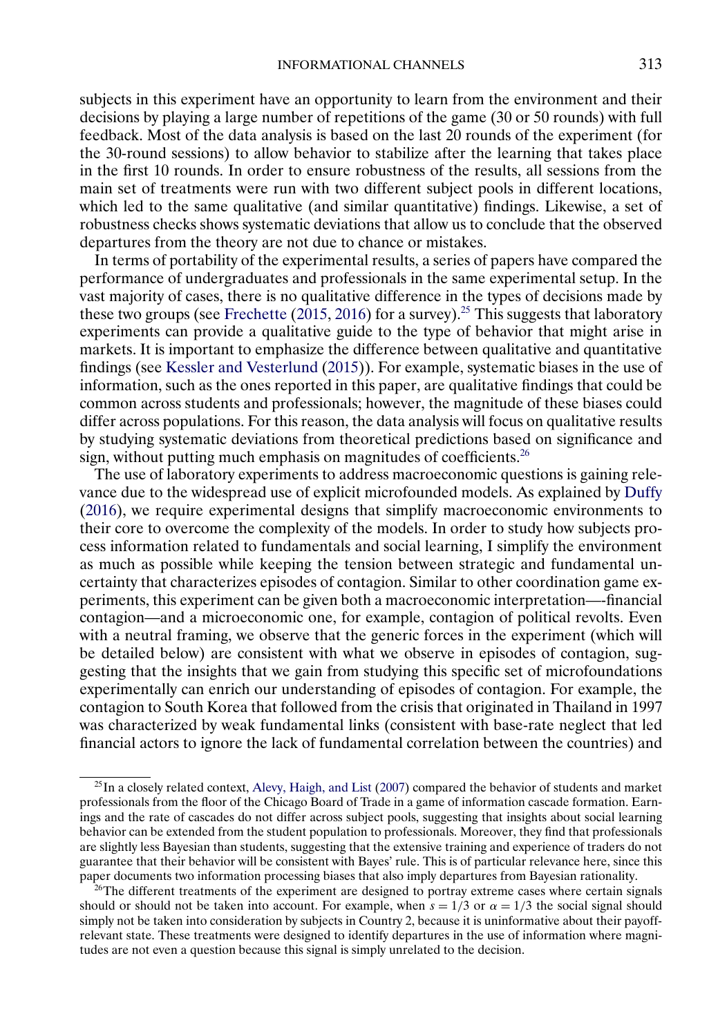<span id="page-16-0"></span>subjects in this experiment have an opportunity to learn from the environment and their decisions by playing a large number of repetitions of the game (30 or 50 rounds) with full feedback. Most of the data analysis is based on the last 20 rounds of the experiment (for the 30-round sessions) to allow behavior to stabilize after the learning that takes place in the first 10 rounds. In order to ensure robustness of the results, all sessions from the main set of treatments were run with two different subject pools in different locations, which led to the same qualitative (and similar quantitative) findings. Likewise, a set of robustness checks shows systematic deviations that allow us to conclude that the observed departures from the theory are not due to chance or mistakes.

In terms of portability of the experimental results, a series of papers have compared the performance of undergraduates and professionals in the same experimental setup. In the vast majority of cases, there is no qualitative difference in the types of decisions made by these two groups (see [Frechette](#page-37-0) [\(2015,](#page-37-0) [2016\)](#page-37-0) for a survey).<sup>25</sup> This suggests that laboratory experiments can provide a qualitative guide to the type of behavior that might arise in markets. It is important to emphasize the difference between qualitative and quantitative findings (see [Kessler and Vesterlund](#page-38-0) [\(2015\)](#page-38-0)). For example, systematic biases in the use of information, such as the ones reported in this paper, are qualitative findings that could be common across students and professionals; however, the magnitude of these biases could differ across populations. For this reason, the data analysis will focus on qualitative results by studying systematic deviations from theoretical predictions based on significance and sign, without putting much emphasis on magnitudes of coefficients.<sup>26</sup>

The use of laboratory experiments to address macroeconomic questions is gaining relevance due to the widespread use of explicit microfounded models. As explained by [Duffy](#page-37-0) [\(2016\)](#page-37-0), we require experimental designs that simplify macroeconomic environments to their core to overcome the complexity of the models. In order to study how subjects process information related to fundamentals and social learning, I simplify the environment as much as possible while keeping the tension between strategic and fundamental uncertainty that characterizes episodes of contagion. Similar to other coordination game experiments, this experiment can be given both a macroeconomic interpretation—-financial contagion—and a microeconomic one, for example, contagion of political revolts. Even with a neutral framing, we observe that the generic forces in the experiment (which will be detailed below) are consistent with what we observe in episodes of contagion, suggesting that the insights that we gain from studying this specific set of microfoundations experimentally can enrich our understanding of episodes of contagion. For example, the contagion to South Korea that followed from the crisis that originated in Thailand in 1997 was characterized by weak fundamental links (consistent with base-rate neglect that led financial actors to ignore the lack of fundamental correlation between the countries) and

 $^{25}$ In a closely related context, [Alevy, Haigh, and List](#page-36-0) [\(2007\)](#page-36-0) compared the behavior of students and market professionals from the floor of the Chicago Board of Trade in a game of information cascade formation. Earnings and the rate of cascades do not differ across subject pools, suggesting that insights about social learning behavior can be extended from the student population to professionals. Moreover, they find that professionals are slightly less Bayesian than students, suggesting that the extensive training and experience of traders do not guarantee that their behavior will be consistent with Bayes' rule. This is of particular relevance here, since this paper documents two information processing biases that also imply departures from Bayesian rationality.

 $26$ The different treatments of the experiment are designed to portray extreme cases where certain signals should or should not be taken into account. For example, when  $s = 1/3$  or  $\alpha = 1/3$  the social signal should simply not be taken into consideration by subjects in Country 2, because it is uninformative about their payoffrelevant state. These treatments were designed to identify departures in the use of information where magnitudes are not even a question because this signal is simply unrelated to the decision.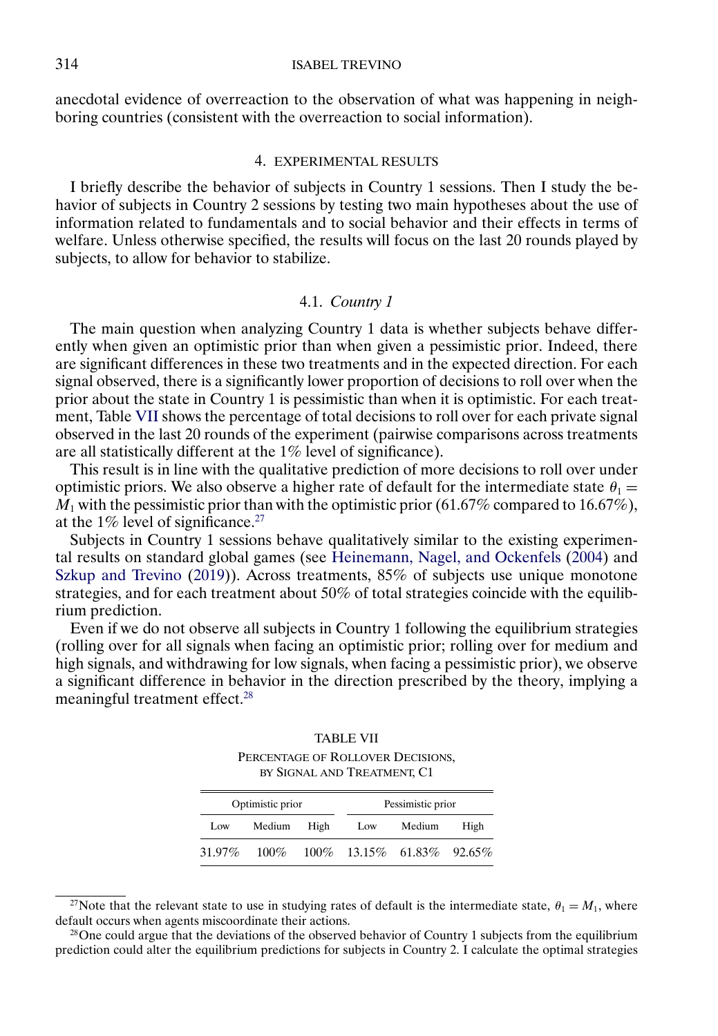<span id="page-17-0"></span>anecdotal evidence of overreaction to the observation of what was happening in neighboring countries (consistent with the overreaction to social information).

#### 4. EXPERIMENTAL RESULTS

I briefly describe the behavior of subjects in Country 1 sessions. Then I study the behavior of subjects in Country 2 sessions by testing two main hypotheses about the use of information related to fundamentals and to social behavior and their effects in terms of welfare. Unless otherwise specified, the results will focus on the last 20 rounds played by subjects, to allow for behavior to stabilize.

# 4.1. *Country 1*

The main question when analyzing Country 1 data is whether subjects behave differently when given an optimistic prior than when given a pessimistic prior. Indeed, there are significant differences in these two treatments and in the expected direction. For each signal observed, there is a significantly lower proportion of decisions to roll over when the prior about the state in Country 1 is pessimistic than when it is optimistic. For each treatment, Table VII shows the percentage of total decisions to roll over for each private signal observed in the last 20 rounds of the experiment (pairwise comparisons across treatments are all statistically different at the 1% level of significance).

This result is in line with the qualitative prediction of more decisions to roll over under optimistic priors. We also observe a higher rate of default for the intermediate state  $\theta_1 =$  $\dot{M}_1$  with the pessimistic prior than with the optimistic prior (61.67% compared to 16.67%), at the  $1\%$  level of significance.<sup>27</sup>

Subjects in Country 1 sessions behave qualitatively similar to the existing experimental results on standard global games (see [Heinemann, Nagel, and Ockenfels](#page-38-0) [\(2004\)](#page-38-0) and [Szkup and Trevino](#page-38-0) [\(2019\)](#page-38-0)). Across treatments, 85% of subjects use unique monotone strategies, and for each treatment about 50% of total strategies coincide with the equilibrium prediction.

Even if we do not observe all subjects in Country 1 following the equilibrium strategies (rolling over for all signals when facing an optimistic prior; rolling over for medium and high signals, and withdrawing for low signals, when facing a pessimistic prior), we observe a significant difference in behavior in the direction prescribed by the theory, implying a meaningful treatment effect.<sup>28</sup>

TABLE VII PERCENTAGE OF ROLLOVER DECISIONS, BY SIGNAL AND TREATMENT, C1

|           | Optimistic prior |      |     | Pessimistic prior                             |      |
|-----------|------------------|------|-----|-----------------------------------------------|------|
| Low       | Medium           | High | Low | Medium                                        | High |
| $31.97\%$ |                  |      |     | $100\%$ $100\%$ $13.15\%$ $61.83\%$ $92.65\%$ |      |

<sup>&</sup>lt;sup>27</sup>Note that the relevant state to use in studying rates of default is the intermediate state,  $\theta_1 = M_1$ , where default occurs when agents miscoordinate their actions.

 $28$ One could argue that the deviations of the observed behavior of Country 1 subjects from the equilibrium prediction could alter the equilibrium predictions for subjects in Country 2. I calculate the optimal strategies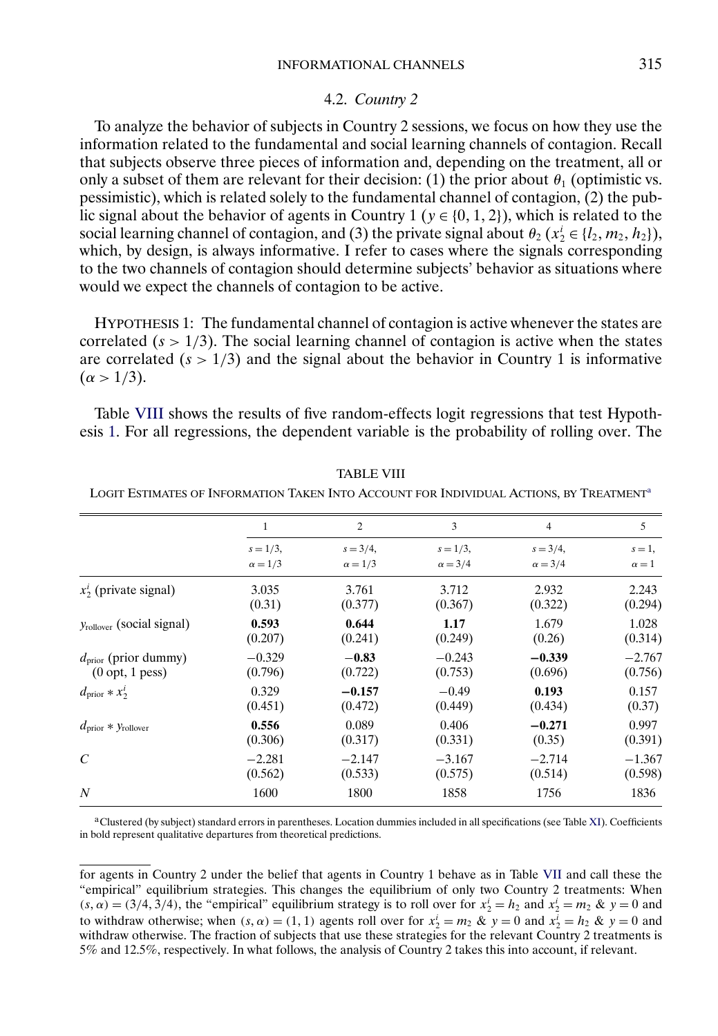#### 4.2. *Country 2*

<span id="page-18-0"></span>To analyze the behavior of subjects in Country 2 sessions, we focus on how they use the information related to the fundamental and social learning channels of contagion. Recall that subjects observe three pieces of information and, depending on the treatment, all or only a subset of them are relevant for their decision: (1) the prior about  $\theta_1$  (optimistic vs. pessimistic), which is related solely to the fundamental channel of contagion, (2) the public signal about the behavior of agents in Country 1 ( $y \in \{0, 1, 2\}$ ), which is related to the social learning channel of contagion, and (3) the private signal about  $\theta_2$  ( $x_2^i \in \{l_2, m_2, h_2\}$ ), which, by design, is always informative. I refer to cases where the signals corresponding to the two channels of contagion should determine subjects' behavior as situations where would we expect the channels of contagion to be active.

HYPOTHESIS 1: The fundamental channel of contagion is active whenever the states are correlated  $(s > 1/3)$ . The social learning channel of contagion is active when the states are correlated  $(s > 1/3)$  and the signal about the behavior in Country 1 is informative  $(\alpha > 1/3)$ .

Table VIII shows the results of five random-effects logit regressions that test Hypothesis 1. For all regressions, the dependent variable is the probability of rolling over. The

|                                          | 1              | 2              | 3              | $\overline{4}$ | 5            |
|------------------------------------------|----------------|----------------|----------------|----------------|--------------|
|                                          | $s = 1/3$ ,    | $s = 3/4$ ,    | $s = 1/3$ ,    | $s = 3/4$ ,    | $s=1$ ,      |
|                                          | $\alpha = 1/3$ | $\alpha = 1/3$ | $\alpha = 3/4$ | $\alpha = 3/4$ | $\alpha = 1$ |
| $x_2^i$ (private signal)                 | 3.035          | 3.761          | 3.712          | 2.932          | 2.243        |
|                                          | (0.31)         | (0.377)        | (0.367)        | (0.322)        | (0.294)      |
| <i>y</i> rollover (social signal)        | 0.593          | 0.644          | 1.17           | 1.679          | 1.028        |
|                                          | (0.207)        | (0.241)        | (0.249)        | (0.26)         | (0.314)      |
| $d_{\text{prior}}$ (prior dummy)         | $-0.329$       | $-0.83$        | $-0.243$       | $-0.339$       | $-2.767$     |
| $(0$ opt, 1 pess)                        | (0.796)        | (0.722)        | (0.753)        | (0.696)        | (0.756)      |
| $d_{\text{prior}} * x_2^l$               | 0.329          | $-0.157$       | $-0.49$        | 0.193          | 0.157        |
|                                          | (0.451)        | (0.472)        | (0.449)        | (0.434)        | (0.37)       |
| $d_{\text{prior}} * y_{\text{rollover}}$ | 0.556          | 0.089          | 0.406          | $-0.271$       | 0.997        |
|                                          | (0.306)        | (0.317)        | (0.331)        | (0.35)         | (0.391)      |
| $\mathcal{C}$                            | $-2.281$       | $-2.147$       | $-3.167$       | $-2.714$       | $-1.367$     |
|                                          | (0.562)        | (0.533)        | (0.575)        | (0.514)        | (0.598)      |
| N                                        | 1600           | 1800           | 1858           | 1756           | 1836         |

TABLE VIII

LOGIT ESTIMATES OF INFORMATION TAKEN INTO ACCOUNT FOR INDIVIDUAL ACTIONS, BY TREATMENT<sup>a</sup>

<sup>a</sup>Clustered (by subject) standard errors in parentheses. Location dummies included in all specifications (see Table [XI\)](#page-33-0). Coefficients in bold represent qualitative departures from theoretical predictions.

for agents in Country 2 under the belief that agents in Country 1 behave as in Table [VII](#page-17-0) and call these the "empirical" equilibrium strategies. This changes the equilibrium of only two Country 2 treatments: When  $(s, \alpha) = (3/4, 3/4)$ , the "empirical" equilibrium strategy is to roll over for  $x_2^i = h_2$  and  $x_2^i = m_2 \& y = 0$  and to withdraw otherwise; when  $(s, \alpha) = (1, 1)$  agents roll over for  $x_2^i = m_2 \& y = 0$  and  $x_2^i = h_2 \& y = 0$  and withdraw otherwise. The fraction of subjects that use these strategies for the relevant Country 2 treatments is 5% and 12.5%, respectively. In what follows, the analysis of Country 2 takes this into account, if relevant.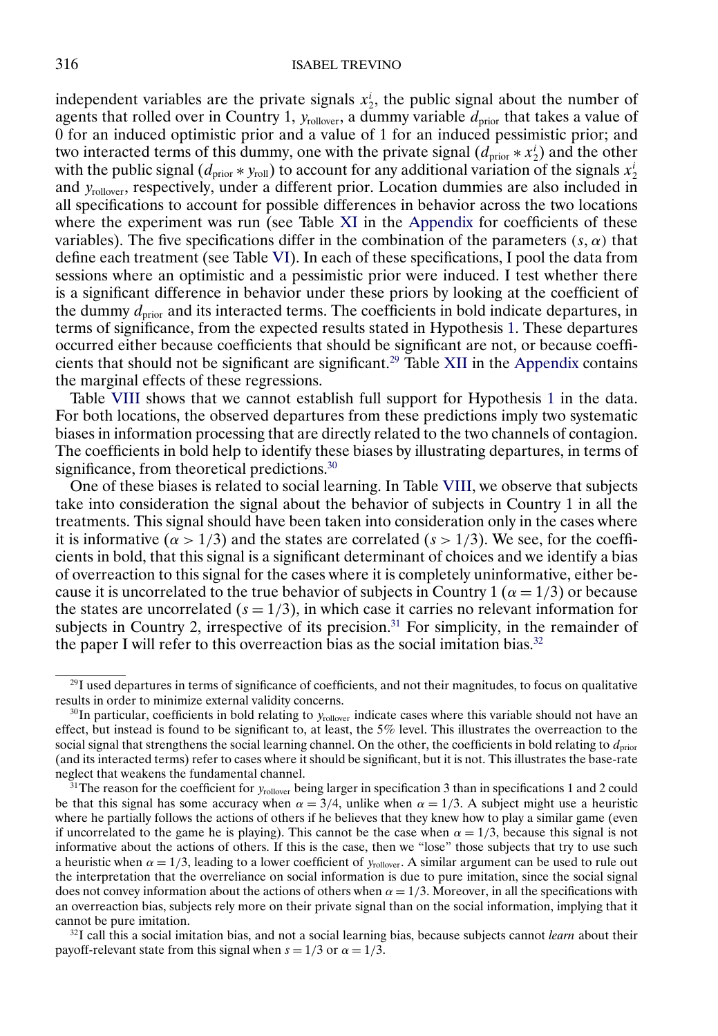<span id="page-19-0"></span>independent variables are the private signals  $x_2^i$ , the public signal about the number of agents that rolled over in Country 1,  $y_{\text{rollower}}$ , a dummy variable  $d_{\text{prior}}$  that takes a value of 0 for an induced optimistic prior and a value of 1 for an induced pessimistic prior; and two interacted terms of this dummy, one with the private signal  $(d_{prior} * x_2^i)$  and the other with the public signal  $(d_{\text{prior}} * y_{\text{roll}})$  to account for any additional variation of the signals  $x_2^i$ and  $y_{\text{follower}}$ , respectively, under a different prior. Location dummies are also included in all specifications to account for possible differences in behavior across the two locations where the experiment was run (see Table [XI](#page-33-0) in the [Appendix](#page-33-0) for coefficients of these variables). The five specifications differ in the combination of the parameters  $(s, \alpha)$  that define each treatment (see Table [VI\)](#page-15-0). In each of these specifications, I pool the data from sessions where an optimistic and a pessimistic prior were induced. I test whether there is a significant difference in behavior under these priors by looking at the coefficient of the dummy  $d<sub>prior</sub>$  and its interacted terms. The coefficients in bold indicate departures, in terms of significance, from the expected results stated in Hypothesis [1.](#page-18-0) These departures occurred either because coefficients that should be significant are not, or because coefficients that should not be significant are significant.29 Table [XII](#page-34-0) in the [Appendix](#page-33-0) contains the marginal effects of these regressions.

Table [VIII](#page-18-0) shows that we cannot establish full support for Hypothesis [1](#page-18-0) in the data. For both locations, the observed departures from these predictions imply two systematic biases in information processing that are directly related to the two channels of contagion. The coefficients in bold help to identify these biases by illustrating departures, in terms of significance, from theoretical predictions.<sup>30</sup>

One of these biases is related to social learning. In Table [VIII,](#page-18-0) we observe that subjects take into consideration the signal about the behavior of subjects in Country 1 in all the treatments. This signal should have been taken into consideration only in the cases where it is informative ( $\alpha > 1/3$ ) and the states are correlated ( $s > 1/3$ ). We see, for the coefficients in bold, that this signal is a significant determinant of choices and we identify a bias of overreaction to this signal for the cases where it is completely uninformative, either because it is uncorrelated to the true behavior of subjects in Country 1 ( $\alpha = 1/3$ ) or because the states are uncorrelated  $(s = 1/3)$ , in which case it carries no relevant information for subjects in Country 2, irrespective of its precision.<sup>31</sup> For simplicity, in the remainder of the paper I will refer to this overreaction bias as the social imitation bias.<sup>32</sup>

 $^{29}$ I used departures in terms of significance of coefficients, and not their magnitudes, to focus on qualitative results in order to minimize external validity concerns.

 $30$ In particular, coefficients in bold relating to  $y_{\text{volume}}$  indicate cases where this variable should not have an effect, but instead is found to be significant to, at least, the 5% level. This illustrates the overreaction to the social signal that strengthens the social learning channel. On the other, the coefficients in bold relating to  $d_{prior}$ (and its interacted terms) refer to cases where it should be significant, but it is not. This illustrates the base-rate neglect that weakens the fundamental channel.

 $31$ The reason for the coefficient for  $y_{\text{volume}}$  being larger in specification 3 than in specifications 1 and 2 could be that this signal has some accuracy when  $\alpha = 3/4$ , unlike when  $\alpha = 1/3$ . A subject might use a heuristic where he partially follows the actions of others if he believes that they knew how to play a similar game (even if uncorrelated to the game he is playing). This cannot be the case when  $\alpha = 1/3$ , because this signal is not informative about the actions of others. If this is the case, then we "lose" those subjects that try to use such a heuristic when  $\alpha = 1/3$ , leading to a lower coefficient of  $y_{\text{volume}}$ . A similar argument can be used to rule out the interpretation that the overreliance on social information is due to pure imitation, since the social signal does not convey information about the actions of others when  $\alpha = 1/3$ . Moreover, in all the specifications with an overreaction bias, subjects rely more on their private signal than on the social information, implying that it cannot be pure imitation.

<sup>32</sup>I call this a social imitation bias, and not a social learning bias, because subjects cannot *learn* about their payoff-relevant state from this signal when  $s = 1/3$  or  $\alpha = 1/3$ .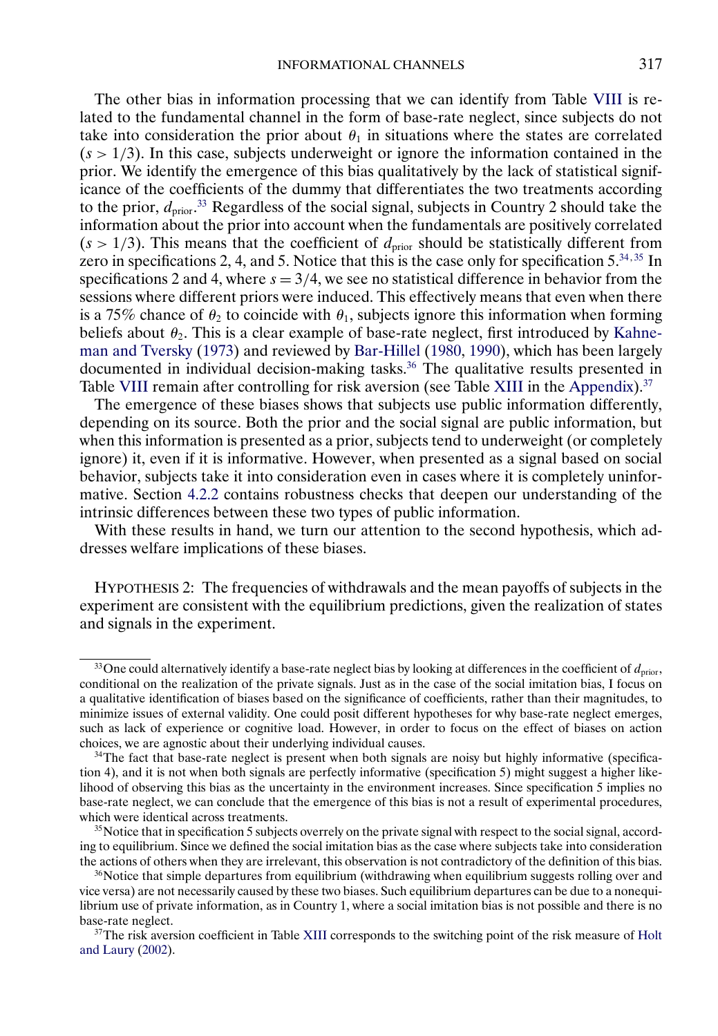<span id="page-20-0"></span>The other bias in information processing that we can identify from Table [VIII](#page-18-0) is related to the fundamental channel in the form of base-rate neglect, since subjects do not take into consideration the prior about  $\theta_1$  in situations where the states are correlated  $(s > 1/3)$ . In this case, subjects underweight or ignore the information contained in the prior. We identify the emergence of this bias qualitatively by the lack of statistical significance of the coefficients of the dummy that differentiates the two treatments according to the prior,  $d_{\text{prior}}$ .<sup>33</sup> Regardless of the social signal, subjects in Country 2 should take the information about the prior into account when the fundamentals are positively correlated  $(s > 1/3)$ . This means that the coefficient of  $d_{\text{prior}}$  should be statistically different from zero in specifications 2, 4, and 5. Notice that this is the case only for specification  $5.^{34,35}$  In specifications 2 and 4, where  $s = 3/4$ , we see no statistical difference in behavior from the sessions where different priors were induced. This effectively means that even when there is a 75% chance of  $\theta_2$  to coincide with  $\theta_1$ , subjects ignore this information when forming beliefs about  $\theta_2$ . This is a clear example of base-rate neglect, first introduced by [Kahne](#page-38-0)[man and Tversky](#page-38-0) [\(1973\)](#page-38-0) and reviewed by [Bar-Hillel](#page-36-0) [\(1980,](#page-36-0) [1990\)](#page-36-0), which has been largely documented in individual decision-making tasks.<sup>36</sup> The qualitative results presented in Table [VIII](#page-18-0) remain after controlling for risk aversion (see Table [XIII](#page-35-0) in the [Appendix\)](#page-33-0).<sup>37</sup>

The emergence of these biases shows that subjects use public information differently, depending on its source. Both the prior and the social signal are public information, but when this information is presented as a prior, subjects tend to underweight (or completely ignore) it, even if it is informative. However, when presented as a signal based on social behavior, subjects take it into consideration even in cases where it is completely uninformative. Section [4.2.2](#page-25-0) contains robustness checks that deepen our understanding of the intrinsic differences between these two types of public information.

With these results in hand, we turn our attention to the second hypothesis, which addresses welfare implications of these biases.

HYPOTHESIS 2: The frequencies of withdrawals and the mean payoffs of subjects in the experiment are consistent with the equilibrium predictions, given the realization of states and signals in the experiment.

<sup>&</sup>lt;sup>33</sup>One could alternatively identify a base-rate neglect bias by looking at differences in the coefficient of  $d_{\text{prior}}$ , conditional on the realization of the private signals. Just as in the case of the social imitation bias, I focus on a qualitative identification of biases based on the significance of coefficients, rather than their magnitudes, to minimize issues of external validity. One could posit different hypotheses for why base-rate neglect emerges, such as lack of experience or cognitive load. However, in order to focus on the effect of biases on action choices, we are agnostic about their underlying individual causes.

<sup>&</sup>lt;sup>34</sup>The fact that base-rate neglect is present when both signals are noisy but highly informative (specification 4), and it is not when both signals are perfectly informative (specification 5) might suggest a higher likelihood of observing this bias as the uncertainty in the environment increases. Since specification 5 implies no base-rate neglect, we can conclude that the emergence of this bias is not a result of experimental procedures, which were identical across treatments.

<sup>&</sup>lt;sup>35</sup>Notice that in specification 5 subjects overrely on the private signal with respect to the social signal, according to equilibrium. Since we defined the social imitation bias as the case where subjects take into consideration the actions of others when they are irrelevant, this observation is not contradictory of the definition of this bias.

<sup>&</sup>lt;sup>36</sup>Notice that simple departures from equilibrium (withdrawing when equilibrium suggests rolling over and vice versa) are not necessarily caused by these two biases. Such equilibrium departures can be due to a nonequilibrium use of private information, as in Country 1, where a social imitation bias is not possible and there is no base-rate neglect.

<sup>&</sup>lt;sup>37</sup>The risk aversion coefficient in Table [XIII](#page-35-0) corresponds to the switching point of the risk measure of [Holt](#page-38-0) [and Laury](#page-38-0) [\(2002\)](#page-38-0).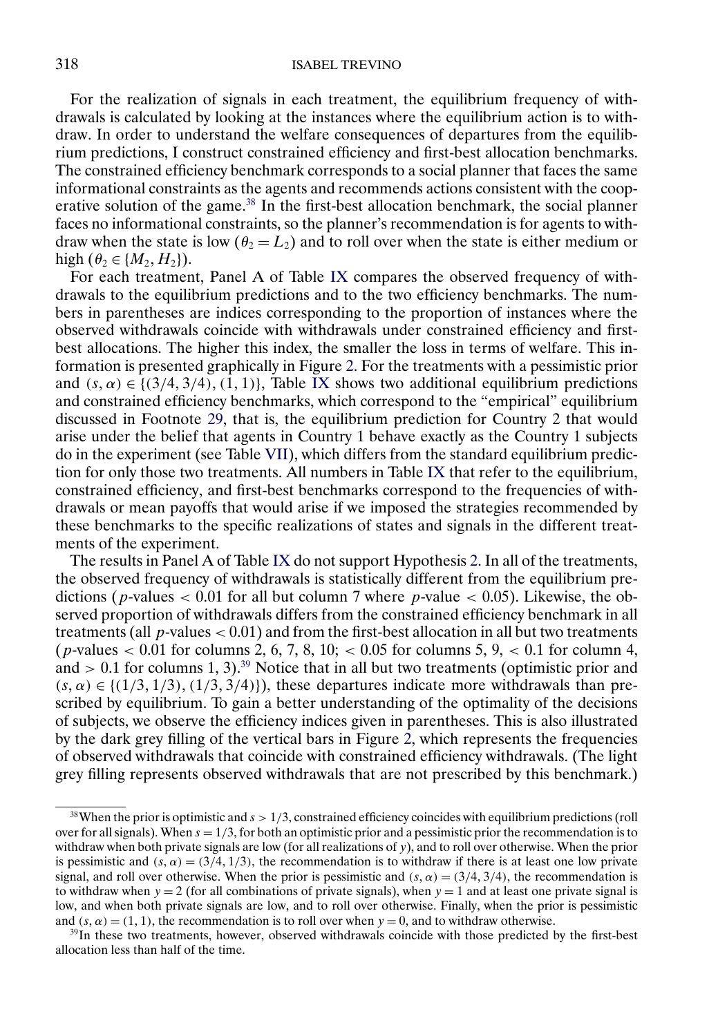For the realization of signals in each treatment, the equilibrium frequency of withdrawals is calculated by looking at the instances where the equilibrium action is to withdraw. In order to understand the welfare consequences of departures from the equilibrium predictions, I construct constrained efficiency and first-best allocation benchmarks. The constrained efficiency benchmark corresponds to a social planner that faces the same informational constraints as the agents and recommends actions consistent with the cooperative solution of the game.<sup>38</sup> In the first-best allocation benchmark, the social planner faces no informational constraints, so the planner's recommendation is for agents to withdraw when the state is low  $(\theta_2 = L_2)$  and to roll over when the state is either medium or high  $(\theta_2 \in \{M_2, H_2\})$ .

For each treatment, Panel A of Table [IX](#page-22-0) compares the observed frequency of withdrawals to the equilibrium predictions and to the two efficiency benchmarks. The numbers in parentheses are indices corresponding to the proportion of instances where the observed withdrawals coincide with withdrawals under constrained efficiency and firstbest allocations. The higher this index, the smaller the loss in terms of welfare. This information is presented graphically in Figure [2.](#page-23-0) For the treatments with a pessimistic prior and  $(s, \alpha) \in \{(3/4, 3/4), (1, 1)\}\$ , Table [IX](#page-22-0) shows two additional equilibrium predictions and constrained efficiency benchmarks, which correspond to the "empirical" equilibrium discussed in Footnote [29,](#page-19-0) that is, the equilibrium prediction for Country 2 that would arise under the belief that agents in Country 1 behave exactly as the Country 1 subjects do in the experiment (see Table [VII\)](#page-17-0), which differs from the standard equilibrium prediction for only those two treatments. All numbers in Table [IX](#page-22-0) that refer to the equilibrium, constrained efficiency, and first-best benchmarks correspond to the frequencies of withdrawals or mean payoffs that would arise if we imposed the strategies recommended by these benchmarks to the specific realizations of states and signals in the different treatments of the experiment.

The results in Panel A of Table [IX](#page-22-0) do not support Hypothesis [2.](#page-20-0) In all of the treatments, the observed frequency of withdrawals is statistically different from the equilibrium predictions (*p*-values  $< 0.01$  for all but column 7 where *p*-value  $< 0.05$ ). Likewise, the observed proportion of withdrawals differs from the constrained efficiency benchmark in all treatments (all  $p$ -values  $< 0.01$ ) and from the first-best allocation in all but two treatments (*p*-values  $\lt 0.01$  for columns 2, 6, 7, 8, 10;  $\lt 0.05$  for columns 5, 9,  $\lt 0.1$  for column 4, and  $> 0.1$  for columns 1, 3).<sup>39</sup> Notice that in all but two treatments (optimistic prior and  $(s, \alpha) \in \{(1/3, 1/3), (1/3, 3/4)\}\)$ , these departures indicate more withdrawals than prescribed by equilibrium. To gain a better understanding of the optimality of the decisions of subjects, we observe the efficiency indices given in parentheses. This is also illustrated by the dark grey filling of the vertical bars in Figure [2,](#page-23-0) which represents the frequencies of observed withdrawals that coincide with constrained efficiency withdrawals. (The light grey filling represents observed withdrawals that are not prescribed by this benchmark.)

<sup>&</sup>lt;sup>38</sup>When the prior is optimistic and  $s > 1/3$ , constrained efficiency coincides with equilibrium predictions (roll over for all signals). When  $s = 1/3$ , for both an optimistic prior and a pessimistic prior the recommendation is to withdraw when both private signals are low (for all realizations of y), and to roll over otherwise. When the prior is pessimistic and  $(s, \alpha) = (3/4, 1/3)$ , the recommendation is to withdraw if there is at least one low private signal, and roll over otherwise. When the prior is pessimistic and  $(s, \alpha) = (3/4, 3/4)$ , the recommendation is to withdraw when  $y = 2$  (for all combinations of private signals), when  $y = 1$  and at least one private signal is low, and when both private signals are low, and to roll over otherwise. Finally, when the prior is pessimistic and  $(s, \alpha) = (1, 1)$ , the recommendation is to roll over when  $y = 0$ , and to withdraw otherwise.

<sup>&</sup>lt;sup>39</sup>In these two treatments, however, observed withdrawals coincide with those predicted by the first-best allocation less than half of the time.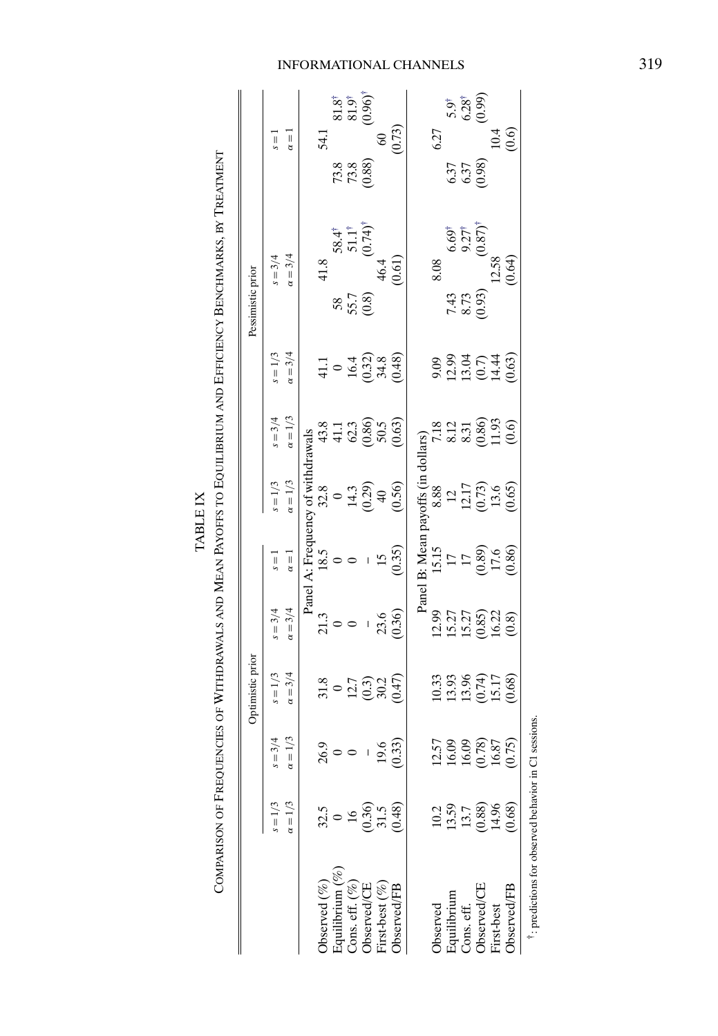<span id="page-22-0"></span>

|                                                                  |                                         |                             | Optimistic prior                                   |                                                                         |                                |                                                                                                                                                                                             |                                                |                                                          | Pessimistic prior    |                                                                                    |                              |                                                 |
|------------------------------------------------------------------|-----------------------------------------|-----------------------------|----------------------------------------------------|-------------------------------------------------------------------------|--------------------------------|---------------------------------------------------------------------------------------------------------------------------------------------------------------------------------------------|------------------------------------------------|----------------------------------------------------------|----------------------|------------------------------------------------------------------------------------|------------------------------|-------------------------------------------------|
|                                                                  | $\alpha = 1/3$<br>$s = 1/3$             | $s=3$<br>$\frac{1}{\alpha}$ | $=3/4$<br>$s = 1/3$                                | $\alpha = 3/4$<br>$s = 3/4$                                             | $\alpha = 1$<br>$\overline{s}$ | $\alpha = 1/3$<br>$s = 1/3$                                                                                                                                                                 | $\alpha = 1/3$<br>$s = 3/4$                    | $\alpha = 3/4$<br>$s = 1/3$                              |                      | $\alpha = 3/4$<br>$s = 3/4$                                                        | ă                            | $\overline{\mathbb{I}}$<br>$s = 1$              |
|                                                                  |                                         |                             |                                                    |                                                                         |                                | Panel A: Frequency of withdrawals                                                                                                                                                           |                                                |                                                          |                      |                                                                                    |                              |                                                 |
| $Deserved (\%)$                                                  |                                         | 26.9                        |                                                    |                                                                         |                                |                                                                                                                                                                                             |                                                |                                                          |                      | 41.8                                                                               |                              | 54.1                                            |
| Equilibrium $(\%)$                                               | 32.5                                    |                             |                                                    |                                                                         | $\frac{18.5}{0}$               |                                                                                                                                                                                             |                                                |                                                          |                      |                                                                                    |                              |                                                 |
| Cons. eff. $(\%)$                                                | $\mathfrak{g}_1$                        |                             |                                                    |                                                                         |                                |                                                                                                                                                                                             |                                                |                                                          | 58<br>55.7<br>(0.8)  | $\begin{array}{c} 58.4^{\dagger} \\ 51.1^{\dagger} \\ 0.74)^{\dagger} \end{array}$ | 73.8<br>73.8<br>0.88)        | 81.8†<br>81.9†<br>(0.96)†                       |
| Observed/CE                                                      |                                         | Ī                           |                                                    |                                                                         |                                |                                                                                                                                                                                             |                                                |                                                          |                      |                                                                                    |                              |                                                 |
| First-best (%)                                                   | $\frac{0.36}{31.5}$                     | 0.6                         |                                                    | 23.6                                                                    | $\overline{15}$                |                                                                                                                                                                                             |                                                |                                                          |                      | 46.4                                                                               |                              | $\infty$                                        |
| <b>Observed</b> /FB                                              | (84.0)                                  | (0.33)                      | $31.8$<br>$0.27$<br>$0.3$<br>$0.47$<br>$0.47$      | (0.36)                                                                  | (0.35)                         | $\begin{array}{c} 32.8 \\ 0 \\ 14.3 \\ 0.29 \\ \hline \end{array}$                                                                                                                          | $43.3$<br>$41.3$<br>$69.6$<br>$69.6$<br>$69.6$ | $41.1$<br>$0.52$<br>$16.4$<br>$0.32$<br>$0.48$<br>$0.48$ |                      | (0.61)                                                                             |                              | (0.73)                                          |
|                                                                  |                                         |                             |                                                    |                                                                         |                                |                                                                                                                                                                                             |                                                |                                                          |                      |                                                                                    |                              |                                                 |
| Observed                                                         |                                         |                             |                                                    | 12.99                                                                   |                                |                                                                                                                                                                                             |                                                |                                                          |                      | 8.08                                                                               |                              | 6.27                                            |
| Equilibrium                                                      |                                         |                             |                                                    |                                                                         |                                |                                                                                                                                                                                             |                                                |                                                          |                      |                                                                                    |                              |                                                 |
| Cons. eff.                                                       |                                         | 12.57<br>16.09<br>16.09     |                                                    |                                                                         |                                |                                                                                                                                                                                             |                                                |                                                          |                      |                                                                                    |                              |                                                 |
| Dbserved/CE                                                      | 10.2<br>13.59<br>13.7<br>14.96<br>14.96 | $(0.78)$<br>16.87           | 10.33<br>13.95<br>13.96<br>10.06<br>10.06<br>10.06 | $\begin{array}{l} 15.27 \\ 15.27 \\ 16.85 \\ 16.32 \\ 16.8 \end{array}$ |                                |                                                                                                                                                                                             | 7.13<br>8.13<br>0.86<br>0.6<br>0.6             | 9.93<br>0.93<br>0.07<br>0.03<br>0.03                     | 743<br>8.73<br>0.93) | $6.69^{\dagger}$<br>9.27 <sup>+</sup><br>9.87) <sup>*</sup>                        | $6.37$<br>$6.37$<br>$0.98$ ) | $5.9^{\dagger}$<br>$6.28^{\dagger}$<br>$(0.99)$ |
| First-best                                                       |                                         |                             |                                                    |                                                                         |                                |                                                                                                                                                                                             |                                                |                                                          |                      | 12.58                                                                              |                              |                                                 |
| Observed/FB                                                      | (0.68)                                  | 0.75                        |                                                    |                                                                         |                                | Panel B: Mean payoffs (in dollars)<br>2.99 15.15 8.88 7.18<br>5.27 17 12 8.12<br>5.27 17 12.17 8.12<br>85) (0.89) (0.73) (0.86)<br>5.22 17.6 13.6 11.93<br>8.31<br>8.32 0.86) (0.65) (0.66) |                                                |                                                          |                      | (0.64)                                                                             |                              | $^{10.4}_{0.01}$                                |
| <sup>T</sup> : predictions for observed behavior in C1 sessions. |                                         |                             |                                                    |                                                                         |                                |                                                                                                                                                                                             |                                                |                                                          |                      |                                                                                    |                              |                                                 |

| <b>TABLE IX</b> | WAIS AND MEAN PAYOERS TO EQUITIBRITIM AND EFFICEN |
|-----------------|---------------------------------------------------|

# INFORMATIONAL CHANNELS 319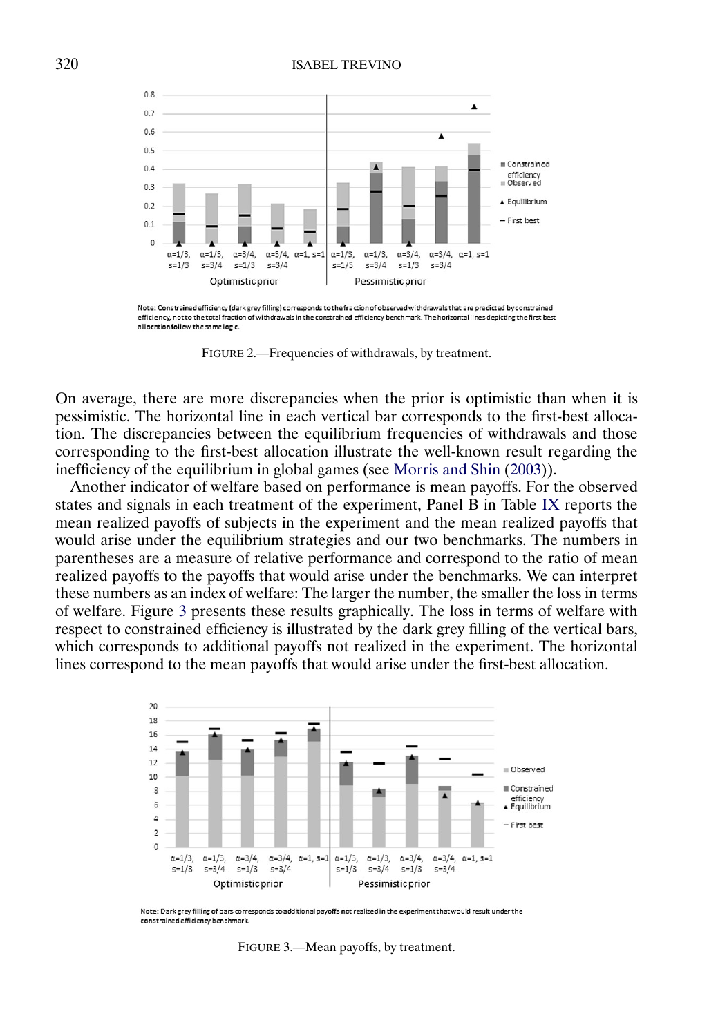<span id="page-23-0"></span>

Note: Constrained efficiency (dark grey filling) corresponds to the fraction of observed withdrawals that are predicted by constrained efficiency, notto the total fraction of withdrawals in the constrained efficiency benchmark. The horizontal lines depicting the first best allocation follow the same logic.

FIGURE 2.—Frequencies of withdrawals, by treatment.

On average, there are more discrepancies when the prior is optimistic than when it is pessimistic. The horizontal line in each vertical bar corresponds to the first-best allocation. The discrepancies between the equilibrium frequencies of withdrawals and those corresponding to the first-best allocation illustrate the well-known result regarding the inefficiency of the equilibrium in global games (see [Morris and Shin](#page-38-0) [\(2003\)](#page-38-0)).

Another indicator of welfare based on performance is mean payoffs. For the observed states and signals in each treatment of the experiment, Panel B in Table [IX](#page-22-0) reports the mean realized payoffs of subjects in the experiment and the mean realized payoffs that would arise under the equilibrium strategies and our two benchmarks. The numbers in parentheses are a measure of relative performance and correspond to the ratio of mean realized payoffs to the payoffs that would arise under the benchmarks. We can interpret these numbers as an index of welfare: The larger the number, the smaller the loss in terms of welfare. Figure 3 presents these results graphically. The loss in terms of welfare with respect to constrained efficiency is illustrated by the dark grey filling of the vertical bars, which corresponds to additional payoffs not realized in the experiment. The horizontal lines correspond to the mean payoffs that would arise under the first-best allocation.



Note: Dark grey filling of bars corresponds to additional payoffs not realized in the experiment that would result under the constrained efficiency benchmark.

FIGURE 3.—Mean payoffs, by treatment.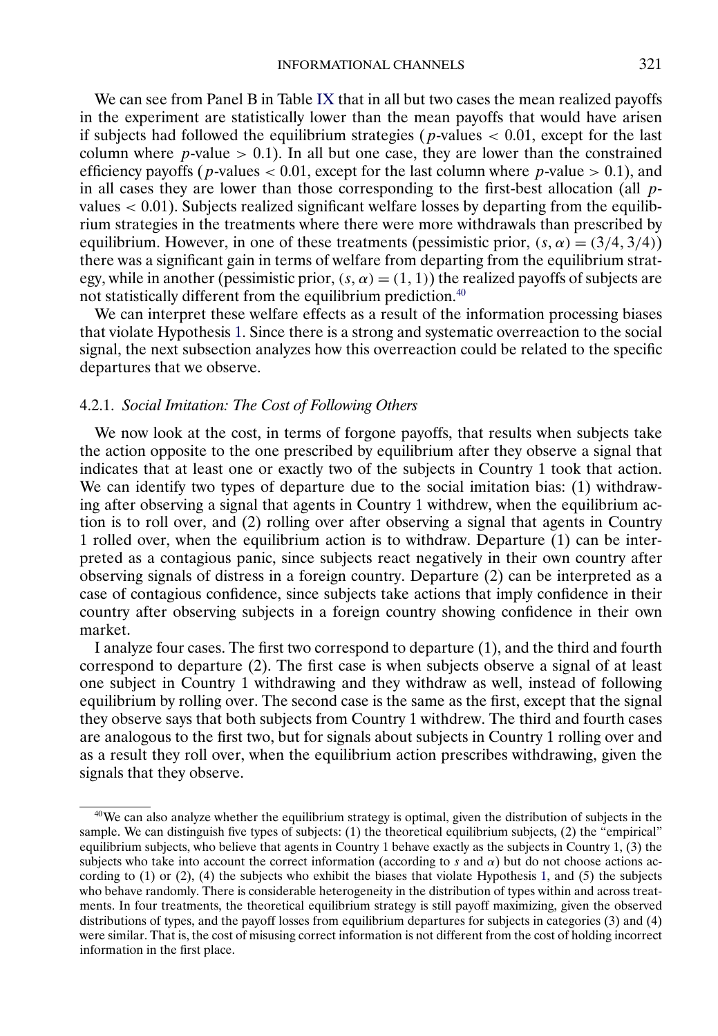<span id="page-24-0"></span>We can see from Panel B in Table [IX](#page-22-0) that in all but two cases the mean realized payoffs in the experiment are statistically lower than the mean payoffs that would have arisen if subjects had followed the equilibrium strategies ( $p$ -values  $< 0.01$ , except for the last column where  $p$ -value  $> 0.1$ ). In all but one case, they are lower than the constrained efficiency payoffs (*p*-values  $< 0.01$ , except for the last column where *p*-value  $> 0.1$ ), and in all cases they are lower than those corresponding to the first-best allocation (all pvalues  $< 0.01$ ). Subjects realized significant welfare losses by departing from the equilibrium strategies in the treatments where there were more withdrawals than prescribed by equilibrium. However, in one of these treatments (pessimistic prior,  $(s, \alpha) = (3/4, 3/4)$ ) there was a significant gain in terms of welfare from departing from the equilibrium strategy, while in another (pessimistic prior,  $(s, \alpha) = (1, 1)$ ) the realized payoffs of subjects are not statistically different from the equilibrium prediction.40

We can interpret these welfare effects as a result of the information processing biases that violate Hypothesis [1.](#page-18-0) Since there is a strong and systematic overreaction to the social signal, the next subsection analyzes how this overreaction could be related to the specific departures that we observe.

# 4.2.1. *Social Imitation: The Cost of Following Others*

We now look at the cost, in terms of forgone payoffs, that results when subjects take the action opposite to the one prescribed by equilibrium after they observe a signal that indicates that at least one or exactly two of the subjects in Country 1 took that action. We can identify two types of departure due to the social imitation bias: (1) withdrawing after observing a signal that agents in Country 1 withdrew, when the equilibrium action is to roll over, and (2) rolling over after observing a signal that agents in Country 1 rolled over, when the equilibrium action is to withdraw. Departure (1) can be interpreted as a contagious panic, since subjects react negatively in their own country after observing signals of distress in a foreign country. Departure (2) can be interpreted as a case of contagious confidence, since subjects take actions that imply confidence in their country after observing subjects in a foreign country showing confidence in their own market.

I analyze four cases. The first two correspond to departure (1), and the third and fourth correspond to departure (2). The first case is when subjects observe a signal of at least one subject in Country 1 withdrawing and they withdraw as well, instead of following equilibrium by rolling over. The second case is the same as the first, except that the signal they observe says that both subjects from Country 1 withdrew. The third and fourth cases are analogous to the first two, but for signals about subjects in Country 1 rolling over and as a result they roll over, when the equilibrium action prescribes withdrawing, given the signals that they observe.

<sup>40</sup>We can also analyze whether the equilibrium strategy is optimal, given the distribution of subjects in the sample. We can distinguish five types of subjects: (1) the theoretical equilibrium subjects, (2) the "empirical" equilibrium subjects, who believe that agents in Country 1 behave exactly as the subjects in Country 1, (3) the subjects who take into account the correct information (according to s and  $\alpha$ ) but do not choose actions according to  $(1)$  or  $(2)$ ,  $(4)$  the subjects who exhibit the biases that violate Hypothesis [1,](#page-18-0) and  $(5)$  the subjects who behave randomly. There is considerable heterogeneity in the distribution of types within and across treatments. In four treatments, the theoretical equilibrium strategy is still payoff maximizing, given the observed distributions of types, and the payoff losses from equilibrium departures for subjects in categories (3) and (4) were similar. That is, the cost of misusing correct information is not different from the cost of holding incorrect information in the first place.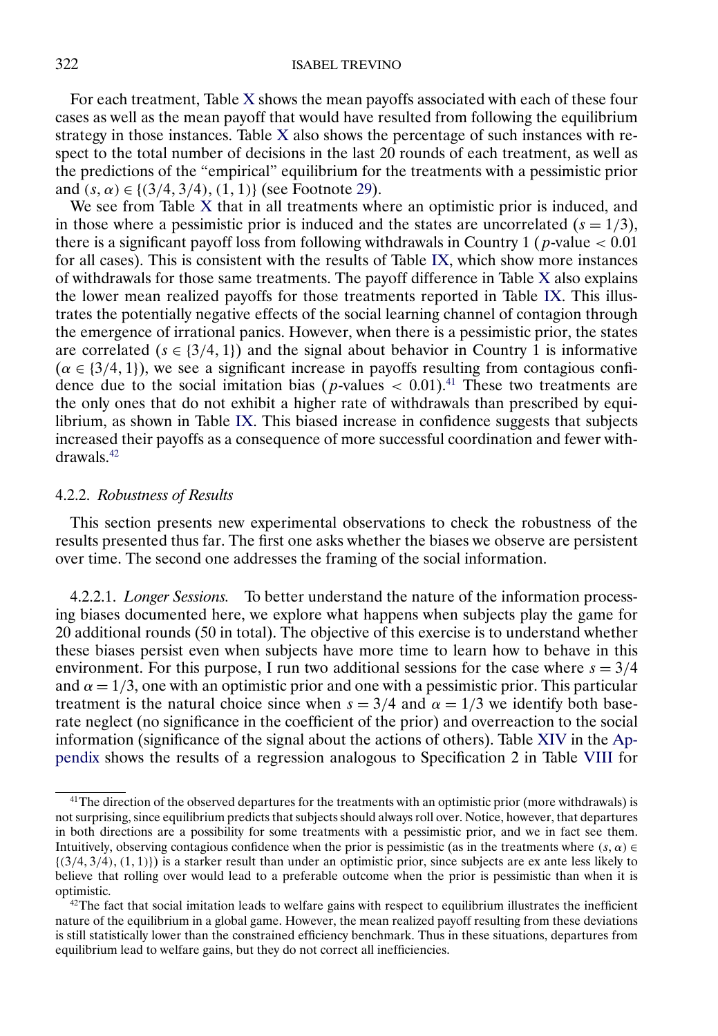<span id="page-25-0"></span>For each treatment, Table [X](#page-26-0) shows the mean payoffs associated with each of these four cases as well as the mean payoff that would have resulted from following the equilibrium strategy in those instances. Table [X](#page-26-0) also shows the percentage of such instances with respect to the total number of decisions in the last  $20$  rounds of each treatment, as well as the predictions of the "empirical" equilibrium for the treatments with a pessimistic prior and  $(s, \alpha) \in \{(3/4, 3/4), (1, 1)\}$  (see Footnote [29\)](#page-19-0).

We see from Table [X](#page-26-0) that in all treatments where an optimistic prior is induced, and in those where a pessimistic prior is induced and the states are uncorrelated  $(s = 1/3)$ , there is a significant payoff loss from following withdrawals in Country 1 ( $p$ -value  $< 0.01$ ) for all cases). This is consistent with the results of Table [IX,](#page-22-0) which show more instances of withdrawals for those same treatments. The payoff difference in Table [X](#page-26-0) also explains the lower mean realized payoffs for those treatments reported in Table [IX.](#page-22-0) This illustrates the potentially negative effects of the social learning channel of contagion through the emergence of irrational panics. However, when there is a pessimistic prior, the states are correlated ( $s \in \{3/4, 1\}$ ) and the signal about behavior in Country 1 is informative  $(\alpha \in \{3/4, 1\})$ , we see a significant increase in payoffs resulting from contagious confidence due to the social imitation bias ( $p$ -values  $< 0.01$ ).<sup>41</sup> These two treatments are the only ones that do not exhibit a higher rate of withdrawals than prescribed by equilibrium, as shown in Table [IX.](#page-22-0) This biased increase in confidence suggests that subjects increased their payoffs as a consequence of more successful coordination and fewer withdrawals.42

# 4.2.2. *Robustness of Results*

This section presents new experimental observations to check the robustness of the results presented thus far. The first one asks whether the biases we observe are persistent over time. The second one addresses the framing of the social information.

4.2.2.1. *Longer Sessions.* To better understand the nature of the information processing biases documented here, we explore what happens when subjects play the game for 20 additional rounds (50 in total). The objective of this exercise is to understand whether these biases persist even when subjects have more time to learn how to behave in this environment. For this purpose, I run two additional sessions for the case where  $s = 3/4$ and  $\alpha = 1/3$ , one with an optimistic prior and one with a pessimistic prior. This particular treatment is the natural choice since when  $s = 3/4$  and  $\alpha = 1/3$  we identify both baserate neglect (no significance in the coefficient of the prior) and overreaction to the social information (significance of the signal about the actions of others). Table [XIV](#page-35-0) in the [Ap](#page-33-0)[pendix](#page-33-0) shows the results of a regression analogous to Specification 2 in Table [VIII](#page-18-0) for

<sup>&</sup>lt;sup>41</sup>The direction of the observed departures for the treatments with an optimistic prior (more withdrawals) is not surprising, since equilibrium predicts that subjects should always roll over. Notice, however, that departures in both directions are a possibility for some treatments with a pessimistic prior, and we in fact see them. Intuitively, observing contagious confidence when the prior is pessimistic (as in the treatments where  $(s, \alpha) \in$  $\{(3/4, 3/4), (1, 1)\}\)$  is a starker result than under an optimistic prior, since subjects are ex ante less likely to believe that rolling over would lead to a preferable outcome when the prior is pessimistic than when it is optimistic.

 $42$ The fact that social imitation leads to welfare gains with respect to equilibrium illustrates the inefficient nature of the equilibrium in a global game. However, the mean realized payoff resulting from these deviations is still statistically lower than the constrained efficiency benchmark. Thus in these situations, departures from equilibrium lead to welfare gains, but they do not correct all inefficiencies.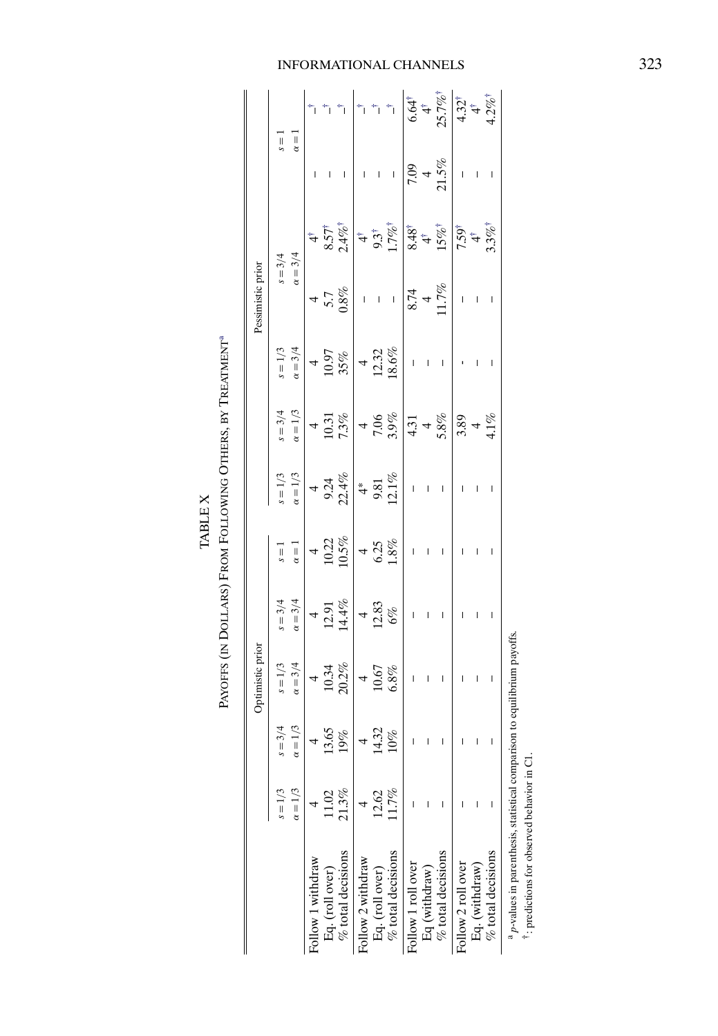| $\sum$ | ext That Affair<br>$\frac{1}{2}$<br>È<br>م<br>۽<br>MEOLIO<br>ranc) Enor<br>ׇ֓֓֓׆֝֝<br>i<br>F |
|--------|----------------------------------------------------------------------------------------------|
|--------|----------------------------------------------------------------------------------------------|

<span id="page-26-0"></span>

| $\alpha =$<br>$\frac{1}{7.09}$<br>$\frac{4}{1.5\%}$<br>$\bar{1}-1$<br>$\mathsf I$<br>I<br>I<br>$4^{\dagger}$<br>8.57 <sup>†</sup><br>8.57 <sup>†</sup><br>9.348°<br>9.59° <sup>†</sup><br>8.48° <sup>†</sup><br>115% <sup>†</sup><br>$s = 3/4$<br>$\alpha = 3/4$<br>$4\frac{5.8\%}{2.7\%}\left 1\right 1\left \frac{8.74}{4.7\%}\right $<br>$\Gamma_{\rm eff}$<br>$\mathsf{I}$<br>I<br>$s = 1/3$<br>$\alpha = 3/4$<br>$\alpha = 3/4$<br>$\alpha = 3/4$<br>$\alpha = 10.97$<br>$\alpha = 10.97$<br>$\alpha = 1/3.2$<br>$\alpha = 1/3.2$<br>$\alpha = 2/6$<br>$\bar{1}$ , $\bar{1}$ , $\bar{1}$<br>I<br>$\begin{array}{r} \begin{array}{r} \n\frac{1}{2} & 4 \\ \frac{1}{2} & 4 \\ \frac{1}{2} & 4\n\end{array} & \n\begin{array}{r} \n\frac{1}{2} & 4 \\ \frac{1}{2} & 4 \\ \frac{1}{2} & 4\n\end{array} & \n\begin{array}{r} \n\frac{1}{2} & 4 \\ \frac{1}{2} & 4 \\ \frac{1}{2} & 4\n\end{array} & \n\begin{array}{r} \n\frac{1}{2} & 4 \\ \frac{1}{2} & 4 \\ \frac{1}{2} & 4\n\end{array} & \n\begin{array}{r} \n\frac{1$<br>$s = 1/3$<br>$\alpha = 1/3$<br>$\alpha = 1/3$<br>$\alpha = 1/3$<br>$\alpha = 1/3$<br>$\alpha = 1/3$<br>$\alpha = 1/3$<br>$\alpha = 1/3$<br>$\alpha = 1/3$<br>$\alpha = 1/3$<br>$\alpha = 1/3$<br>$\alpha = 1/3$<br>$\alpha = 1/3$<br>$\alpha = 1/3$<br>$\alpha = 1/3$<br>$\bar{1}$ – $\bar{1}$<br>$\bar{\mathbb{L}}$<br>$\overline{1}$<br>$s = 1$<br>$\alpha = 1$<br>$\alpha = 1$<br>$\alpha = 1$<br>$\alpha = 1$<br>$\alpha = 1$<br>$\alpha = 1$<br>$\alpha = 1$<br>$\alpha = 1$<br>$\alpha = 1$<br>$\alpha = 1$<br>$\alpha = 1$<br>$\alpha = 1$<br>$\alpha = 1$<br>$\alpha = 1$<br>$\alpha = 1$<br>$\bar{1}$<br>$\sim 1$<br>$\mathsf{I}$<br>$\overline{\phantom{a}}$<br>$\overline{\phantom{a}}$<br>I<br>$s = 3/4$<br>$\alpha = 3/4$<br>$\frac{4}{14.4\%}$<br>$\frac{12.91}{4}$<br>$\frac{4}{12.83}$<br>$\bar{1} - \bar{1}$<br>L<br>I<br>$s = 1/3$<br>$\alpha = 3/4$<br>$\alpha = 3/4$<br>$\alpha = 3/4$<br>$\alpha = 3/4$<br>$\alpha = 3/4$<br>$\alpha = 3/4$<br>$\alpha = 3/4$<br>$\alpha = 3/4$<br>$\alpha = 3/4$<br>$\alpha = 3/4$<br>$\alpha = 3/4$<br>$\alpha = 3/4$<br>$\Gamma$ . $\Gamma$<br>L<br>I<br>$\begin{array}{c} \end{array}$<br>L<br>$\begin{array}{l} \frac{1}{1} = 3/4 \\ \hline 1 \\ 4 \end{array}$<br>$\begin{array}{l} \frac{1}{3} \\ 4 \end{array}$<br>$\begin{array}{l} \frac{1}{3} \\ 13.65 \\ 14.32 \\ 10\% \end{array}$<br>$\mathbf{I}$<br>$\mathsf{I}$<br>I<br>I<br>$\alpha = 1/3$<br>$21.3\%$<br>1.7%<br>$s = 1/3$<br>12.62<br>$%$ total decisions<br>$%$ total decisions<br>$%$ total decisions<br>% total decisions<br>Follow 2 withdraw<br>Follow 1 withdraw<br>Follow 1 roll over<br>Follow 2 roll over<br>Eq. (withdraw)<br>Eq (withdraw)<br>Eq. (roll over)<br>Eq. (roll over) |  | Optimistic prior |  |  | Pessimistic prior |  |         |
|----------------------------------------------------------------------------------------------------------------------------------------------------------------------------------------------------------------------------------------------------------------------------------------------------------------------------------------------------------------------------------------------------------------------------------------------------------------------------------------------------------------------------------------------------------------------------------------------------------------------------------------------------------------------------------------------------------------------------------------------------------------------------------------------------------------------------------------------------------------------------------------------------------------------------------------------------------------------------------------------------------------------------------------------------------------------------------------------------------------------------------------------------------------------------------------------------------------------------------------------------------------------------------------------------------------------------------------------------------------------------------------------------------------------------------------------------------------------------------------------------------------------------------------------------------------------------------------------------------------------------------------------------------------------------------------------------------------------------------------------------------------------------------------------------------------------------------------------------------------------------------------------------------------------------------------------------------------------------------------------------------------------------------------------------------------------------------------------------------------------------------------------------------------------------------------------------------------------------------------------------------------------------------------------------------------------------------------------------------------------------------------------------------------------------------------------------------------------------------------------------------------------------------------------------------------------------------------------------------------------------------------------------------------------------------------------------------------------------------------------------|--|------------------|--|--|-------------------|--|---------|
|                                                                                                                                                                                                                                                                                                                                                                                                                                                                                                                                                                                                                                                                                                                                                                                                                                                                                                                                                                                                                                                                                                                                                                                                                                                                                                                                                                                                                                                                                                                                                                                                                                                                                                                                                                                                                                                                                                                                                                                                                                                                                                                                                                                                                                                                                                                                                                                                                                                                                                                                                                                                                                                                                                                                                    |  |                  |  |  |                   |  | $s = 1$ |
|                                                                                                                                                                                                                                                                                                                                                                                                                                                                                                                                                                                                                                                                                                                                                                                                                                                                                                                                                                                                                                                                                                                                                                                                                                                                                                                                                                                                                                                                                                                                                                                                                                                                                                                                                                                                                                                                                                                                                                                                                                                                                                                                                                                                                                                                                                                                                                                                                                                                                                                                                                                                                                                                                                                                                    |  |                  |  |  |                   |  |         |
|                                                                                                                                                                                                                                                                                                                                                                                                                                                                                                                                                                                                                                                                                                                                                                                                                                                                                                                                                                                                                                                                                                                                                                                                                                                                                                                                                                                                                                                                                                                                                                                                                                                                                                                                                                                                                                                                                                                                                                                                                                                                                                                                                                                                                                                                                                                                                                                                                                                                                                                                                                                                                                                                                                                                                    |  |                  |  |  |                   |  |         |
|                                                                                                                                                                                                                                                                                                                                                                                                                                                                                                                                                                                                                                                                                                                                                                                                                                                                                                                                                                                                                                                                                                                                                                                                                                                                                                                                                                                                                                                                                                                                                                                                                                                                                                                                                                                                                                                                                                                                                                                                                                                                                                                                                                                                                                                                                                                                                                                                                                                                                                                                                                                                                                                                                                                                                    |  |                  |  |  |                   |  |         |
|                                                                                                                                                                                                                                                                                                                                                                                                                                                                                                                                                                                                                                                                                                                                                                                                                                                                                                                                                                                                                                                                                                                                                                                                                                                                                                                                                                                                                                                                                                                                                                                                                                                                                                                                                                                                                                                                                                                                                                                                                                                                                                                                                                                                                                                                                                                                                                                                                                                                                                                                                                                                                                                                                                                                                    |  |                  |  |  |                   |  |         |
|                                                                                                                                                                                                                                                                                                                                                                                                                                                                                                                                                                                                                                                                                                                                                                                                                                                                                                                                                                                                                                                                                                                                                                                                                                                                                                                                                                                                                                                                                                                                                                                                                                                                                                                                                                                                                                                                                                                                                                                                                                                                                                                                                                                                                                                                                                                                                                                                                                                                                                                                                                                                                                                                                                                                                    |  |                  |  |  |                   |  |         |
|                                                                                                                                                                                                                                                                                                                                                                                                                                                                                                                                                                                                                                                                                                                                                                                                                                                                                                                                                                                                                                                                                                                                                                                                                                                                                                                                                                                                                                                                                                                                                                                                                                                                                                                                                                                                                                                                                                                                                                                                                                                                                                                                                                                                                                                                                                                                                                                                                                                                                                                                                                                                                                                                                                                                                    |  |                  |  |  |                   |  |         |
|                                                                                                                                                                                                                                                                                                                                                                                                                                                                                                                                                                                                                                                                                                                                                                                                                                                                                                                                                                                                                                                                                                                                                                                                                                                                                                                                                                                                                                                                                                                                                                                                                                                                                                                                                                                                                                                                                                                                                                                                                                                                                                                                                                                                                                                                                                                                                                                                                                                                                                                                                                                                                                                                                                                                                    |  |                  |  |  |                   |  |         |
|                                                                                                                                                                                                                                                                                                                                                                                                                                                                                                                                                                                                                                                                                                                                                                                                                                                                                                                                                                                                                                                                                                                                                                                                                                                                                                                                                                                                                                                                                                                                                                                                                                                                                                                                                                                                                                                                                                                                                                                                                                                                                                                                                                                                                                                                                                                                                                                                                                                                                                                                                                                                                                                                                                                                                    |  |                  |  |  |                   |  |         |

 $^{\rm a}P$  -values in parenthesis, statistical comparison to equilibrium payoffs.  $^{\rm t}$  : predictions for observed behavior in C1.  $a<sub>p</sub>$ -values in parenthesis, statistical comparison to equilibrium payoffs.

†: predictions for observed behavior in C1.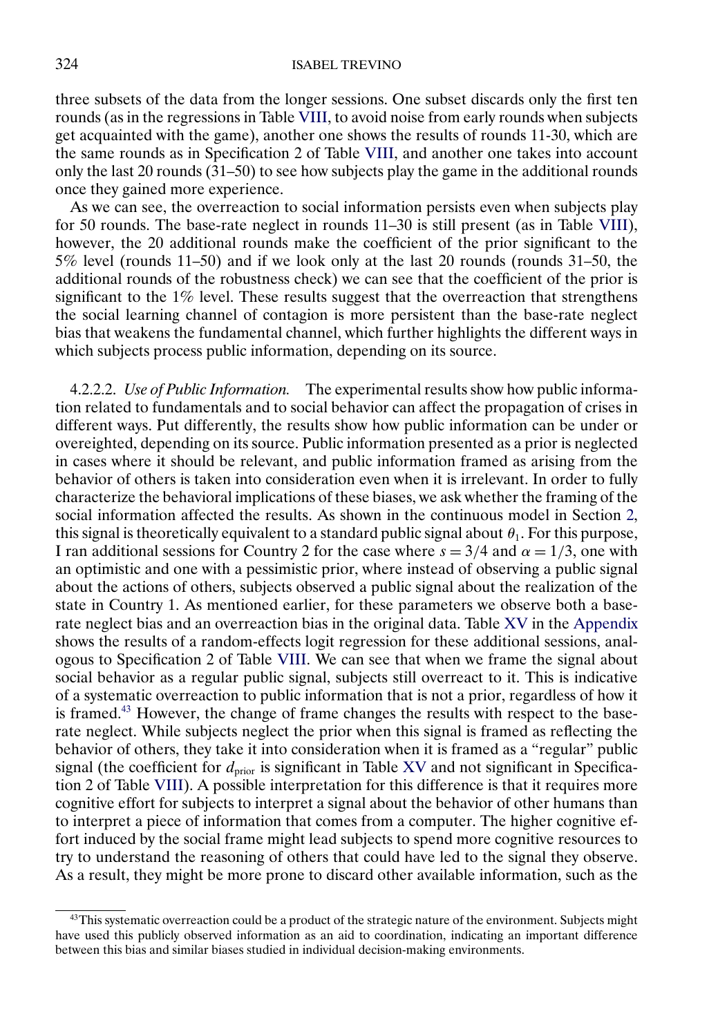<span id="page-27-0"></span>three subsets of the data from the longer sessions. One subset discards only the first ten rounds (as in the regressions in Table [VIII,](#page-18-0) to avoid noise from early rounds when subjects get acquainted with the game), another one shows the results of rounds 11-30, which are the same rounds as in Specification 2 of Table [VIII,](#page-18-0) and another one takes into account only the last 20 rounds (31–50) to see how subjects play the game in the additional rounds once they gained more experience.

As we can see, the overreaction to social information persists even when subjects play for 50 rounds. The base-rate neglect in rounds 11–30 is still present (as in Table [VIII\)](#page-18-0), however, the 20 additional rounds make the coefficient of the prior significant to the 5% level (rounds 11–50) and if we look only at the last 20 rounds (rounds 31–50, the additional rounds of the robustness check) we can see that the coefficient of the prior is significant to the 1% level. These results suggest that the overreaction that strengthens the social learning channel of contagion is more persistent than the base-rate neglect bias that weakens the fundamental channel, which further highlights the different ways in which subjects process public information, depending on its source.

4.2.2.2. *Use of Public Information.* The experimental results show how public information related to fundamentals and to social behavior can affect the propagation of crises in different ways. Put differently, the results show how public information can be under or overeighted, depending on its source. Public information presented as a prior is neglected in cases where it should be relevant, and public information framed as arising from the behavior of others is taken into consideration even when it is irrelevant. In order to fully characterize the behavioral implications of these biases, we ask whether the framing of the social information affected the results. As shown in the continuous model in Section [2,](#page-4-0) this signal is theoretically equivalent to a standard public signal about  $\theta_1$ . For this purpose, I ran additional sessions for Country 2 for the case where  $s = 3/4$  and  $\alpha = 1/3$ , one with an optimistic and one with a pessimistic prior, where instead of observing a public signal about the actions of others, subjects observed a public signal about the realization of the state in Country 1. As mentioned earlier, for these parameters we observe both a baserate neglect bias and an overreaction bias in the original data. Table [XV](#page-36-0) in the [Appendix](#page-33-0) shows the results of a random-effects logit regression for these additional sessions, analogous to Specification 2 of Table [VIII.](#page-18-0) We can see that when we frame the signal about social behavior as a regular public signal, subjects still overreact to it. This is indicative of a systematic overreaction to public information that is not a prior, regardless of how it is framed.<sup>43</sup> However, the change of frame changes the results with respect to the baserate neglect. While subjects neglect the prior when this signal is framed as reflecting the behavior of others, they take it into consideration when it is framed as a "regular" public signal (the coefficient for  $d_{prior}$  is significant in Table [XV](#page-36-0) and not significant in Specification 2 of Table [VIII\)](#page-18-0). A possible interpretation for this difference is that it requires more cognitive effort for subjects to interpret a signal about the behavior of other humans than to interpret a piece of information that comes from a computer. The higher cognitive effort induced by the social frame might lead subjects to spend more cognitive resources to try to understand the reasoning of others that could have led to the signal they observe. As a result, they might be more prone to discard other available information, such as the

<sup>&</sup>lt;sup>43</sup>This systematic overreaction could be a product of the strategic nature of the environment. Subjects might have used this publicly observed information as an aid to coordination, indicating an important difference between this bias and similar biases studied in individual decision-making environments.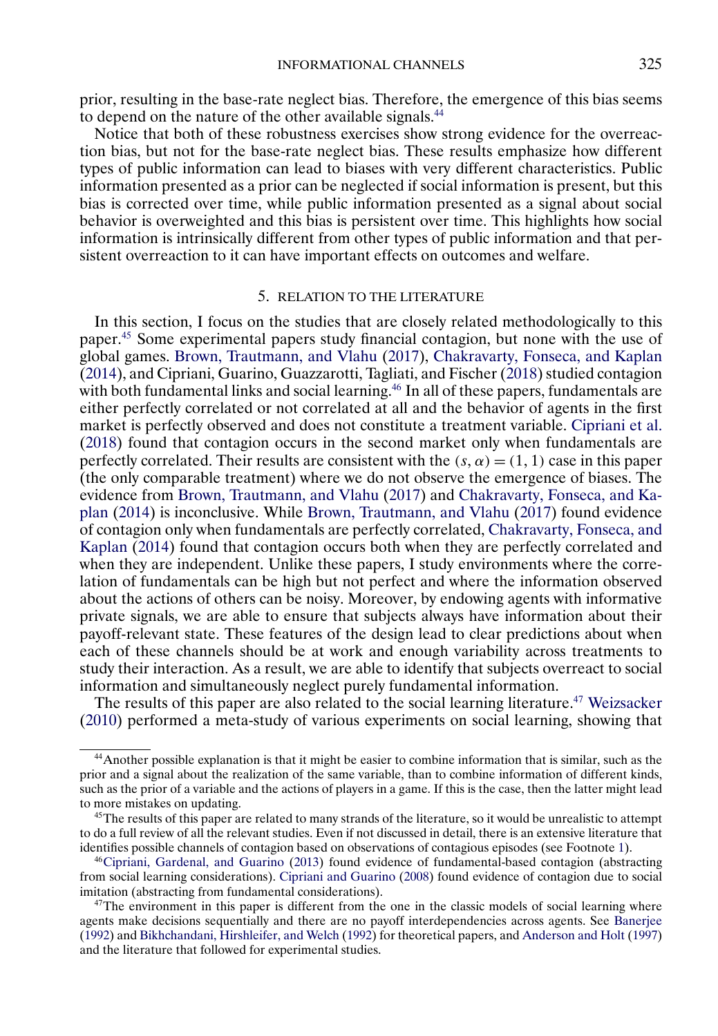<span id="page-28-0"></span>prior, resulting in the base-rate neglect bias. Therefore, the emergence of this bias seems to depend on the nature of the other available signals.<sup>44</sup>

Notice that both of these robustness exercises show strong evidence for the overreaction bias, but not for the base-rate neglect bias. These results emphasize how different types of public information can lead to biases with very different characteristics. Public information presented as a prior can be neglected if social information is present, but this bias is corrected over time, while public information presented as a signal about social behavior is overweighted and this bias is persistent over time. This highlights how social information is intrinsically different from other types of public information and that persistent overreaction to it can have important effects on outcomes and welfare.

# 5. RELATION TO THE LITERATURE

In this section, I focus on the studies that are closely related methodologically to this paper.45 Some experimental papers study financial contagion, but none with the use of global games. [Brown, Trautmann, and Vlahu](#page-37-0) [\(2017\)](#page-37-0), [Chakravarty, Fonseca, and Kaplan](#page-37-0) [\(2014\)](#page-37-0), and Cipriani, Guarino, Guazzarotti, Tagliati, and Fischer [\(2018\)](#page-37-0) studied contagion with both fundamental links and social learning.<sup>46</sup> In all of these papers, fundamentals are either perfectly correlated or not correlated at all and the behavior of agents in the first market is perfectly observed and does not constitute a treatment variable. [Cipriani et al.](#page-37-0) [\(2018\)](#page-37-0) found that contagion occurs in the second market only when fundamentals are perfectly correlated. Their results are consistent with the  $(s, \alpha) = (1, 1)$  case in this paper (the only comparable treatment) where we do not observe the emergence of biases. The evidence from [Brown, Trautmann, and Vlahu](#page-37-0) [\(2017\)](#page-37-0) and [Chakravarty, Fonseca, and Ka](#page-37-0)[plan](#page-37-0) [\(2014\)](#page-37-0) is inconclusive. While [Brown, Trautmann, and Vlahu](#page-37-0) [\(2017\)](#page-37-0) found evidence of contagion only when fundamentals are perfectly correlated, [Chakravarty, Fonseca, and](#page-37-0) [Kaplan](#page-37-0) [\(2014\)](#page-37-0) found that contagion occurs both when they are perfectly correlated and when they are independent. Unlike these papers, I study environments where the correlation of fundamentals can be high but not perfect and where the information observed about the actions of others can be noisy. Moreover, by endowing agents with informative private signals, we are able to ensure that subjects always have information about their payoff-relevant state. These features of the design lead to clear predictions about when each of these channels should be at work and enough variability across treatments to study their interaction. As a result, we are able to identify that subjects overreact to social information and simultaneously neglect purely fundamental information.

The results of this paper are also related to the social learning literature.<sup>47</sup> [Weizsacker](#page-38-0) [\(2010\)](#page-38-0) performed a meta-study of various experiments on social learning, showing that

<sup>44</sup>Another possible explanation is that it might be easier to combine information that is similar, such as the prior and a signal about the realization of the same variable, than to combine information of different kinds, such as the prior of a variable and the actions of players in a game. If this is the case, then the latter might lead to more mistakes on updating.

<sup>&</sup>lt;sup>45</sup>The results of this paper are related to many strands of the literature, so it would be unrealistic to attempt to do a full review of all the relevant studies. Even if not discussed in detail, there is an extensive literature that identifies possible channels of contagion based on observations of contagious episodes (see Footnote [1\)](#page-0-0).

<sup>4</sup>[6Cipriani, Gardenal, and Guarino](#page-37-0) [\(2013\)](#page-37-0) found evidence of fundamental-based contagion (abstracting from social learning considerations). [Cipriani and Guarino](#page-37-0) [\(2008\)](#page-37-0) found evidence of contagion due to social imitation (abstracting from fundamental considerations).

<sup>&</sup>lt;sup>47</sup>The environment in this paper is different from the one in the classic models of social learning where agents make decisions sequentially and there are no payoff interdependencies across agents. See [Banerjee](#page-36-0) [\(1992\)](#page-36-0) and [Bikhchandani, Hirshleifer, and Welch](#page-36-0) [\(1992\)](#page-36-0) for theoretical papers, and [Anderson and Holt](#page-36-0) [\(1997\)](#page-36-0) and the literature that followed for experimental studies.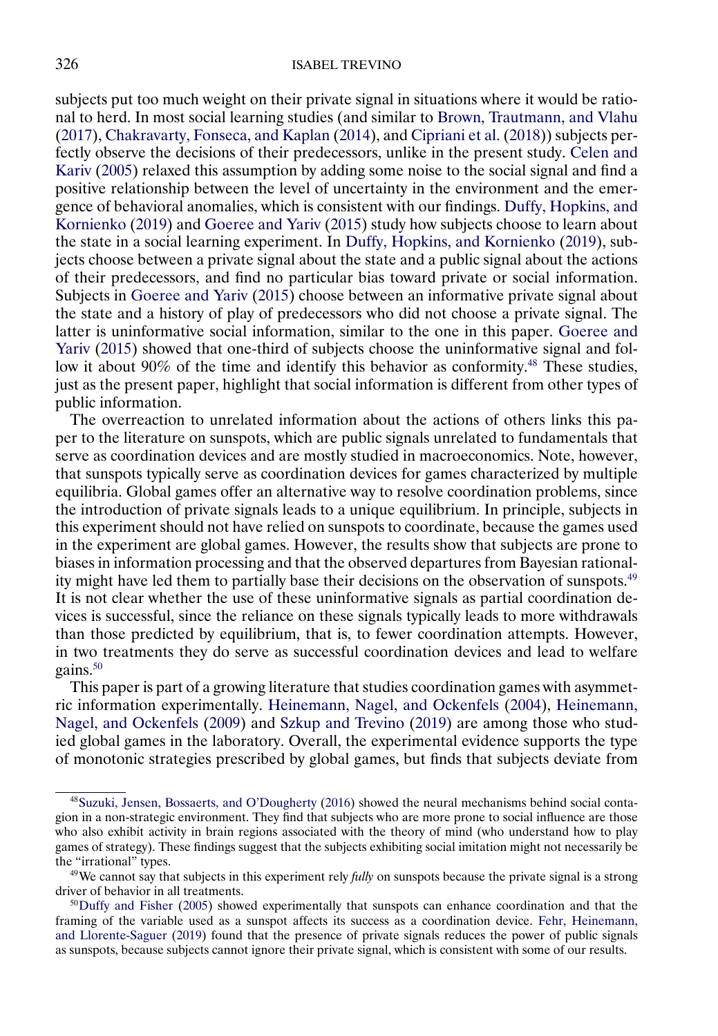<span id="page-29-0"></span>subjects put too much weight on their private signal in situations where it would be rational to herd. In most social learning studies (and similar to [Brown, Trautmann, and Vlahu](#page-37-0) [\(2017\)](#page-37-0), [Chakravarty, Fonseca, and Kaplan](#page-37-0) [\(2014\)](#page-37-0), and [Cipriani et al.](#page-37-0) [\(2018\)](#page-37-0)) subjects perfectly observe the decisions of their predecessors, unlike in the present study. [Celen and](#page-37-0) [Kariv](#page-37-0) [\(2005\)](#page-37-0) relaxed this assumption by adding some noise to the social signal and find a positive relationship between the level of uncertainty in the environment and the emergence of behavioral anomalies, which is consistent with our findings. [Duffy, Hopkins, and](#page-37-0) [Kornienko](#page-37-0) [\(2019\)](#page-37-0) and [Goeree and Yariv](#page-37-0) [\(2015\)](#page-37-0) study how subjects choose to learn about the state in a social learning experiment. In [Duffy, Hopkins, and Kornienko](#page-37-0) [\(2019\)](#page-37-0), subjects choose between a private signal about the state and a public signal about the actions of their predecessors, and find no particular bias toward private or social information. Subjects in [Goeree and Yariv](#page-37-0) [\(2015\)](#page-37-0) choose between an informative private signal about the state and a history of play of predecessors who did not choose a private signal. The latter is uninformative social information, similar to the one in this paper. [Goeree and](#page-37-0) [Yariv](#page-37-0) [\(2015\)](#page-37-0) showed that one-third of subjects choose the uninformative signal and follow it about 90% of the time and identify this behavior as conformity.<sup>48</sup> These studies, just as the present paper, highlight that social information is different from other types of public information.

The overreaction to unrelated information about the actions of others links this paper to the literature on sunspots, which are public signals unrelated to fundamentals that serve as coordination devices and are mostly studied in macroeconomics. Note, however, that sunspots typically serve as coordination devices for games characterized by multiple equilibria. Global games offer an alternative way to resolve coordination problems, since the introduction of private signals leads to a unique equilibrium. In principle, subjects in this experiment should not have relied on sunspots to coordinate, because the games used in the experiment are global games. However, the results show that subjects are prone to biases in information processing and that the observed departures from Bayesian rationality might have led them to partially base their decisions on the observation of sunspots.<sup>49</sup> It is not clear whether the use of these uninformative signals as partial coordination devices is successful, since the reliance on these signals typically leads to more withdrawals than those predicted by equilibrium, that is, to fewer coordination attempts. However, in two treatments they do serve as successful coordination devices and lead to welfare gains. $50$ 

This paper is part of a growing literature that studies coordination games with asymmetric information experimentally. [Heinemann, Nagel, and Ockenfels](#page-38-0) [\(2004\)](#page-38-0), [Heinemann,](#page-38-0) [Nagel, and Ockenfels](#page-38-0) [\(2009\)](#page-38-0) and [Szkup and Trevino](#page-38-0) [\(2019\)](#page-38-0) are among those who studied global games in the laboratory. Overall, the experimental evidence supports the type of monotonic strategies prescribed by global games, but finds that subjects deviate from

<sup>4</sup>[8Suzuki, Jensen, Bossaerts, and O'Dougherty](#page-38-0) [\(2016\)](#page-38-0) showed the neural mechanisms behind social contagion in a non-strategic environment. They find that subjects who are more prone to social influence are those who also exhibit activity in brain regions associated with the theory of mind (who understand how to play games of strategy). These findings suggest that the subjects exhibiting social imitation might not necessarily be the "irrational" types.

<sup>49</sup>We cannot say that subjects in this experiment rely *fully* on sunspots because the private signal is a strong driver of behavior in all treatments.

 $50$ Duffy and Fisher [\(2005\)](#page-37-0) showed experimentally that sunspots can enhance coordination and that the framing of the variable used as a sunspot affects its success as a coordination device. [Fehr, Heinemann,](#page-37-0) [and Llorente-Saguer](#page-37-0) [\(2019\)](#page-37-0) found that the presence of private signals reduces the power of public signals as sunspots, because subjects cannot ignore their private signal, which is consistent with some of our results.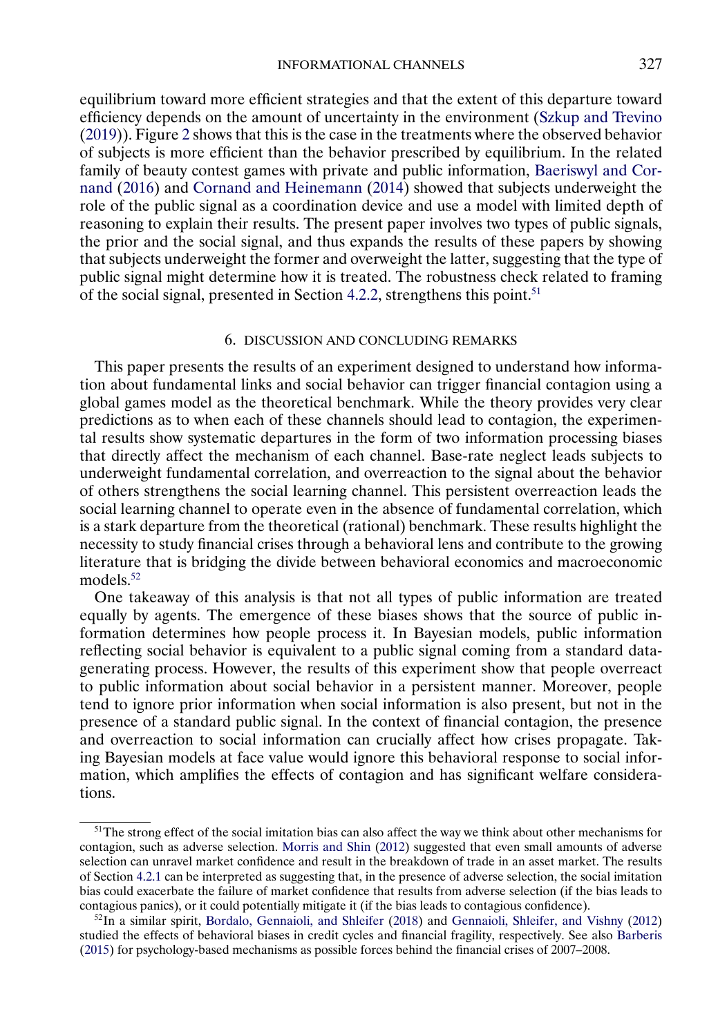<span id="page-30-0"></span>equilibrium toward more efficient strategies and that the extent of this departure toward efficiency depends on the amount of uncertainty in the environment [\(Szkup and Trevino](#page-38-0) [\(2019\)](#page-38-0)). Figure [2](#page-23-0) shows that this is the case in the treatments where the observed behavior of subjects is more efficient than the behavior prescribed by equilibrium. In the related family of beauty contest games with private and public information, [Baeriswyl and Cor](#page-36-0)[nand](#page-36-0) [\(2016\)](#page-36-0) and [Cornand and Heinemann](#page-37-0) [\(2014\)](#page-37-0) showed that subjects underweight the role of the public signal as a coordination device and use a model with limited depth of reasoning to explain their results. The present paper involves two types of public signals, the prior and the social signal, and thus expands the results of these papers by showing that subjects underweight the former and overweight the latter, suggesting that the type of public signal might determine how it is treated. The robustness check related to framing of the social signal, presented in Section [4.2.2,](#page-25-0) strengthens this point.<sup>51</sup>

### 6. DISCUSSION AND CONCLUDING REMARKS

This paper presents the results of an experiment designed to understand how information about fundamental links and social behavior can trigger financial contagion using a global games model as the theoretical benchmark. While the theory provides very clear predictions as to when each of these channels should lead to contagion, the experimental results show systematic departures in the form of two information processing biases that directly affect the mechanism of each channel. Base-rate neglect leads subjects to underweight fundamental correlation, and overreaction to the signal about the behavior of others strengthens the social learning channel. This persistent overreaction leads the social learning channel to operate even in the absence of fundamental correlation, which is a stark departure from the theoretical (rational) benchmark. These results highlight the necessity to study financial crises through a behavioral lens and contribute to the growing literature that is bridging the divide between behavioral economics and macroeconomic models.<sup>52</sup>

One takeaway of this analysis is that not all types of public information are treated equally by agents. The emergence of these biases shows that the source of public information determines how people process it. In Bayesian models, public information reflecting social behavior is equivalent to a public signal coming from a standard datagenerating process. However, the results of this experiment show that people overreact to public information about social behavior in a persistent manner. Moreover, people tend to ignore prior information when social information is also present, but not in the presence of a standard public signal. In the context of financial contagion, the presence and overreaction to social information can crucially affect how crises propagate. Taking Bayesian models at face value would ignore this behavioral response to social information, which amplifies the effects of contagion and has significant welfare considerations.

 $51$ The strong effect of the social imitation bias can also affect the way we think about other mechanisms for contagion, such as adverse selection. [Morris and Shin](#page-38-0) [\(2012\)](#page-38-0) suggested that even small amounts of adverse selection can unravel market confidence and result in the breakdown of trade in an asset market. The results of Section [4.2.1](#page-24-0) can be interpreted as suggesting that, in the presence of adverse selection, the social imitation bias could exacerbate the failure of market confidence that results from adverse selection (if the bias leads to contagious panics), or it could potentially mitigate it (if the bias leads to contagious confidence).

 $52$ In a similar spirit, [Bordalo, Gennaioli, and Shleifer](#page-37-0) [\(2018\)](#page-37-0) and [Gennaioli, Shleifer, and Vishny](#page-37-0) [\(2012\)](#page-37-0) studied the effects of behavioral biases in credit cycles and financial fragility, respectively. See also [Barberis](#page-36-0) [\(2015\)](#page-36-0) for psychology-based mechanisms as possible forces behind the financial crises of 2007–2008.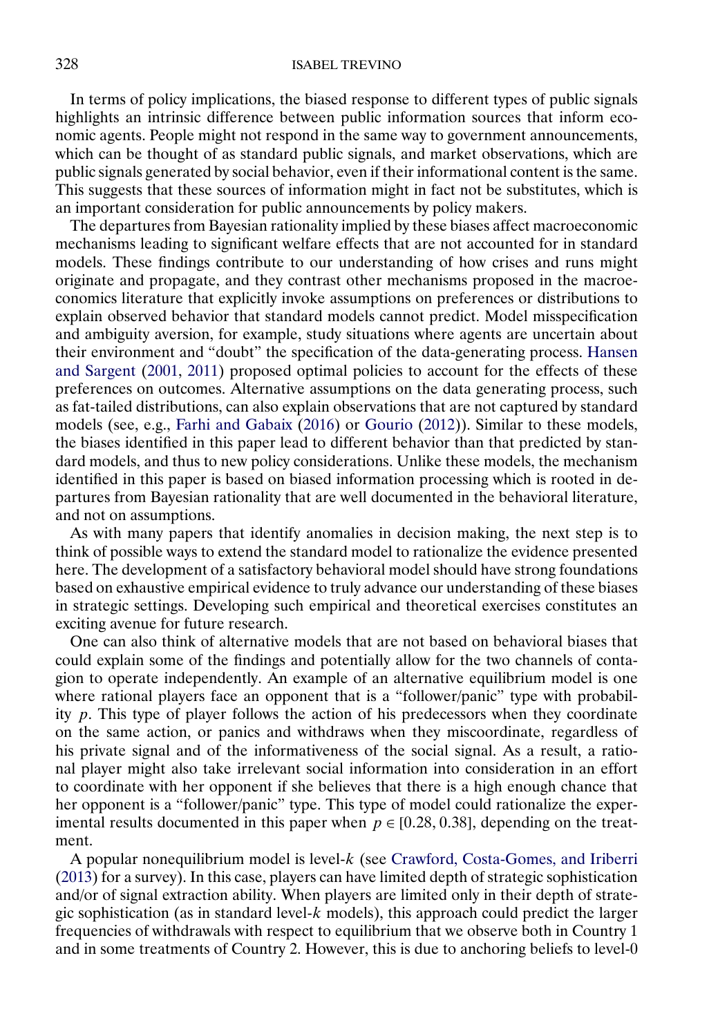<span id="page-31-0"></span>In terms of policy implications, the biased response to different types of public signals highlights an intrinsic difference between public information sources that inform economic agents. People might not respond in the same way to government announcements, which can be thought of as standard public signals, and market observations, which are public signals generated by social behavior, even if their informational content is the same. This suggests that these sources of information might in fact not be substitutes, which is an important consideration for public announcements by policy makers.

The departures from Bayesian rationality implied by these biases affect macroeconomic mechanisms leading to significant welfare effects that are not accounted for in standard models. These findings contribute to our understanding of how crises and runs might originate and propagate, and they contrast other mechanisms proposed in the macroeconomics literature that explicitly invoke assumptions on preferences or distributions to explain observed behavior that standard models cannot predict. Model misspecification and ambiguity aversion, for example, study situations where agents are uncertain about their environment and "doubt" the specification of the data-generating process. [Hansen](#page-37-0) [and Sargent](#page-37-0) [\(2001,](#page-37-0) [2011\)](#page-38-0) proposed optimal policies to account for the effects of these preferences on outcomes. Alternative assumptions on the data generating process, such as fat-tailed distributions, can also explain observations that are not captured by standard models (see, e.g., [Farhi and Gabaix](#page-37-0) [\(2016\)](#page-37-0) or [Gourio](#page-37-0) [\(2012\)](#page-37-0)). Similar to these models, the biases identified in this paper lead to different behavior than that predicted by standard models, and thus to new policy considerations. Unlike these models, the mechanism identified in this paper is based on biased information processing which is rooted in departures from Bayesian rationality that are well documented in the behavioral literature, and not on assumptions.

As with many papers that identify anomalies in decision making, the next step is to think of possible ways to extend the standard model to rationalize the evidence presented here. The development of a satisfactory behavioral model should have strong foundations based on exhaustive empirical evidence to truly advance our understanding of these biases in strategic settings. Developing such empirical and theoretical exercises constitutes an exciting avenue for future research.

One can also think of alternative models that are not based on behavioral biases that could explain some of the findings and potentially allow for the two channels of contagion to operate independently. An example of an alternative equilibrium model is one where rational players face an opponent that is a "follower/panic" type with probability  $p$ . This type of player follows the action of his predecessors when they coordinate on the same action, or panics and withdraws when they miscoordinate, regardless of his private signal and of the informativeness of the social signal. As a result, a rational player might also take irrelevant social information into consideration in an effort to coordinate with her opponent if she believes that there is a high enough chance that her opponent is a "follower/panic" type. This type of model could rationalize the experimental results documented in this paper when  $p \in [0.28, 0.38]$ , depending on the treatment.

A popular nonequilibrium model is level-k (see [Crawford, Costa-Gomes, and Iriberri](#page-37-0) [\(2013\)](#page-37-0) for a survey). In this case, players can have limited depth of strategic sophistication and/or of signal extraction ability. When players are limited only in their depth of strategic sophistication (as in standard level- $k$  models), this approach could predict the larger frequencies of withdrawals with respect to equilibrium that we observe both in Country 1 and in some treatments of Country 2. However, this is due to anchoring beliefs to level-0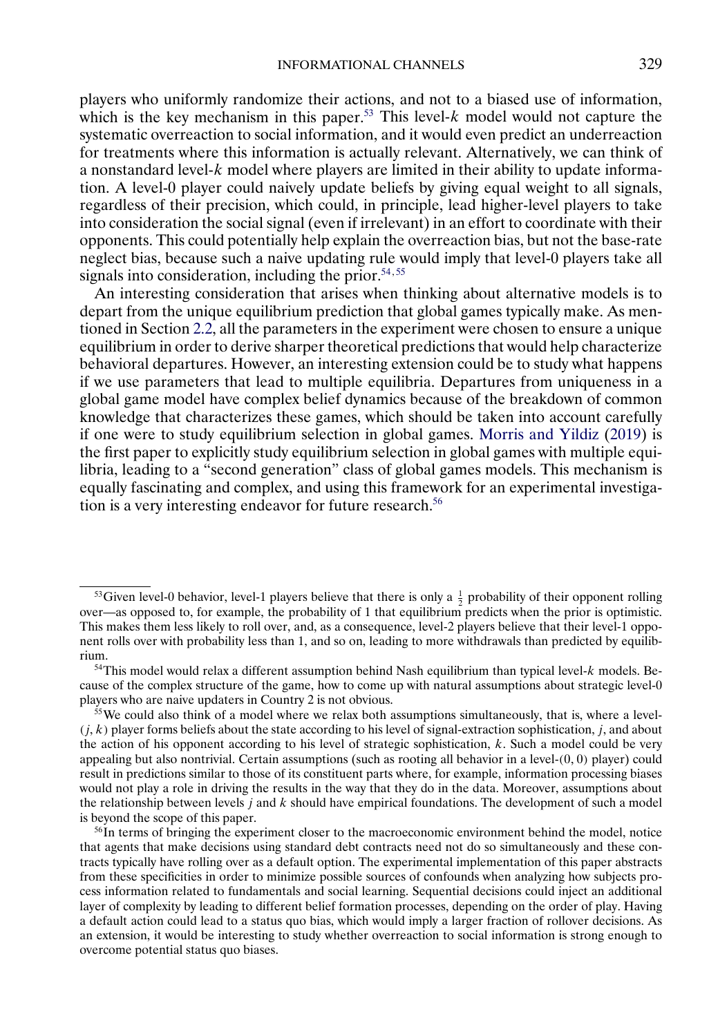players who uniformly randomize their actions, and not to a biased use of information, which is the key mechanism in this paper.<sup>53</sup> This level- $k$  model would not capture the systematic overreaction to social information, and it would even predict an underreaction for treatments where this information is actually relevant. Alternatively, we can think of a nonstandard level- $k$  model where players are limited in their ability to update information. A level-0 player could naively update beliefs by giving equal weight to all signals, regardless of their precision, which could, in principle, lead higher-level players to take into consideration the social signal (even if irrelevant) in an effort to coordinate with their opponents. This could potentially help explain the overreaction bias, but not the base-rate neglect bias, because such a naive updating rule would imply that level-0 players take all signals into consideration, including the prior.<sup>54,55</sup>

An interesting consideration that arises when thinking about alternative models is to depart from the unique equilibrium prediction that global games typically make. As mentioned in Section [2.2,](#page-9-0) all the parameters in the experiment were chosen to ensure a unique equilibrium in order to derive sharper theoretical predictions that would help characterize behavioral departures. However, an interesting extension could be to study what happens if we use parameters that lead to multiple equilibria. Departures from uniqueness in a global game model have complex belief dynamics because of the breakdown of common knowledge that characterizes these games, which should be taken into account carefully if one were to study equilibrium selection in global games. [Morris and Yildiz](#page-38-0) [\(2019\)](#page-38-0) is the first paper to explicitly study equilibrium selection in global games with multiple equilibria, leading to a "second generation" class of global games models. This mechanism is equally fascinating and complex, and using this framework for an experimental investigation is a very interesting endeavor for future research.<sup>56</sup>

<sup>&</sup>lt;sup>53</sup>Given level-0 behavior, level-1 players believe that there is only a  $\frac{1}{2}$  probability of their opponent rolling over—as opposed to, for example, the probability of 1 that equilibrium predicts when the prior is optimistic. This makes them less likely to roll over, and, as a consequence, level-2 players believe that their level-1 opponent rolls over with probability less than 1, and so on, leading to more withdrawals than predicted by equilibrium.

 $54$ This model would relax a different assumption behind Nash equilibrium than typical level- $k$  models. Because of the complex structure of the game, how to come up with natural assumptions about strategic level-0 players who are naive updaters in Country 2 is not obvious.

 $55$  We could also think of a model where we relax both assumptions simultaneously, that is, where a level- $(j, k)$  player forms beliefs about the state according to his level of signal-extraction sophistication, j, and about the action of his opponent according to his level of strategic sophistication, k. Such a model could be very appealing but also nontrivial. Certain assumptions (such as rooting all behavior in a level-(0, 0) player) could result in predictions similar to those of its constituent parts where, for example, information processing biases would not play a role in driving the results in the way that they do in the data. Moreover, assumptions about the relationship between levels  $j$  and  $k$  should have empirical foundations. The development of such a model is beyond the scope of this paper.

<sup>&</sup>lt;sup>56</sup>In terms of bringing the experiment closer to the macroeconomic environment behind the model, notice that agents that make decisions using standard debt contracts need not do so simultaneously and these contracts typically have rolling over as a default option. The experimental implementation of this paper abstracts from these specificities in order to minimize possible sources of confounds when analyzing how subjects process information related to fundamentals and social learning. Sequential decisions could inject an additional layer of complexity by leading to different belief formation processes, depending on the order of play. Having a default action could lead to a status quo bias, which would imply a larger fraction of rollover decisions. As an extension, it would be interesting to study whether overreaction to social information is strong enough to overcome potential status quo biases.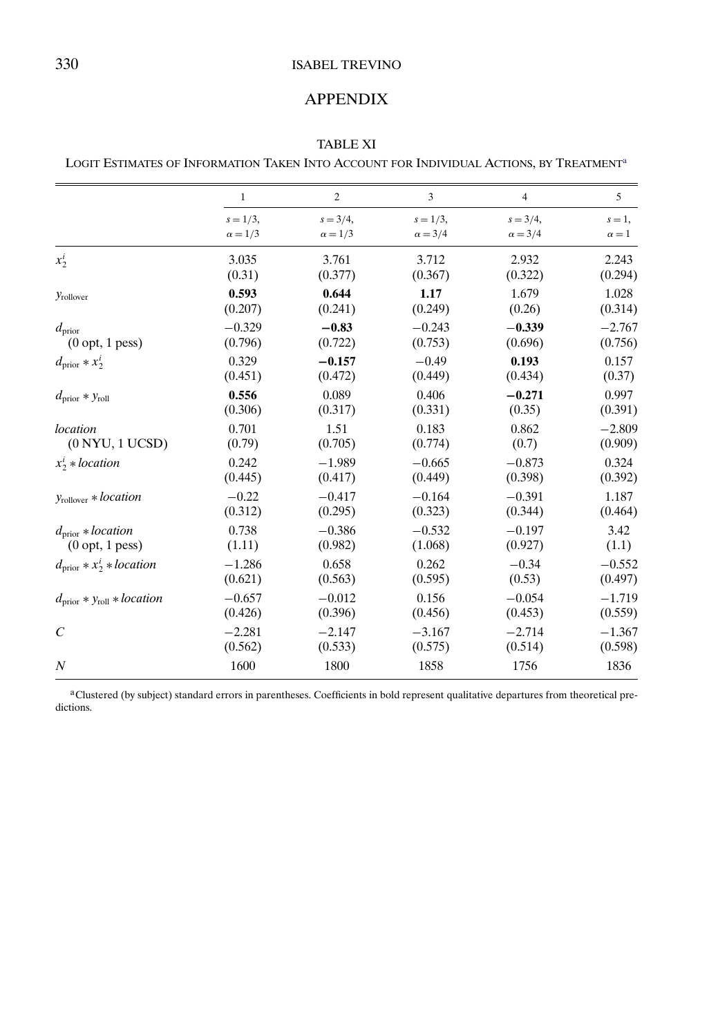# APPENDIX

## TABLE XI

<span id="page-33-0"></span>LOGIT ESTIMATES OF INFORMATION TAKEN INTO ACCOUNT FOR INDIVIDUAL ACTIONS, BY TREATMENT<sup>a</sup>

|                                                 | $\mathbf{1}$   | $\overline{c}$ | 3              | $\overline{4}$ | 5            |
|-------------------------------------------------|----------------|----------------|----------------|----------------|--------------|
|                                                 | $s = 1/3$ ,    | $s = 3/4$ ,    | $s = 1/3$ ,    | $s = 3/4$ ,    | $s=1$ ,      |
|                                                 | $\alpha = 1/3$ | $\alpha = 1/3$ | $\alpha = 3/4$ | $\alpha = 3/4$ | $\alpha = 1$ |
| $x_2^i$                                         | 3.035          | 3.761          | 3.712          | 2.932          | 2.243        |
|                                                 | (0.31)         | (0.377)        | (0.367)        | (0.322)        | (0.294)      |
| <b><i>y</i></b> rollover                        | 0.593          | 0.644          | 1.17           | 1.679          | 1.028        |
|                                                 | (0.207)        | (0.241)        | (0.249)        | (0.26)         | (0.314)      |
| $d_{\text{prior}}$                              | $-0.329$       | $-0.83$        | $-0.243$       | $-0.339$       | $-2.767$     |
| (0 opt, 1 pess)                                 | (0.796)        | (0.722)        | (0.753)        | (0.696)        | (0.756)      |
| $d_{\text{prior}} * x_2^l$                      | 0.329          | $-0.157$       | $-0.49$        | 0.193          | 0.157        |
|                                                 | (0.451)        | (0.472)        | (0.449)        | (0.434)        | (0.37)       |
| $d_{\text{prior}} * y_{\text{roll}}$            | 0.556          | 0.089          | 0.406          | $-0.271$       | 0.997        |
|                                                 | (0.306)        | (0.317)        | (0.331)        | (0.35)         | (0.391)      |
| location                                        | 0.701          | 1.51           | 0.183          | 0.862          | $-2.809$     |
| (0 NYU, 1 UCSD)                                 | (0.79)         | (0.705)        | (0.774)        | (0.7)          | (0.909)      |
| $x_2^i * location$                              | 0.242          | $-1.989$       | $-0.665$       | $-0.873$       | 0.324        |
|                                                 | (0.445)        | (0.417)        | (0.449)        | (0.398)        | (0.392)      |
| $y_{\text{rollover}} * location$                | $-0.22$        | $-0.417$       | $-0.164$       | $-0.391$       | 1.187        |
|                                                 | (0.312)        | (0.295)        | (0.323)        | (0.344)        | (0.464)      |
| $d_{\text{prior}} * location$                   | 0.738          | $-0.386$       | $-0.532$       | $-0.197$       | 3.42         |
| (0 opt, 1 pess)                                 | (1.11)         | (0.982)        | (1.068)        | (0.927)        | (1.1)        |
| $d_{\text{prior}} * x_2' * location$            | $-1.286$       | 0.658          | 0.262          | $-0.34$        | $-0.552$     |
|                                                 | (0.621)        | (0.563)        | (0.595)        | (0.53)         | (0.497)      |
| $d_{\text{prior}} * y_{\text{roll}} * location$ | $-0.657$       | $-0.012$       | 0.156          | $-0.054$       | $-1.719$     |
|                                                 | (0.426)        | (0.396)        | (0.456)        | (0.453)        | (0.559)      |
| $\mathcal{C}_{0}^{(n)}$                         | $-2.281$       | $-2.147$       | $-3.167$       | $-2.714$       | $-1.367$     |
|                                                 | (0.562)        | (0.533)        | (0.575)        | (0.514)        | (0.598)      |
| $\overline{N}$                                  | 1600           | 1800           | 1858           | 1756           | 1836         |

aClustered (by subject) standard errors in parentheses. Coefficients in bold represent qualitative departures from theoretical predictions.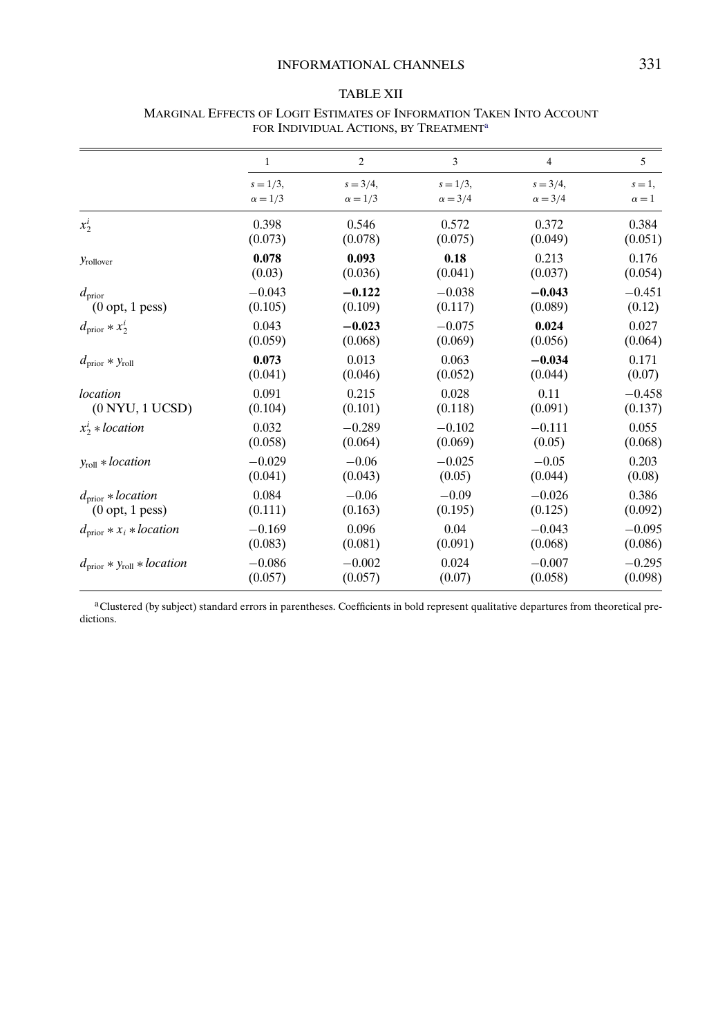# INFORMATIONAL CHANNELS 331

### TABLE XII

<span id="page-34-0"></span>

|                                                 | $\mathbf{1}$   | 2              | 3              | $\overline{4}$ | 5            |
|-------------------------------------------------|----------------|----------------|----------------|----------------|--------------|
|                                                 | $s = 1/3$ ,    | $s = 3/4$ ,    | $s = 1/3$ ,    | $s = 3/4$ ,    | $s=1$ ,      |
|                                                 | $\alpha = 1/3$ | $\alpha = 1/3$ | $\alpha = 3/4$ | $\alpha = 3/4$ | $\alpha = 1$ |
| $x_2^i$                                         | 0.398          | 0.546          | 0.572          | 0.372          | 0.384        |
|                                                 | (0.073)        | (0.078)        | (0.075)        | (0.049)        | (0.051)      |
| <b>Y</b> rollover                               | 0.078          | 0.093          | 0.18           | 0.213          | 0.176        |
|                                                 | (0.03)         | (0.036)        | (0.041)        | (0.037)        | (0.054)      |
| $d_{\text{prior}}$                              | $-0.043$       | $-0.122$       | $-0.038$       | $-0.043$       | $-0.451$     |
| (0 opt, 1 pess)                                 | (0.105)        | (0.109)        | (0.117)        | (0.089)        | (0.12)       |
| $d_{\text{prior}} * x_2^l$                      | 0.043          | $-0.023$       | $-0.075$       | 0.024          | 0.027        |
|                                                 | (0.059)        | (0.068)        | (0.069)        | (0.056)        | (0.064)      |
| $d_{\text{prior}} * y_{\text{roll}}$            | 0.073          | 0.013          | 0.063          | $-0.034$       | 0.171        |
|                                                 | (0.041)        | (0.046)        | (0.052)        | (0.044)        | (0.07)       |
| location                                        | 0.091          | 0.215          | 0.028          | 0.11           | $-0.458$     |
| (0 NYU, 1 UCSD)                                 | (0.104)        | (0.101)        | (0.118)        | (0.091)        | (0.137)      |
| $x_2^l * location$                              | 0.032          | $-0.289$       | $-0.102$       | $-0.111$       | 0.055        |
|                                                 | (0.058)        | (0.064)        | (0.069)        | (0.05)         | (0.068)      |
| $y_{roll} * location$                           | $-0.029$       | $-0.06$        | $-0.025$       | $-0.05$        | 0.203        |
|                                                 | (0.041)        | (0.043)        | (0.05)         | (0.044)        | (0.08)       |
| $d_{\text{prior}} * location$                   | 0.084          | $-0.06$        | $-0.09$        | $-0.026$       | 0.386        |
| (0 opt, 1 pess)                                 | (0.111)        | (0.163)        | (0.195)        | (0.125)        | (0.092)      |
| $d_{\text{prior}} * x_i * location$             | $-0.169$       | 0.096          | 0.04           | $-0.043$       | $-0.095$     |
|                                                 | (0.083)        | (0.081)        | (0.091)        | (0.068)        | (0.086)      |
| $d_{\text{prior}} * y_{\text{roll}} * location$ | $-0.086$       | $-0.002$       | 0.024          | $-0.007$       | $-0.295$     |
|                                                 | (0.057)        | (0.057)        | (0.07)         | (0.058)        | (0.098)      |

# MARGINAL EFFECTS OF LOGIT ESTIMATES OF INFORMATION TAKEN INTO ACCOUNT FOR INDIVIDUAL ACTIONS, BY TREATMENT<sup>a</sup>

aClustered (by subject) standard errors in parentheses. Coefficients in bold represent qualitative departures from theoretical predictions.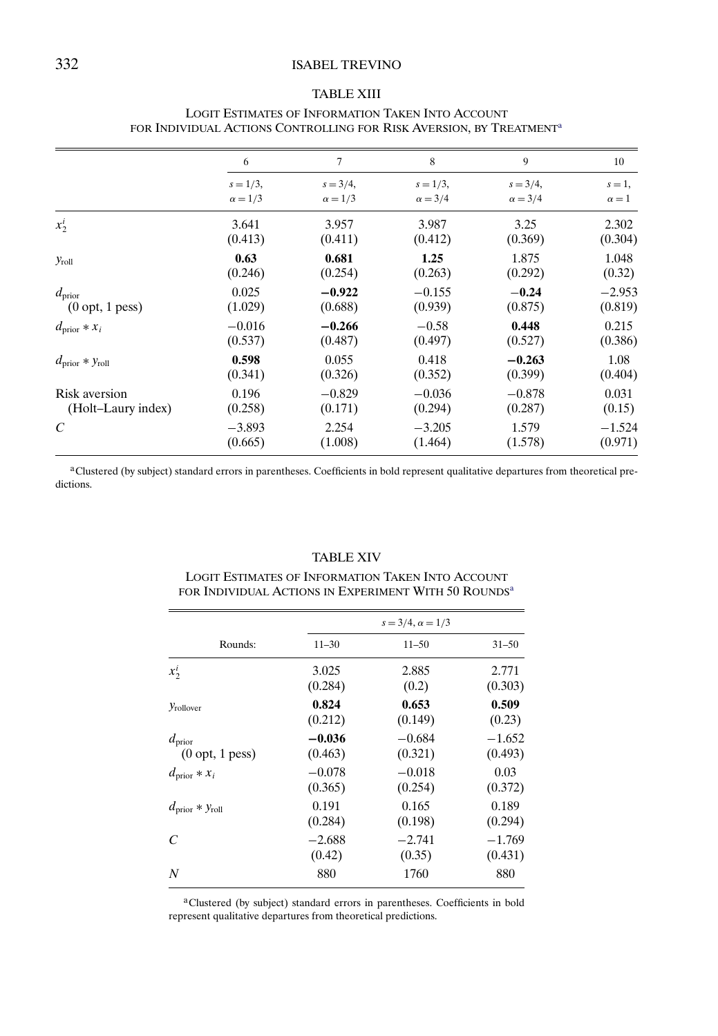#### TABLE XIII

<span id="page-35-0"></span>

|                                      | 6              | 7              | 8              | 9              | 10           |
|--------------------------------------|----------------|----------------|----------------|----------------|--------------|
|                                      | $s = 1/3$ ,    | $s = 3/4,$     | $s = 1/3$ ,    | $s = 3/4,$     | $s=1$ ,      |
|                                      | $\alpha = 1/3$ | $\alpha = 1/3$ | $\alpha = 3/4$ | $\alpha = 3/4$ | $\alpha = 1$ |
| $x_2^l$                              | 3.641          | 3.957          | 3.987          | 3.25           | 2.302        |
|                                      | (0.413)        | (0.411)        | (0.412)        | (0.369)        | (0.304)      |
| $y_{roll}$                           | 0.63           | 0.681          | 1.25           | 1.875          | 1.048        |
|                                      | (0.246)        | (0.254)        | (0.263)        | (0.292)        | (0.32)       |
| $d_{\text{prior}}$                   | 0.025          | $-0.922$       | $-0.155$       | $-0.24$        | $-2.953$     |
| $(0 \text{ opt}, 1 \text{ pess})$    | (1.029)        | (0.688)        | (0.939)        | (0.875)        | (0.819)      |
| $d_{\text{prior}} * x_i$             | $-0.016$       | $-0.266$       | $-0.58$        | 0.448          | 0.215        |
|                                      | (0.537)        | (0.487)        | (0.497)        | (0.527)        | (0.386)      |
| $d_{\text{prior}} * y_{\text{roll}}$ | 0.598          | 0.055          | 0.418          | $-0.263$       | 1.08         |
|                                      | (0.341)        | (0.326)        | (0.352)        | (0.399)        | (0.404)      |
| Risk aversion                        | 0.196          | $-0.829$       | $-0.036$       | $-0.878$       | 0.031        |
| (Holt-Laury index)                   | (0.258)        | (0.171)        | (0.294)        | (0.287)        | (0.15)       |
| $\mathcal C$                         | $-3.893$       | 2.254          | $-3.205$       | 1.579          | $-1.524$     |
|                                      | (0.665)        | (1.008)        | (1.464)        | (1.578)        | (0.971)      |

# LOGIT ESTIMATES OF INFORMATION TAKEN INTO ACCOUNT FOR INDIVIDUAL ACTIONS CONTROLLING FOR RISK AVERSION, BY TREATMENT<sup>a</sup>

aClustered (by subject) standard errors in parentheses. Coefficients in bold represent qualitative departures from theoretical predictions.

# TABLE XIV

#### LOGIT ESTIMATES OF INFORMATION TAKEN INTO ACCOUNT FOR INDIVIDUAL ACTIONS IN EXPERIMENT WITH 50 ROUNDS<sup>a</sup>

|                                      |           | $s = 3/4, \alpha = 1/3$ |           |
|--------------------------------------|-----------|-------------------------|-----------|
| Rounds:                              | $11 - 30$ | $11 - 50$               | $31 - 50$ |
| $x_2^i$                              | 3.025     | 2.885                   | 2.771     |
|                                      | (0.284)   | (0.2)                   | (0.303)   |
| <i>V</i> rollover                    | 0.824     | 0.653                   | 0.509     |
|                                      | (0.212)   | (0.149)                 | (0.23)    |
| $d_{\text{prior}}$                   | $-0.036$  | $-0.684$                | $-1.652$  |
| $(0$ opt, 1 pess)                    | (0.463)   | (0.321)                 | (0.493)   |
| $d_{\text{prior}} * x_i$             | $-0.078$  | $-0.018$                | 0.03      |
|                                      | (0.365)   | (0.254)                 | (0.372)   |
| $d_{\text{prior}} * y_{\text{roll}}$ | 0.191     | 0.165                   | 0.189     |
|                                      | (0.284)   | (0.198)                 | (0.294)   |
| C                                    | $-2.688$  | $-2.741$                | $-1.769$  |
|                                      | (0.42)    | (0.35)                  | (0.431)   |
| N                                    | 880       | 1760                    | 880       |

aClustered (by subject) standard errors in parentheses. Coefficients in bold represent qualitative departures from theoretical predictions.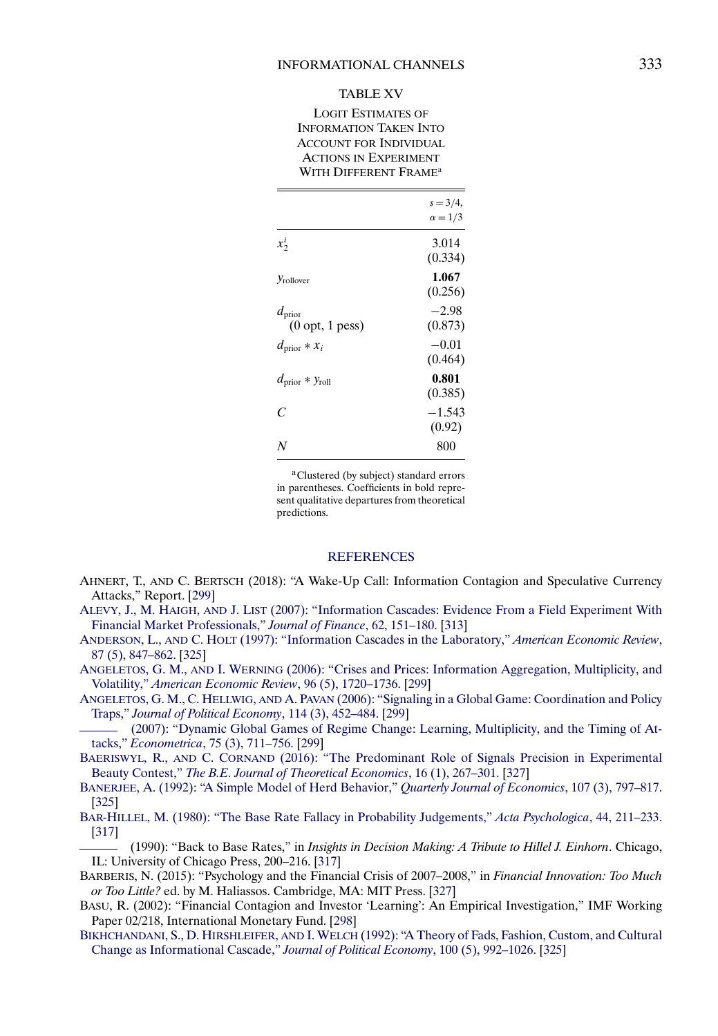#### <span id="page-36-0"></span>INFORMATIONAL CHANNELS 333

#### TABLE XV

| <b>LOGIT ESTIMATES OF</b>         |
|-----------------------------------|
| <b>INFORMATION TAKEN INTO</b>     |
| <b>ACCOUNT FOR INDIVIDUAL</b>     |
| <b>ACTIONS IN EXPERIMENT</b>      |
| WITH DIFFERENT FRAME <sup>a</sup> |
|                                   |

|                                                         | $s = 3/4$ ,<br>$\alpha = 1/3$ |
|---------------------------------------------------------|-------------------------------|
| $x_2^i$                                                 | 3.014<br>(0.334)              |
| <i>V</i> rollover                                       | 1.067<br>(0.256)              |
| $d_{\text{prior}}$<br>$(0 \text{ opt}, 1 \text{ pess})$ | $-2.98$<br>(0.873)            |
| $d_{\text{prior}} * x_i$                                | $-0.01$<br>(0.464)            |
| $d_{\text{prior}} * y_{\text{roll}}$                    | 0.801<br>(0.385)              |
| C                                                       | $-1.543$<br>(0.92)            |
| N                                                       | 800                           |

aClustered (by subject) standard errors in parentheses. Coefficients in bold represent qualitative departures from theoretical predictions.

#### **[REFERENCES](http://www.e-publications.org/srv/ecta/linkserver/setprefs?rfe_id=urn:sici%2F0012-9682%282020%2988%3A1%3C297%3AICOFC%3E2.0.CO%3B2-3)**

- AHNERT, T., AND C. BERTSCH (2018): "A Wake-Up Call: Information Contagion and Speculative Currency Attacks," Report. [\[299\]](#page-1-0)
- ALEVY, J., M. HAIGH, AND J. LIST [\(2007\): "Information Cascades: Evidence From a Field Experiment With](http://www.e-publications.org/srv/ecta/linkserver/openurl?rft_dat=bib:2/AHL07&rfe_id=urn:sici%2F0012-9682%282020%2988%3A1%3C297%3AICOFC%3E2.0.CO%3B2-3) [Financial Market Professionals,"](http://www.e-publications.org/srv/ecta/linkserver/openurl?rft_dat=bib:2/AHL07&rfe_id=urn:sici%2F0012-9682%282020%2988%3A1%3C297%3AICOFC%3E2.0.CO%3B2-3) *Journal of Finance*, 62, 151–180. [\[313\]](#page-15-0)
- ANDERSON, L., AND C. HOLT [\(1997\): "Information Cascades in the Laboratory,"](http://www.e-publications.org/srv/ecta/linkserver/openurl?rft_dat=bib:3/AH97&rfe_id=urn:sici%2F0012-9682%282020%2988%3A1%3C297%3AICOFC%3E2.0.CO%3B2-3) *American Economic Review*, [87 \(5\), 847–862.](http://www.e-publications.org/srv/ecta/linkserver/openurl?rft_dat=bib:3/AH97&rfe_id=urn:sici%2F0012-9682%282020%2988%3A1%3C297%3AICOFC%3E2.0.CO%3B2-3) [\[325\]](#page-27-0)
- ANGELETOS, G. M., AND I. WERNING [\(2006\): "Crises and Prices: Information Aggregation, Multiplicity, and](http://www.e-publications.org/srv/ecta/linkserver/openurl?rft_dat=bib:4/AW06&rfe_id=urn:sici%2F0012-9682%282020%2988%3A1%3C297%3AICOFC%3E2.0.CO%3B2-3) Volatility," *[American Economic Review](http://www.e-publications.org/srv/ecta/linkserver/openurl?rft_dat=bib:4/AW06&rfe_id=urn:sici%2F0012-9682%282020%2988%3A1%3C297%3AICOFC%3E2.0.CO%3B2-3)*, 96 (5), 1720–1736. [\[299\]](#page-1-0)
- ANGELETOS, G. M., C. HELLWIG, AND A. PAVAN [\(2006\): "Signaling in a Global Game: Coordination and Policy](http://www.e-publications.org/srv/ecta/linkserver/openurl?rft_dat=bib:5/AHP06&rfe_id=urn:sici%2F0012-9682%282020%2988%3A1%3C297%3AICOFC%3E2.0.CO%3B2-3) Traps," *[Journal of Political Economy](http://www.e-publications.org/srv/ecta/linkserver/openurl?rft_dat=bib:5/AHP06&rfe_id=urn:sici%2F0012-9682%282020%2988%3A1%3C297%3AICOFC%3E2.0.CO%3B2-3)*, 114 (3), 452–484. [\[299\]](#page-1-0)
- [\(2007\): "Dynamic Global Games of Regime Change: Learning, Multiplicity, and the Timing of At](http://www.e-publications.org/srv/ecta/linkserver/openurl?rft_dat=bib:6/AHP07&rfe_id=urn:sici%2F0012-9682%282020%2988%3A1%3C297%3AICOFC%3E2.0.CO%3B2-3)tacks," *Econometrica*[, 75 \(3\), 711–756.](http://www.e-publications.org/srv/ecta/linkserver/openurl?rft_dat=bib:6/AHP07&rfe_id=urn:sici%2F0012-9682%282020%2988%3A1%3C297%3AICOFC%3E2.0.CO%3B2-3) [\[299\]](#page-1-0)
- BAERISWYL, R., AND C. CORNAND [\(2016\): "The Predominant Role of Signals Precision in Experimental](http://www.e-publications.org/srv/ecta/linkserver/openurl?rft_dat=bib:7/BC2016&rfe_id=urn:sici%2F0012-9682%282020%2988%3A1%3C297%3AICOFC%3E2.0.CO%3B2-3) Beauty Contest," *[The B.E. Journal of Theoretical Economics](http://www.e-publications.org/srv/ecta/linkserver/openurl?rft_dat=bib:7/BC2016&rfe_id=urn:sici%2F0012-9682%282020%2988%3A1%3C297%3AICOFC%3E2.0.CO%3B2-3)*, 16 (1), 267–301. [\[327\]](#page-29-0)
- [BANERJEE, A. \(1992\): "A Simple Model of Herd Behavior,"](http://www.e-publications.org/srv/ecta/linkserver/openurl?rft_dat=bib:8/B92&rfe_id=urn:sici%2F0012-9682%282020%2988%3A1%3C297%3AICOFC%3E2.0.CO%3B2-3) *Quarterly Journal of Economics*, 107 (3), 797–817. [\[325\]](#page-27-0)
- [BAR-HILLEL, M. \(1980\): "The Base Rate Fallacy in Probability Judgements,"](http://www.e-publications.org/srv/ecta/linkserver/openurl?rft_dat=bib:9/B80&rfe_id=urn:sici%2F0012-9682%282020%2988%3A1%3C297%3AICOFC%3E2.0.CO%3B2-3) *Acta Psychologica*, 44, 211–233. [\[317\]](#page-19-0)
- (1990): "Back to Base Rates," in *Insights in Decision Making: A Tribute to Hillel J. Einhorn*. Chicago, IL: University of Chicago Press, 200–216. [\[317\]](#page-19-0)
- BARBERIS, N. (2015): "Psychology and the Financial Crisis of 2007–2008," in *Financial Innovation: Too Much or Too Little?* ed. by M. Haliassos. Cambridge, MA: MIT Press. [\[327\]](#page-29-0)
- BASU, R. (2002): "Financial Contagion and Investor 'Learning': An Empirical Investigation," IMF Working Paper 02/218, International Monetary Fund. [\[298\]](#page-0-0)
- BIKHCHANDANI, S., D. HIRSHLEIFER, AND I. WELCH [\(1992\): "A Theory of Fads, Fashion, Custom, and Cultural](http://www.e-publications.org/srv/ecta/linkserver/openurl?rft_dat=bib:13/BHW92&rfe_id=urn:sici%2F0012-9682%282020%2988%3A1%3C297%3AICOFC%3E2.0.CO%3B2-3) [Change as Informational Cascade,"](http://www.e-publications.org/srv/ecta/linkserver/openurl?rft_dat=bib:13/BHW92&rfe_id=urn:sici%2F0012-9682%282020%2988%3A1%3C297%3AICOFC%3E2.0.CO%3B2-3) *Journal of Political Economy*, 100 (5), 992–1026. [\[325\]](#page-27-0)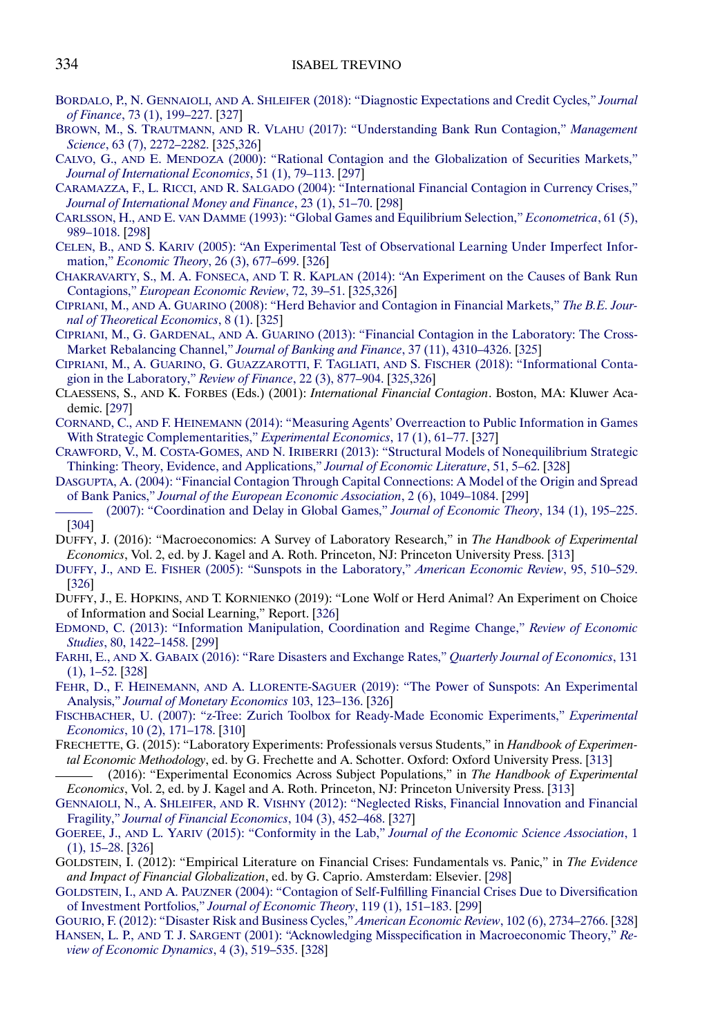- <span id="page-37-0"></span>BORDALO, P., N. GENNAIOLI, AND A. SHLEIFER [\(2018\): "Diagnostic Expectations and Credit Cycles,"](http://www.e-publications.org/srv/ecta/linkserver/openurl?rft_dat=bib:14/BGS17&rfe_id=urn:sici%2F0012-9682%282020%2988%3A1%3C297%3AICOFC%3E2.0.CO%3B2-3) *Journal of Finance*[, 73 \(1\), 199–227.](http://www.e-publications.org/srv/ecta/linkserver/openurl?rft_dat=bib:14/BGS17&rfe_id=urn:sici%2F0012-9682%282020%2988%3A1%3C297%3AICOFC%3E2.0.CO%3B2-3) [\[327\]](#page-29-0)
- BROWN, M., S. TRAUTMANN, AND R. VLAHU [\(2017\): "Understanding Bank Run Contagion,"](http://www.e-publications.org/srv/ecta/linkserver/openurl?rft_dat=bib:15/BTV13&rfe_id=urn:sici%2F0012-9682%282020%2988%3A1%3C297%3AICOFC%3E2.0.CO%3B2-3) *Management Science*[, 63 \(7\), 2272–2282.](http://www.e-publications.org/srv/ecta/linkserver/openurl?rft_dat=bib:15/BTV13&rfe_id=urn:sici%2F0012-9682%282020%2988%3A1%3C297%3AICOFC%3E2.0.CO%3B2-3) [\[325](#page-27-0)[,326\]](#page-28-0)
- CALVO, G., AND E. MENDOZA [\(2000\): "Rational Contagion and the Globalization of Securities Markets,"](http://www.e-publications.org/srv/ecta/linkserver/openurl?rft_dat=bib:16/CM00&rfe_id=urn:sici%2F0012-9682%282020%2988%3A1%3C297%3AICOFC%3E2.0.CO%3B2-3) *[Journal of International Economics](http://www.e-publications.org/srv/ecta/linkserver/openurl?rft_dat=bib:16/CM00&rfe_id=urn:sici%2F0012-9682%282020%2988%3A1%3C297%3AICOFC%3E2.0.CO%3B2-3)*, 51 (1), 79–113. [\[297\]](#page--1-0)
- CARAMAZZA, F., L. RICCI, AND R. SALGADO [\(2004\): "International Financial Contagion in Currency Crises,"](http://www.e-publications.org/srv/ecta/linkserver/openurl?rft_dat=bib:17/CRS04&rfe_id=urn:sici%2F0012-9682%282020%2988%3A1%3C297%3AICOFC%3E2.0.CO%3B2-3) *[Journal of International Money and Finance](http://www.e-publications.org/srv/ecta/linkserver/openurl?rft_dat=bib:17/CRS04&rfe_id=urn:sici%2F0012-9682%282020%2988%3A1%3C297%3AICOFC%3E2.0.CO%3B2-3)*, 23 (1), 51–70. [\[298\]](#page-0-0)
- CARLSSON, H., AND E. VAN DAMME [\(1993\): "Global Games and Equilibrium Selection,"](http://www.e-publications.org/srv/ecta/linkserver/openurl?rft_dat=bib:18/CvD93&rfe_id=urn:sici%2F0012-9682%282020%2988%3A1%3C297%3AICOFC%3E2.0.CO%3B2-3) *Econometrica*, 61 (5), [989–1018.](http://www.e-publications.org/srv/ecta/linkserver/openurl?rft_dat=bib:18/CvD93&rfe_id=urn:sici%2F0012-9682%282020%2988%3A1%3C297%3AICOFC%3E2.0.CO%3B2-3) [\[298\]](#page-0-0)
- CELEN, B., AND S. KARIV [\(2005\): "An Experimental Test of Observational Learning Under Imperfect Infor](http://www.e-publications.org/srv/ecta/linkserver/openurl?rft_dat=bib:19/CK05&rfe_id=urn:sici%2F0012-9682%282020%2988%3A1%3C297%3AICOFC%3E2.0.CO%3B2-3)mation," *[Economic Theory](http://www.e-publications.org/srv/ecta/linkserver/openurl?rft_dat=bib:19/CK05&rfe_id=urn:sici%2F0012-9682%282020%2988%3A1%3C297%3AICOFC%3E2.0.CO%3B2-3)*, 26 (3), 677–699. [\[326\]](#page-28-0)
- CHAKRAVARTY, S., M. A. FONSECA, AND T. R. KAPLAN [\(2014\): "An Experiment on the Causes of Bank Run](http://www.e-publications.org/srv/ecta/linkserver/openurl?rft_dat=bib:20/CFK13&rfe_id=urn:sici%2F0012-9682%282020%2988%3A1%3C297%3AICOFC%3E2.0.CO%3B2-3) Contagions," *[European Economic Review](http://www.e-publications.org/srv/ecta/linkserver/openurl?rft_dat=bib:20/CFK13&rfe_id=urn:sici%2F0012-9682%282020%2988%3A1%3C297%3AICOFC%3E2.0.CO%3B2-3)*, 72, 39–51. [\[325,](#page-27-0)[326\]](#page-28-0)
- CIPRIANI, M., AND A. GUARINO [\(2008\): "Herd Behavior and Contagion in Financial Markets,"](http://www.e-publications.org/srv/ecta/linkserver/openurl?rft_dat=bib:21/CG08&rfe_id=urn:sici%2F0012-9682%282020%2988%3A1%3C297%3AICOFC%3E2.0.CO%3B2-3) *The B.E. Jour[nal of Theoretical Economics](http://www.e-publications.org/srv/ecta/linkserver/openurl?rft_dat=bib:21/CG08&rfe_id=urn:sici%2F0012-9682%282020%2988%3A1%3C297%3AICOFC%3E2.0.CO%3B2-3)*, 8 (1). [\[325\]](#page-27-0)
- CIPRIANI, M., G. GARDENAL, AND A. GUARINO [\(2013\): "Financial Contagion in the Laboratory: The Cross-](http://www.e-publications.org/srv/ecta/linkserver/openurl?rft_dat=bib:22/CGG13&rfe_id=urn:sici%2F0012-9682%282020%2988%3A1%3C297%3AICOFC%3E2.0.CO%3B2-3)[Market Rebalancing Channel,"](http://www.e-publications.org/srv/ecta/linkserver/openurl?rft_dat=bib:22/CGG13&rfe_id=urn:sici%2F0012-9682%282020%2988%3A1%3C297%3AICOFC%3E2.0.CO%3B2-3) *Journal of Banking and Finance*, 37 (11), 4310–4326. [\[325\]](#page-27-0)
- [CIPRIANI, M., A. GUARINO, G. GUAZZAROTTI, F. TAGLIATI,](http://www.e-publications.org/srv/ecta/linkserver/openurl?rft_dat=bib:23/C17&rfe_id=urn:sici%2F0012-9682%282020%2988%3A1%3C297%3AICOFC%3E2.0.CO%3B2-3) AND S. FISCHER (2018): "Informational Conta[gion in the Laboratory,"](http://www.e-publications.org/srv/ecta/linkserver/openurl?rft_dat=bib:23/C17&rfe_id=urn:sici%2F0012-9682%282020%2988%3A1%3C297%3AICOFC%3E2.0.CO%3B2-3) *Review of Finance*, 22 (3), 877–904. [\[325,](#page-27-0)[326\]](#page-28-0)
- CLAESSENS, S., AND K. FORBES (Eds.) (2001): *International Financial Contagion*. Boston, MA: Kluwer Academic. [\[297\]](#page--1-0)
- CORNAND, C., AND F. HEINEMANN [\(2014\): "Measuring Agents' Overreaction to Public Information in Games](http://www.e-publications.org/srv/ecta/linkserver/openurl?rft_dat=bib:25/CH2014&rfe_id=urn:sici%2F0012-9682%282020%2988%3A1%3C297%3AICOFC%3E2.0.CO%3B2-3) [With Strategic Complementarities,"](http://www.e-publications.org/srv/ecta/linkserver/openurl?rft_dat=bib:25/CH2014&rfe_id=urn:sici%2F0012-9682%282020%2988%3A1%3C297%3AICOFC%3E2.0.CO%3B2-3) *Experimental Economics*, 17 (1), 61–77. [\[327\]](#page-29-0)
- CRAWFORD, V., M. COSTA-GOMES, AND N. IRIBERRI [\(2013\): "Structural Models of Nonequilibrium Strategic](http://www.e-publications.org/srv/ecta/linkserver/openurl?rft_dat=bib:26/CCGI13&rfe_id=urn:sici%2F0012-9682%282020%2988%3A1%3C297%3AICOFC%3E2.0.CO%3B2-3) [Thinking: Theory, Evidence, and Applications,"](http://www.e-publications.org/srv/ecta/linkserver/openurl?rft_dat=bib:26/CCGI13&rfe_id=urn:sici%2F0012-9682%282020%2988%3A1%3C297%3AICOFC%3E2.0.CO%3B2-3) *Journal of Economic Literature*, 51, 5–62. [\[328\]](#page-30-0)
- [DASGUPTA, A. \(2004\): "Financial Contagion Through Capital Connections: A Model of the Origin and Spread](http://www.e-publications.org/srv/ecta/linkserver/openurl?rft_dat=bib:27/D04&rfe_id=urn:sici%2F0012-9682%282020%2988%3A1%3C297%3AICOFC%3E2.0.CO%3B2-3) of Bank Panics," *[Journal of the European Economic Association](http://www.e-publications.org/srv/ecta/linkserver/openurl?rft_dat=bib:27/D04&rfe_id=urn:sici%2F0012-9682%282020%2988%3A1%3C297%3AICOFC%3E2.0.CO%3B2-3)*, 2 (6), 1049–1084. [\[299\]](#page-1-0)
- [\(2007\): "Coordination and Delay in Global Games,"](http://www.e-publications.org/srv/ecta/linkserver/openurl?rft_dat=bib:28/D07&rfe_id=urn:sici%2F0012-9682%282020%2988%3A1%3C297%3AICOFC%3E2.0.CO%3B2-3) *Journal of Economic Theory*, 134 (1), 195–225. [\[304\]](#page-6-0)
- DUFFY, J. (2016): "Macroeconomics: A Survey of Laboratory Research," in *The Handbook of Experimental Economics*, Vol. 2, ed. by J. Kagel and A. Roth. Princeton, NJ: Princeton University Press. [\[313\]](#page-15-0)
- DUFFY, J., AND E. FISHER [\(2005\): "Sunspots in the Laboratory,"](http://www.e-publications.org/srv/ecta/linkserver/openurl?rft_dat=bib:30/DF05&rfe_id=urn:sici%2F0012-9682%282020%2988%3A1%3C297%3AICOFC%3E2.0.CO%3B2-3) *American Economic Review*, 95, 510–529. [\[326\]](#page-28-0)
- DUFFY, J., E. HOPKINS, AND T. KORNIENKO (2019): "Lone Wolf or Herd Animal? An Experiment on Choice of Information and Social Learning," Report. [\[326\]](#page-28-0)
- [EDMOND, C. \(2013\): "Information Manipulation, Coordination and Regime Change,"](http://www.e-publications.org/srv/ecta/linkserver/openurl?rft_dat=bib:32/E13&rfe_id=urn:sici%2F0012-9682%282020%2988%3A1%3C297%3AICOFC%3E2.0.CO%3B2-3) *Review of Economic Studies*[, 80, 1422–1458.](http://www.e-publications.org/srv/ecta/linkserver/openurl?rft_dat=bib:32/E13&rfe_id=urn:sici%2F0012-9682%282020%2988%3A1%3C297%3AICOFC%3E2.0.CO%3B2-3) [\[299\]](#page-1-0)
- FARHI, E., AND X. GABAIX [\(2016\): "Rare Disasters and Exchange Rates,"](http://www.e-publications.org/srv/ecta/linkserver/openurl?rft_dat=bib:33/FG16&rfe_id=urn:sici%2F0012-9682%282020%2988%3A1%3C297%3AICOFC%3E2.0.CO%3B2-3) *Quarterly Journal of Economics*, 131 [\(1\), 1–52.](http://www.e-publications.org/srv/ecta/linkserver/openurl?rft_dat=bib:33/FG16&rfe_id=urn:sici%2F0012-9682%282020%2988%3A1%3C297%3AICOFC%3E2.0.CO%3B2-3) [\[328\]](#page-30-0)
- FEHR, D., F. HEINEMANN, AND A. LLORENTE-SAGUER [\(2019\): "The Power of Sunspots: An Experimental](http://www.e-publications.org/srv/ecta/linkserver/openurl?rft_dat=bib:34/FHL17&rfe_id=urn:sici%2F0012-9682%282020%2988%3A1%3C297%3AICOFC%3E2.0.CO%3B2-3) Analysis," *[Journal of Monetary Economics](http://www.e-publications.org/srv/ecta/linkserver/openurl?rft_dat=bib:34/FHL17&rfe_id=urn:sici%2F0012-9682%282020%2988%3A1%3C297%3AICOFC%3E2.0.CO%3B2-3)* 103, 123–136. [\[326\]](#page-28-0)
- [FISCHBACHER, U. \(2007\): "z-Tree: Zurich Toolbox for Ready-Made Economic Experiments,"](http://www.e-publications.org/srv/ecta/linkserver/openurl?rft_dat=bib:35/F07&rfe_id=urn:sici%2F0012-9682%282020%2988%3A1%3C297%3AICOFC%3E2.0.CO%3B2-3) *Experimental Economics*[, 10 \(2\), 171–178.](http://www.e-publications.org/srv/ecta/linkserver/openurl?rft_dat=bib:35/F07&rfe_id=urn:sici%2F0012-9682%282020%2988%3A1%3C297%3AICOFC%3E2.0.CO%3B2-3) [\[310\]](#page-12-0)
- FRECHETTE, G. (2015): "Laboratory Experiments: Professionals versus Students," in *Handbook of Experimental Economic Methodology*, ed. by G. Frechette and A. Schotter. Oxford: Oxford University Press. [\[313\]](#page-15-0)
- (2016): "Experimental Economics Across Subject Populations," in *The Handbook of Experimental Economics*, Vol. 2, ed. by J. Kagel and A. Roth. Princeton, NJ: Princeton University Press. [\[313\]](#page-15-0)
- GENNAIOLI, N., A. SHLEIFER, AND R. VISHNY [\(2012\): "Neglected Risks, Financial Innovation and Financial](http://www.e-publications.org/srv/ecta/linkserver/openurl?rft_dat=bib:38/GSV12&rfe_id=urn:sici%2F0012-9682%282020%2988%3A1%3C297%3AICOFC%3E2.0.CO%3B2-3) Fragility," *[Journal of Financial Economics](http://www.e-publications.org/srv/ecta/linkserver/openurl?rft_dat=bib:38/GSV12&rfe_id=urn:sici%2F0012-9682%282020%2988%3A1%3C297%3AICOFC%3E2.0.CO%3B2-3)*, 104 (3), 452–468. [\[327\]](#page-29-0)
- GOEREE, J., AND L. YARIV (2015): "Conformity in the Lab," *[Journal of the Economic Science Association](http://www.e-publications.org/srv/ecta/linkserver/openurl?rft_dat=bib:39/GY15&rfe_id=urn:sici%2F0012-9682%282020%2988%3A1%3C297%3AICOFC%3E2.0.CO%3B2-3)*, 1 [\(1\), 15–28.](http://www.e-publications.org/srv/ecta/linkserver/openurl?rft_dat=bib:39/GY15&rfe_id=urn:sici%2F0012-9682%282020%2988%3A1%3C297%3AICOFC%3E2.0.CO%3B2-3) [\[326\]](#page-28-0)
- GOLDSTEIN, I. (2012): "Empirical Literature on Financial Crises: Fundamentals vs. Panic," in *The Evidence and Impact of Financial Globalization*, ed. by G. Caprio. Amsterdam: Elsevier. [\[298\]](#page-0-0)
- GOLDSTEIN, I., AND A. PAUZNER [\(2004\): "Contagion of Self-Fulfilling Financial Crises Due to Diversification](http://www.e-publications.org/srv/ecta/linkserver/openurl?rft_dat=bib:41/GP04&rfe_id=urn:sici%2F0012-9682%282020%2988%3A1%3C297%3AICOFC%3E2.0.CO%3B2-3) of Investment Portfolios," *[Journal of Economic Theory](http://www.e-publications.org/srv/ecta/linkserver/openurl?rft_dat=bib:41/GP04&rfe_id=urn:sici%2F0012-9682%282020%2988%3A1%3C297%3AICOFC%3E2.0.CO%3B2-3)*, 119 (1), 151–183. [\[299\]](#page-1-0)
- [GOURIO, F. \(2012\): "Disaster Risk and Business Cycles,"](http://www.e-publications.org/srv/ecta/linkserver/openurl?rft_dat=bib:42/G12&rfe_id=urn:sici%2F0012-9682%282020%2988%3A1%3C297%3AICOFC%3E2.0.CO%3B2-3) *American Economic Review*, 102 (6), 2734–2766. [\[328\]](#page-30-0)
- HANSEN, L. P., AND T. J. SARGENT [\(2001\): "Acknowledging Misspecification in Macroeconomic Theory,"](http://www.e-publications.org/srv/ecta/linkserver/openurl?rft_dat=bib:43/HS01&rfe_id=urn:sici%2F0012-9682%282020%2988%3A1%3C297%3AICOFC%3E2.0.CO%3B2-3) *Re[view of Economic Dynamics](http://www.e-publications.org/srv/ecta/linkserver/openurl?rft_dat=bib:43/HS01&rfe_id=urn:sici%2F0012-9682%282020%2988%3A1%3C297%3AICOFC%3E2.0.CO%3B2-3)*, 4 (3), 519–535. [\[328\]](#page-30-0)